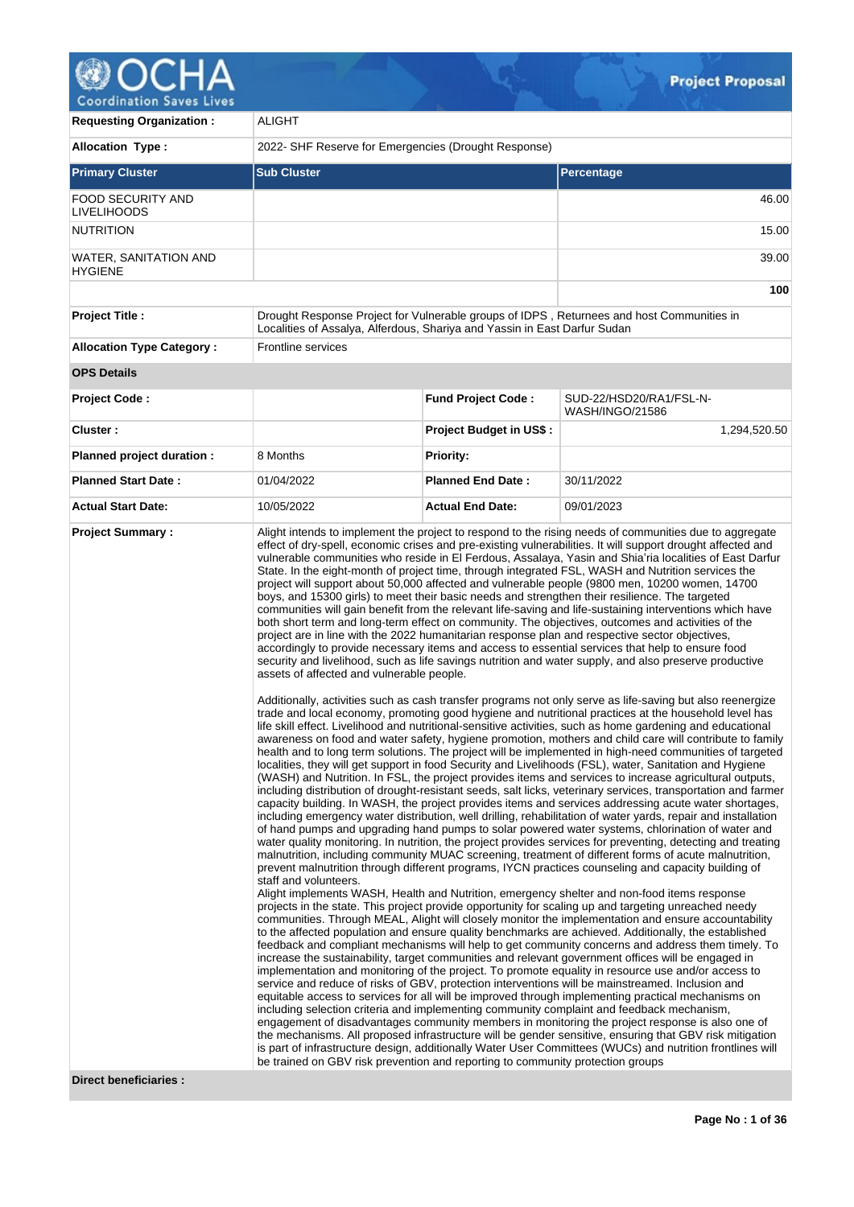# Coordination Saves Lives

| <b>Requesting Organization:</b>  | <b>ALIGHT</b>                                                                                                                                                                                                                                                                                                                                                                                                                                                                                                                                                                                                                                                                                                                                                                                                                                                                                                                                                                                                                                                                                                                                                                                                                                                                                                                                                                                                                                                                                                                                                                                                                                                                                                                                                                                                                                                                                                                                                                                                                                                                                                                                                                                                                                                                                                                                                                                                                                                                                                                                                                                                                                                                                                                                                                                                                                                                                                                                                                                                                                                                                                                                                                                                                                                                                                                                                                                                                                                                                                                                                                                                                                                                                                                                                                                                                                                                                                                                                    |                                |                                                                                           |  |  |  |  |
|----------------------------------|------------------------------------------------------------------------------------------------------------------------------------------------------------------------------------------------------------------------------------------------------------------------------------------------------------------------------------------------------------------------------------------------------------------------------------------------------------------------------------------------------------------------------------------------------------------------------------------------------------------------------------------------------------------------------------------------------------------------------------------------------------------------------------------------------------------------------------------------------------------------------------------------------------------------------------------------------------------------------------------------------------------------------------------------------------------------------------------------------------------------------------------------------------------------------------------------------------------------------------------------------------------------------------------------------------------------------------------------------------------------------------------------------------------------------------------------------------------------------------------------------------------------------------------------------------------------------------------------------------------------------------------------------------------------------------------------------------------------------------------------------------------------------------------------------------------------------------------------------------------------------------------------------------------------------------------------------------------------------------------------------------------------------------------------------------------------------------------------------------------------------------------------------------------------------------------------------------------------------------------------------------------------------------------------------------------------------------------------------------------------------------------------------------------------------------------------------------------------------------------------------------------------------------------------------------------------------------------------------------------------------------------------------------------------------------------------------------------------------------------------------------------------------------------------------------------------------------------------------------------------------------------------------------------------------------------------------------------------------------------------------------------------------------------------------------------------------------------------------------------------------------------------------------------------------------------------------------------------------------------------------------------------------------------------------------------------------------------------------------------------------------------------------------------------------------------------------------------------------------------------------------------------------------------------------------------------------------------------------------------------------------------------------------------------------------------------------------------------------------------------------------------------------------------------------------------------------------------------------------------------------------------------------------------------------------------------------------------|--------------------------------|-------------------------------------------------------------------------------------------|--|--|--|--|
| <b>Allocation Type:</b>          | 2022- SHF Reserve for Emergencies (Drought Response)                                                                                                                                                                                                                                                                                                                                                                                                                                                                                                                                                                                                                                                                                                                                                                                                                                                                                                                                                                                                                                                                                                                                                                                                                                                                                                                                                                                                                                                                                                                                                                                                                                                                                                                                                                                                                                                                                                                                                                                                                                                                                                                                                                                                                                                                                                                                                                                                                                                                                                                                                                                                                                                                                                                                                                                                                                                                                                                                                                                                                                                                                                                                                                                                                                                                                                                                                                                                                                                                                                                                                                                                                                                                                                                                                                                                                                                                                                             |                                |                                                                                           |  |  |  |  |
| <b>Primary Cluster</b>           | <b>Sub Cluster</b>                                                                                                                                                                                                                                                                                                                                                                                                                                                                                                                                                                                                                                                                                                                                                                                                                                                                                                                                                                                                                                                                                                                                                                                                                                                                                                                                                                                                                                                                                                                                                                                                                                                                                                                                                                                                                                                                                                                                                                                                                                                                                                                                                                                                                                                                                                                                                                                                                                                                                                                                                                                                                                                                                                                                                                                                                                                                                                                                                                                                                                                                                                                                                                                                                                                                                                                                                                                                                                                                                                                                                                                                                                                                                                                                                                                                                                                                                                                                               |                                | Percentage                                                                                |  |  |  |  |
| FOOD SECURITY AND<br>LIVELIHOODS |                                                                                                                                                                                                                                                                                                                                                                                                                                                                                                                                                                                                                                                                                                                                                                                                                                                                                                                                                                                                                                                                                                                                                                                                                                                                                                                                                                                                                                                                                                                                                                                                                                                                                                                                                                                                                                                                                                                                                                                                                                                                                                                                                                                                                                                                                                                                                                                                                                                                                                                                                                                                                                                                                                                                                                                                                                                                                                                                                                                                                                                                                                                                                                                                                                                                                                                                                                                                                                                                                                                                                                                                                                                                                                                                                                                                                                                                                                                                                                  |                                | 46.00                                                                                     |  |  |  |  |
| NUTRITION                        |                                                                                                                                                                                                                                                                                                                                                                                                                                                                                                                                                                                                                                                                                                                                                                                                                                                                                                                                                                                                                                                                                                                                                                                                                                                                                                                                                                                                                                                                                                                                                                                                                                                                                                                                                                                                                                                                                                                                                                                                                                                                                                                                                                                                                                                                                                                                                                                                                                                                                                                                                                                                                                                                                                                                                                                                                                                                                                                                                                                                                                                                                                                                                                                                                                                                                                                                                                                                                                                                                                                                                                                                                                                                                                                                                                                                                                                                                                                                                                  |                                | 15.00                                                                                     |  |  |  |  |
| WATER, SANITATION AND<br>HYGIENE |                                                                                                                                                                                                                                                                                                                                                                                                                                                                                                                                                                                                                                                                                                                                                                                                                                                                                                                                                                                                                                                                                                                                                                                                                                                                                                                                                                                                                                                                                                                                                                                                                                                                                                                                                                                                                                                                                                                                                                                                                                                                                                                                                                                                                                                                                                                                                                                                                                                                                                                                                                                                                                                                                                                                                                                                                                                                                                                                                                                                                                                                                                                                                                                                                                                                                                                                                                                                                                                                                                                                                                                                                                                                                                                                                                                                                                                                                                                                                                  | 39.00                          |                                                                                           |  |  |  |  |
|                                  |                                                                                                                                                                                                                                                                                                                                                                                                                                                                                                                                                                                                                                                                                                                                                                                                                                                                                                                                                                                                                                                                                                                                                                                                                                                                                                                                                                                                                                                                                                                                                                                                                                                                                                                                                                                                                                                                                                                                                                                                                                                                                                                                                                                                                                                                                                                                                                                                                                                                                                                                                                                                                                                                                                                                                                                                                                                                                                                                                                                                                                                                                                                                                                                                                                                                                                                                                                                                                                                                                                                                                                                                                                                                                                                                                                                                                                                                                                                                                                  |                                |                                                                                           |  |  |  |  |
| <b>Project Title:</b>            | Localities of Assalya, Alferdous, Shariya and Yassin in East Darfur Sudan                                                                                                                                                                                                                                                                                                                                                                                                                                                                                                                                                                                                                                                                                                                                                                                                                                                                                                                                                                                                                                                                                                                                                                                                                                                                                                                                                                                                                                                                                                                                                                                                                                                                                                                                                                                                                                                                                                                                                                                                                                                                                                                                                                                                                                                                                                                                                                                                                                                                                                                                                                                                                                                                                                                                                                                                                                                                                                                                                                                                                                                                                                                                                                                                                                                                                                                                                                                                                                                                                                                                                                                                                                                                                                                                                                                                                                                                                        |                                | Drought Response Project for Vulnerable groups of IDPS, Returnees and host Communities in |  |  |  |  |
| <b>Allocation Type Category:</b> | <b>Frontline services</b>                                                                                                                                                                                                                                                                                                                                                                                                                                                                                                                                                                                                                                                                                                                                                                                                                                                                                                                                                                                                                                                                                                                                                                                                                                                                                                                                                                                                                                                                                                                                                                                                                                                                                                                                                                                                                                                                                                                                                                                                                                                                                                                                                                                                                                                                                                                                                                                                                                                                                                                                                                                                                                                                                                                                                                                                                                                                                                                                                                                                                                                                                                                                                                                                                                                                                                                                                                                                                                                                                                                                                                                                                                                                                                                                                                                                                                                                                                                                        |                                |                                                                                           |  |  |  |  |
| <b>OPS Details</b>               |                                                                                                                                                                                                                                                                                                                                                                                                                                                                                                                                                                                                                                                                                                                                                                                                                                                                                                                                                                                                                                                                                                                                                                                                                                                                                                                                                                                                                                                                                                                                                                                                                                                                                                                                                                                                                                                                                                                                                                                                                                                                                                                                                                                                                                                                                                                                                                                                                                                                                                                                                                                                                                                                                                                                                                                                                                                                                                                                                                                                                                                                                                                                                                                                                                                                                                                                                                                                                                                                                                                                                                                                                                                                                                                                                                                                                                                                                                                                                                  |                                |                                                                                           |  |  |  |  |
| <b>Project Code:</b>             |                                                                                                                                                                                                                                                                                                                                                                                                                                                                                                                                                                                                                                                                                                                                                                                                                                                                                                                                                                                                                                                                                                                                                                                                                                                                                                                                                                                                                                                                                                                                                                                                                                                                                                                                                                                                                                                                                                                                                                                                                                                                                                                                                                                                                                                                                                                                                                                                                                                                                                                                                                                                                                                                                                                                                                                                                                                                                                                                                                                                                                                                                                                                                                                                                                                                                                                                                                                                                                                                                                                                                                                                                                                                                                                                                                                                                                                                                                                                                                  | <b>Fund Project Code:</b>      | SUD-22/HSD20/RA1/FSL-N-<br>WASH/INGO/21586                                                |  |  |  |  |
| Cluster:                         |                                                                                                                                                                                                                                                                                                                                                                                                                                                                                                                                                                                                                                                                                                                                                                                                                                                                                                                                                                                                                                                                                                                                                                                                                                                                                                                                                                                                                                                                                                                                                                                                                                                                                                                                                                                                                                                                                                                                                                                                                                                                                                                                                                                                                                                                                                                                                                                                                                                                                                                                                                                                                                                                                                                                                                                                                                                                                                                                                                                                                                                                                                                                                                                                                                                                                                                                                                                                                                                                                                                                                                                                                                                                                                                                                                                                                                                                                                                                                                  | <b>Project Budget in US\$:</b> | 1,294,520.50                                                                              |  |  |  |  |
| Planned project duration :       | 8 Months                                                                                                                                                                                                                                                                                                                                                                                                                                                                                                                                                                                                                                                                                                                                                                                                                                                                                                                                                                                                                                                                                                                                                                                                                                                                                                                                                                                                                                                                                                                                                                                                                                                                                                                                                                                                                                                                                                                                                                                                                                                                                                                                                                                                                                                                                                                                                                                                                                                                                                                                                                                                                                                                                                                                                                                                                                                                                                                                                                                                                                                                                                                                                                                                                                                                                                                                                                                                                                                                                                                                                                                                                                                                                                                                                                                                                                                                                                                                                         | <b>Priority:</b>               |                                                                                           |  |  |  |  |
| <b>Planned Start Date:</b>       | 01/04/2022                                                                                                                                                                                                                                                                                                                                                                                                                                                                                                                                                                                                                                                                                                                                                                                                                                                                                                                                                                                                                                                                                                                                                                                                                                                                                                                                                                                                                                                                                                                                                                                                                                                                                                                                                                                                                                                                                                                                                                                                                                                                                                                                                                                                                                                                                                                                                                                                                                                                                                                                                                                                                                                                                                                                                                                                                                                                                                                                                                                                                                                                                                                                                                                                                                                                                                                                                                                                                                                                                                                                                                                                                                                                                                                                                                                                                                                                                                                                                       | <b>Planned End Date:</b>       | 30/11/2022                                                                                |  |  |  |  |
| <b>Actual Start Date:</b>        | 10/05/2022                                                                                                                                                                                                                                                                                                                                                                                                                                                                                                                                                                                                                                                                                                                                                                                                                                                                                                                                                                                                                                                                                                                                                                                                                                                                                                                                                                                                                                                                                                                                                                                                                                                                                                                                                                                                                                                                                                                                                                                                                                                                                                                                                                                                                                                                                                                                                                                                                                                                                                                                                                                                                                                                                                                                                                                                                                                                                                                                                                                                                                                                                                                                                                                                                                                                                                                                                                                                                                                                                                                                                                                                                                                                                                                                                                                                                                                                                                                                                       | <b>Actual End Date:</b>        | 09/01/2023                                                                                |  |  |  |  |
|                                  | Alight intends to implement the project to respond to the rising needs of communities due to aggregate<br>effect of dry-spell, economic crises and pre-existing vulnerabilities. It will support drought affected and<br>vulnerable communities who reside in El Ferdous, Assalaya, Yasin and Shia'ria localities of East Darfur<br>State. In the eight-month of project time, through integrated FSL, WASH and Nutrition services the<br>project will support about 50,000 affected and vulnerable people (9800 men, 10200 women, 14700<br>boys, and 15300 girls) to meet their basic needs and strengthen their resilience. The targeted<br>communities will gain benefit from the relevant life-saving and life-sustaining interventions which have<br>both short term and long-term effect on community. The objectives, outcomes and activities of the<br>project are in line with the 2022 humanitarian response plan and respective sector objectives,<br>accordingly to provide necessary items and access to essential services that help to ensure food<br>security and livelihood, such as life savings nutrition and water supply, and also preserve productive<br>assets of affected and vulnerable people.<br>Additionally, activities such as cash transfer programs not only serve as life-saving but also reenergize<br>trade and local economy, promoting good hygiene and nutritional practices at the household level has<br>life skill effect. Livelihood and nutritional-sensitive activities, such as home gardening and educational<br>awareness on food and water safety, hygiene promotion, mothers and child care will contribute to family<br>health and to long term solutions. The project will be implemented in high-need communities of targeted<br>localities, they will get support in food Security and Livelihoods (FSL), water, Sanitation and Hygiene<br>(WASH) and Nutrition. In FSL, the project provides items and services to increase agricultural outputs,<br>including distribution of drought-resistant seeds, salt licks, veterinary services, transportation and farmer<br>capacity building. In WASH, the project provides items and services addressing acute water shortages,<br>including emergency water distribution, well drilling, rehabilitation of water yards, repair and installation<br>of hand pumps and upgrading hand pumps to solar powered water systems, chlorination of water and<br>water quality monitoring. In nutrition, the project provides services for preventing, detecting and treating<br>malnutrition, including community MUAC screening, treatment of different forms of acute malnutrition,<br>prevent malnutrition through different programs, IYCN practices counseling and capacity building of<br>staff and volunteers.<br>Alight implements WASH, Health and Nutrition, emergency shelter and non-food items response<br>projects in the state. This project provide opportunity for scaling up and targeting unreached needy<br>communities. Through MEAL, Alight will closely monitor the implementation and ensure accountability<br>to the affected population and ensure quality benchmarks are achieved. Additionally, the established<br>feedback and compliant mechanisms will help to get community concerns and address them timely. To<br>increase the sustainability, target communities and relevant government offices will be engaged in<br>implementation and monitoring of the project. To promote equality in resource use and/or access to<br>service and reduce of risks of GBV, protection interventions will be mainstreamed. Inclusion and<br>equitable access to services for all will be improved through implementing practical mechanisms on<br>including selection criteria and implementing community complaint and feedback mechanism,<br>engagement of disadvantages community members in monitoring the project response is also one of |                                |                                                                                           |  |  |  |  |

 $\mathcal{Q}_{\text{max}}$ 

**Direct beneficiaries :**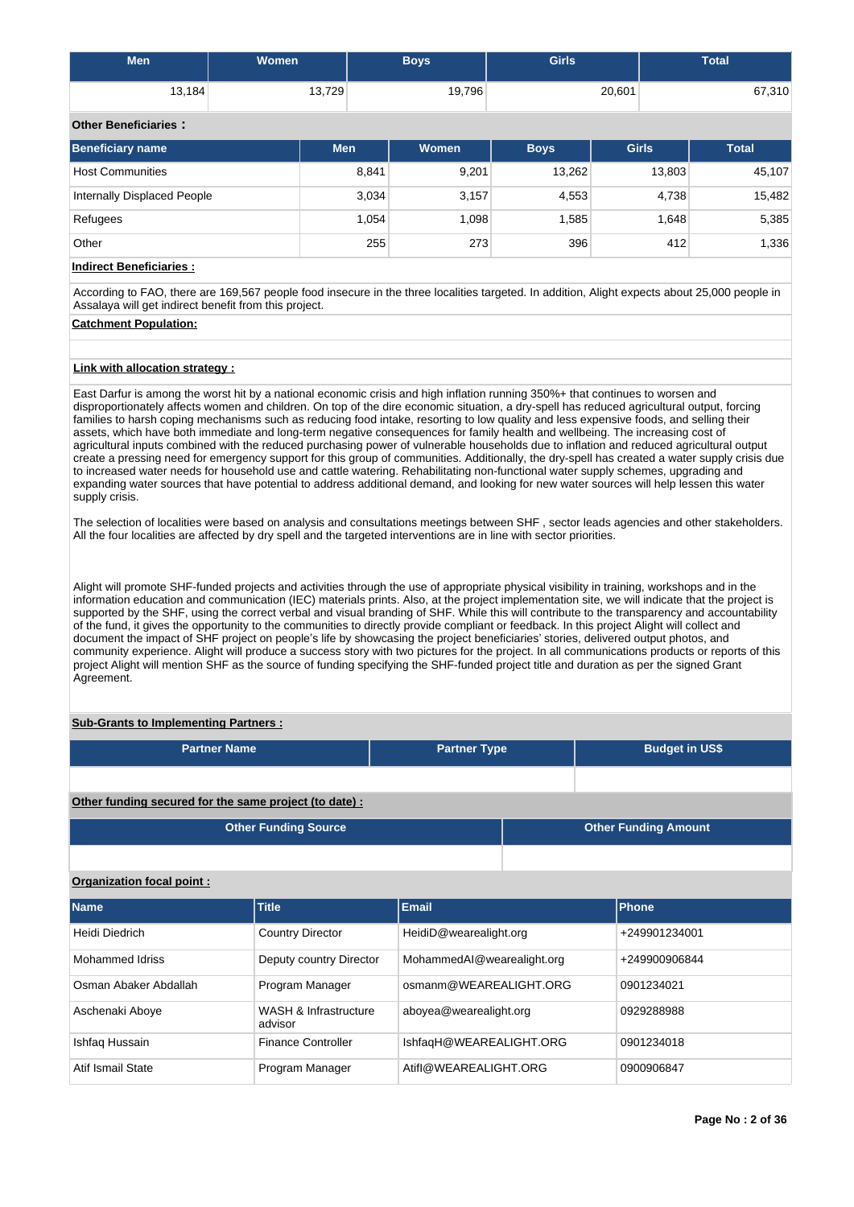| <b>Men</b>                  | <b>Women</b> | <b>Boys</b> | <b>Girls</b> | Total  |
|-----------------------------|--------------|-------------|--------------|--------|
| 13,184                      | 13,729       | 19,796      | 20,601       | 67,310 |
| <b>Other Beneficiaries:</b> |              |             |              |        |

| Beneficiary name            | <b>Men</b> | <b>Women</b> | <b>Boys</b> | <b>Girls</b> | <b>Total</b> |
|-----------------------------|------------|--------------|-------------|--------------|--------------|
| <b>Host Communities</b>     | 8,841      | 9,201        | 13,262      | 13,803       | 45,107       |
| Internally Displaced People | 3,034      | 3,157        | 4,553       | 4,738        | 15,482       |
| Refugees                    | 1,054      | 1,098        | 1,585       | 1,648        | 5,385        |
| Other                       | 255        | 273          | 396         | 412          | 1,336        |

**Indirect Beneficiaries :**

According to FAO, there are 169,567 people food insecure in the three localities targeted. In addition, Alight expects about 25,000 people in Assalaya will get indirect benefit from this project.

# **Catchment Population:**

# **Link with allocation strategy :**

East Darfur is among the worst hit by a national economic crisis and high inflation running 350%+ that continues to worsen and disproportionately affects women and children. On top of the dire economic situation, a dry-spell has reduced agricultural output, forcing families to harsh coping mechanisms such as reducing food intake, resorting to low quality and less expensive foods, and selling their assets, which have both immediate and long-term negative consequences for family health and wellbeing. The increasing cost of agricultural inputs combined with the reduced purchasing power of vulnerable households due to inflation and reduced agricultural output create a pressing need for emergency support for this group of communities. Additionally, the dry-spell has created a water supply crisis due to increased water needs for household use and cattle watering. Rehabilitating non-functional water supply schemes, upgrading and expanding water sources that have potential to address additional demand, and looking for new water sources will help lessen this water supply crisis.

The selection of localities were based on analysis and consultations meetings between SHF , sector leads agencies and other stakeholders. All the four localities are affected by dry spell and the targeted interventions are in line with sector priorities.

Alight will promote SHF-funded projects and activities through the use of appropriate physical visibility in training, workshops and in the information education and communication (IEC) materials prints. Also, at the project implementation site, we will indicate that the project is supported by the SHF, using the correct verbal and visual branding of SHF. While this will contribute to the transparency and accountability of the fund, it gives the opportunity to the communities to directly provide compliant or feedback. In this project Alight will collect and document the impact of SHF project on people's life by showcasing the project beneficiaries' stories, delivered output photos, and community experience. Alight will produce a success story with two pictures for the project. In all communications products or reports of this project Alight will mention SHF as the source of funding specifying the SHF-funded project title and duration as per the signed Grant Agreement.

# **Sub-Grants to Implementing Partners :**

| <b>Partner Name</b>                                    | <b>Partner Type</b> |  | <b>Budget in US\$</b>       |
|--------------------------------------------------------|---------------------|--|-----------------------------|
|                                                        |                     |  |                             |
| Other funding secured for the same project (to date) : |                     |  |                             |
| Other Funding Source                                   |                     |  | <b>Other Funding Amount</b> |

# **Organization focal point :**

| <b>Name</b>           | Title                            | <b>Email</b>               | <b>Phone</b>  |
|-----------------------|----------------------------------|----------------------------|---------------|
| Heidi Diedrich        | <b>Country Director</b>          | HeidiD@wearealight.org     | +249901234001 |
| Mohammed Idriss       | Deputy country Director          | MohammedAI@wearealight.org | +249900906844 |
| Osman Abaker Abdallah | Program Manager                  | osmanm@WEAREALIGHT.ORG     | 0901234021    |
| Aschenaki Aboye       | WASH & Infrastructure<br>advisor | aboyea@wearealight.org     | 0929288988    |
| Ishfaq Hussain        | <b>Finance Controller</b>        | IshfaqH@WEAREALIGHT.ORG    | 0901234018    |
| Atif Ismail State     | Program Manager                  | Atifl@WEAREALIGHT.ORG      | 0900906847    |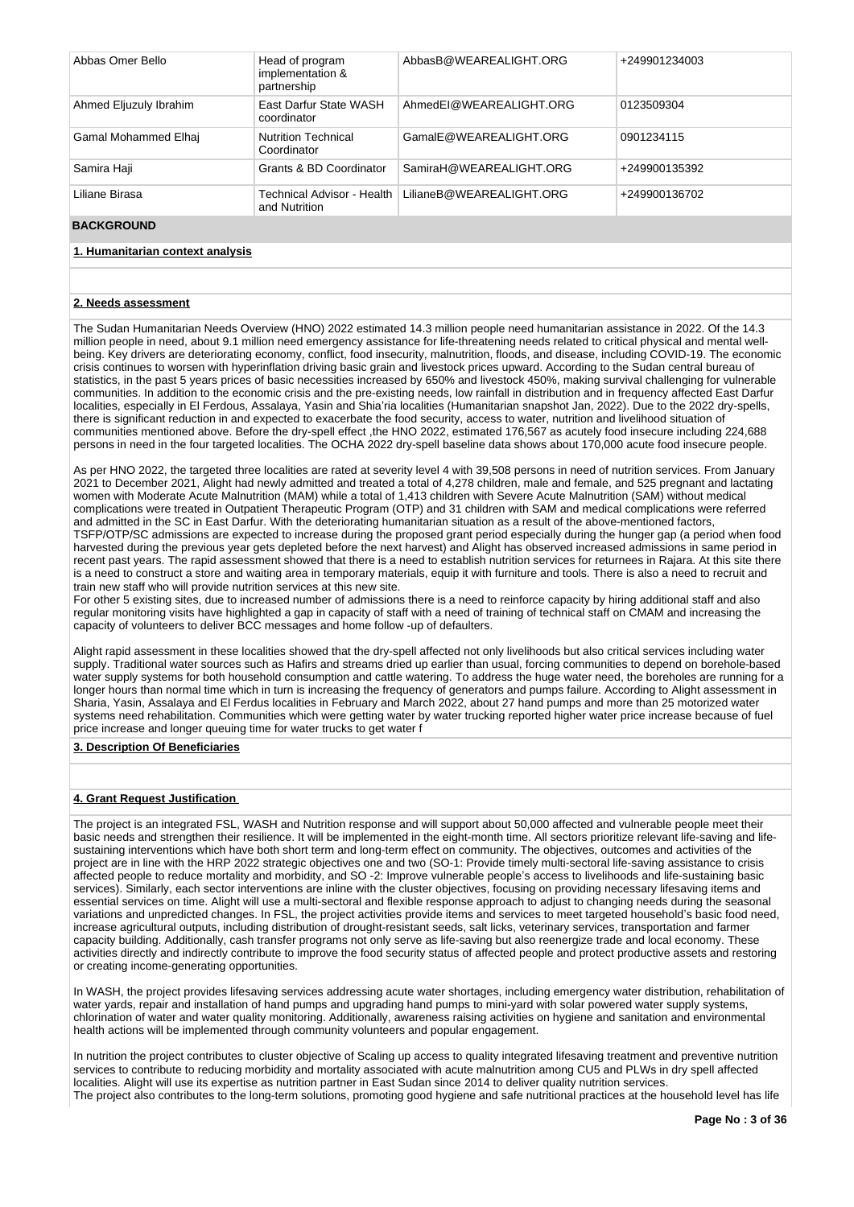| Abbas Omer Bello       | Head of program<br>implementation &<br>partnership | AbbasB@WEAREALIGHT.ORG   | +249901234003 |
|------------------------|----------------------------------------------------|--------------------------|---------------|
| Ahmed Eljuzuly Ibrahim | East Darfur State WASH<br>coordinator              | AhmedEI@WEAREALIGHT.ORG  | 0123509304    |
| Gamal Mohammed Elhaj   | <b>Nutrition Technical</b><br>Coordinator          | GamalE@WEAREALIGHT.ORG   | 0901234115    |
| Samira Haji            | Grants & BD Coordinator                            | SamiraH@WEAREALIGHT.ORG  | +249900135392 |
| Liliane Birasa         | Technical Advisor - Health<br>and Nutrition        | LilianeB@WEAREALIGHT.ORG | +249900136702 |
| <b>BACKGROUND</b>      |                                                    |                          |               |

# **1. Humanitarian context analysis**

### **2. Needs assessment**

The Sudan Humanitarian Needs Overview (HNO) 2022 estimated 14.3 million people need humanitarian assistance in 2022. Of the 14.3 million people in need, about 9.1 million need emergency assistance for life-threatening needs related to critical physical and mental wellbeing. Key drivers are deteriorating economy, conflict, food insecurity, malnutrition, floods, and disease, including COVID-19. The economic crisis continues to worsen with hyperinflation driving basic grain and livestock prices upward. According to the Sudan central bureau of statistics, in the past 5 years prices of basic necessities increased by 650% and livestock 450%, making survival challenging for vulnerable communities. In addition to the economic crisis and the pre-existing needs, low rainfall in distribution and in frequency affected East Darfur localities, especially in El Ferdous, Assalaya, Yasin and Shia'ria localities (Humanitarian snapshot Jan, 2022). Due to the 2022 dry-spells, there is significant reduction in and expected to exacerbate the food security, access to water, nutrition and livelihood situation of communities mentioned above. Before the dry-spell effect ,the HNO 2022, estimated 176,567 as acutely food insecure including 224,688 persons in need in the four targeted localities. The OCHA 2022 dry-spell baseline data shows about 170,000 acute food insecure people.

As per HNO 2022, the targeted three localities are rated at severity level 4 with 39,508 persons in need of nutrition services. From January 2021 to December 2021, Alight had newly admitted and treated a total of 4,278 children, male and female, and 525 pregnant and lactating women with Moderate Acute Malnutrition (MAM) while a total of 1,413 children with Severe Acute Malnutrition (SAM) without medical complications were treated in Outpatient Therapeutic Program (OTP) and 31 children with SAM and medical complications were referred and admitted in the SC in East Darfur. With the deteriorating humanitarian situation as a result of the above-mentioned factors, TSFP/OTP/SC admissions are expected to increase during the proposed grant period especially during the hunger gap (a period when food harvested during the previous year gets depleted before the next harvest) and Alight has observed increased admissions in same period in recent past years. The rapid assessment showed that there is a need to establish nutrition services for returnees in Rajara. At this site there is a need to construct a store and waiting area in temporary materials, equip it with furniture and tools. There is also a need to recruit and train new staff who will provide nutrition services at this new site.

For other 5 existing sites, due to increased number of admissions there is a need to reinforce capacity by hiring additional staff and also regular monitoring visits have highlighted a gap in capacity of staff with a need of training of technical staff on CMAM and increasing the capacity of volunteers to deliver BCC messages and home follow -up of defaulters.

Alight rapid assessment in these localities showed that the dry-spell affected not only livelihoods but also critical services including water supply. Traditional water sources such as Hafirs and streams dried up earlier than usual, forcing communities to depend on borehole-based water supply systems for both household consumption and cattle watering. To address the huge water need, the boreholes are running for a longer hours than normal time which in turn is increasing the frequency of generators and pumps failure. According to Alight assessment in Sharia, Yasin, Assalaya and El Ferdus localities in February and March 2022, about 27 hand pumps and more than 25 motorized water systems need rehabilitation. Communities which were getting water by water trucking reported higher water price increase because of fuel price increase and longer queuing time for water trucks to get water f

### **3. Description Of Beneficiaries**

# **4. Grant Request Justification**

The project is an integrated FSL, WASH and Nutrition response and will support about 50,000 affected and vulnerable people meet their basic needs and strengthen their resilience. It will be implemented in the eight-month time. All sectors prioritize relevant life-saving and lifesustaining interventions which have both short term and long-term effect on community. The objectives, outcomes and activities of the project are in line with the HRP 2022 strategic objectives one and two (SO-1: Provide timely multi-sectoral life-saving assistance to crisis affected people to reduce mortality and morbidity, and SO -2: Improve vulnerable people's access to livelihoods and life-sustaining basic services). Similarly, each sector interventions are inline with the cluster objectives, focusing on providing necessary lifesaving items and essential services on time. Alight will use a multi-sectoral and flexible response approach to adjust to changing needs during the seasonal variations and unpredicted changes. In FSL, the project activities provide items and services to meet targeted household's basic food need, increase agricultural outputs, including distribution of drought-resistant seeds, salt licks, veterinary services, transportation and farmer capacity building. Additionally, cash transfer programs not only serve as life-saving but also reenergize trade and local economy. These activities directly and indirectly contribute to improve the food security status of affected people and protect productive assets and restoring or creating income-generating opportunities.

In WASH, the project provides lifesaving services addressing acute water shortages, including emergency water distribution, rehabilitation of water yards, repair and installation of hand pumps and upgrading hand pumps to mini-yard with solar powered water supply systems, chlorination of water and water quality monitoring. Additionally, awareness raising activities on hygiene and sanitation and environmental health actions will be implemented through community volunteers and popular engagement.

In nutrition the project contributes to cluster objective of Scaling up access to quality integrated lifesaving treatment and preventive nutrition services to contribute to reducing morbidity and mortality associated with acute malnutrition among CU5 and PLWs in dry spell affected localities. Alight will use its expertise as nutrition partner in East Sudan since 2014 to deliver quality nutrition services. The project also contributes to the long-term solutions, promoting good hygiene and safe nutritional practices at the household level has life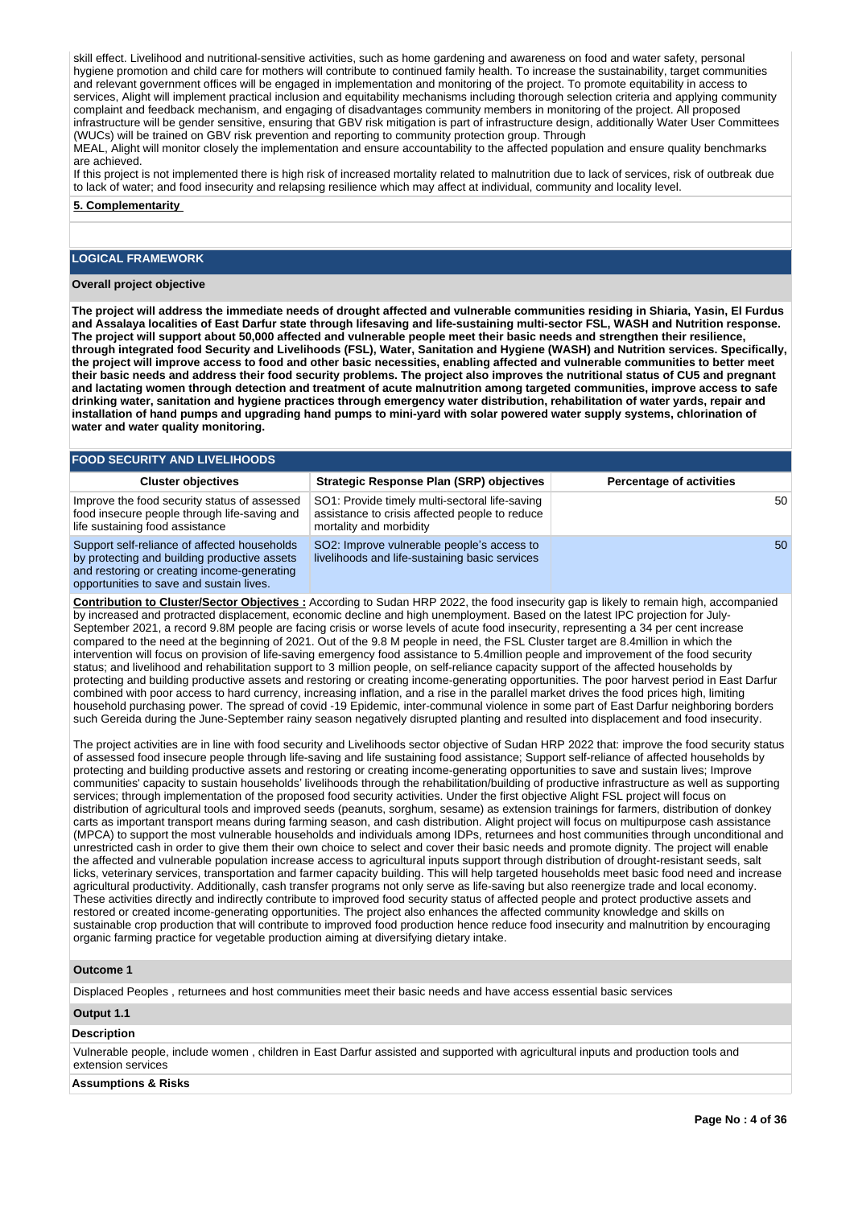skill effect. Livelihood and nutritional-sensitive activities, such as home gardening and awareness on food and water safety, personal hygiene promotion and child care for mothers will contribute to continued family health. To increase the sustainability, target communities and relevant government offices will be engaged in implementation and monitoring of the project. To promote equitability in access to services, Alight will implement practical inclusion and equitability mechanisms including thorough selection criteria and applying community complaint and feedback mechanism, and engaging of disadvantages community members in monitoring of the project. All proposed infrastructure will be gender sensitive, ensuring that GBV risk mitigation is part of infrastructure design, additionally Water User Committees (WUCs) will be trained on GBV risk prevention and reporting to community protection group. Through

MEAL, Alight will monitor closely the implementation and ensure accountability to the affected population and ensure quality benchmarks are achieved.

If this project is not implemented there is high risk of increased mortality related to malnutrition due to lack of services, risk of outbreak due to lack of water; and food insecurity and relapsing resilience which may affect at individual, community and locality level.

**5. Complementarity** 

# **LOGICAL FRAMEWORK**

# **Overall project objective**

**The project will address the immediate needs of drought affected and vulnerable communities residing in Shiaria, Yasin, El Furdus and Assalaya localities of East Darfur state through lifesaving and life-sustaining multi-sector FSL, WASH and Nutrition response. The project will support about 50,000 affected and vulnerable people meet their basic needs and strengthen their resilience, through integrated food Security and Livelihoods (FSL), Water, Sanitation and Hygiene (WASH) and Nutrition services. Specifically, the project will improve access to food and other basic necessities, enabling affected and vulnerable communities to better meet their basic needs and address their food security problems. The project also improves the nutritional status of CU5 and pregnant and lactating women through detection and treatment of acute malnutrition among targeted communities, improve access to safe drinking water, sanitation and hygiene practices through emergency water distribution, rehabilitation of water yards, repair and**  installation of hand pumps and upgrading hand pumps to mini-yard with solar powered water supply systems, chlorination of **water and water quality monitoring.**

| <b>FOOD SECURITY AND LIVELIHOODS</b>                                                                                                                                                    |                                                                                                                             |                                 |  |  |  |  |  |
|-----------------------------------------------------------------------------------------------------------------------------------------------------------------------------------------|-----------------------------------------------------------------------------------------------------------------------------|---------------------------------|--|--|--|--|--|
| <b>Cluster objectives</b>                                                                                                                                                               | <b>Strategic Response Plan (SRP) objectives</b>                                                                             | <b>Percentage of activities</b> |  |  |  |  |  |
| Improve the food security status of assessed<br>food insecure people through life-saving and<br>life sustaining food assistance                                                         | SO1: Provide timely multi-sectoral life-saving<br>assistance to crisis affected people to reduce<br>mortality and morbidity | 50                              |  |  |  |  |  |
| Support self-reliance of affected households<br>by protecting and building productive assets<br>and restoring or creating income-generating<br>opportunities to save and sustain lives. | SO2: Improve vulnerable people's access to<br>livelihoods and life-sustaining basic services                                | 50                              |  |  |  |  |  |

**Contribution to Cluster/Sector Objectives :** According to Sudan HRP 2022, the food insecurity gap is likely to remain high, accompanied by increased and protracted displacement, economic decline and high unemployment. Based on the latest IPC projection for July-September 2021, a record 9.8M people are facing crisis or worse levels of acute food insecurity, representing a 34 per cent increase compared to the need at the beginning of 2021. Out of the 9.8 M people in need, the FSL Cluster target are 8.4million in which the intervention will focus on provision of life-saving emergency food assistance to 5.4million people and improvement of the food security status; and livelihood and rehabilitation support to 3 million people, on self-reliance capacity support of the affected households by protecting and building productive assets and restoring or creating income-generating opportunities. The poor harvest period in East Darfur combined with poor access to hard currency, increasing inflation, and a rise in the parallel market drives the food prices high, limiting household purchasing power. The spread of covid -19 Epidemic, inter-communal violence in some part of East Darfur neighboring borders such Gereida during the June-September rainy season negatively disrupted planting and resulted into displacement and food insecurity.

The project activities are in line with food security and Livelihoods sector objective of Sudan HRP 2022 that: improve the food security status of assessed food insecure people through life-saving and life sustaining food assistance; Support self-reliance of affected households by protecting and building productive assets and restoring or creating income-generating opportunities to save and sustain lives; Improve communities' capacity to sustain households' livelihoods through the rehabilitation/building of productive infrastructure as well as supporting services; through implementation of the proposed food security activities. Under the first objective Alight FSL project will focus on distribution of agricultural tools and improved seeds (peanuts, sorghum, sesame) as extension trainings for farmers, distribution of donkey carts as important transport means during farming season, and cash distribution. Alight project will focus on multipurpose cash assistance (MPCA) to support the most vulnerable households and individuals among IDPs, returnees and host communities through unconditional and unrestricted cash in order to give them their own choice to select and cover their basic needs and promote dignity. The project will enable the affected and vulnerable population increase access to agricultural inputs support through distribution of drought-resistant seeds, salt licks, veterinary services, transportation and farmer capacity building. This will help targeted households meet basic food need and increase agricultural productivity. Additionally, cash transfer programs not only serve as life-saving but also reenergize trade and local economy. These activities directly and indirectly contribute to improved food security status of affected people and protect productive assets and restored or created income-generating opportunities. The project also enhances the affected community knowledge and skills on sustainable crop production that will contribute to improved food production hence reduce food insecurity and malnutrition by encouraging organic farming practice for vegetable production aiming at diversifying dietary intake.

### **Outcome 1**

Displaced Peoples , returnees and host communities meet their basic needs and have access essential basic services

# **Output 1.1**

# **Description**

Vulnerable people, include women , children in East Darfur assisted and supported with agricultural inputs and production tools and extension services

### **Assumptions & Risks**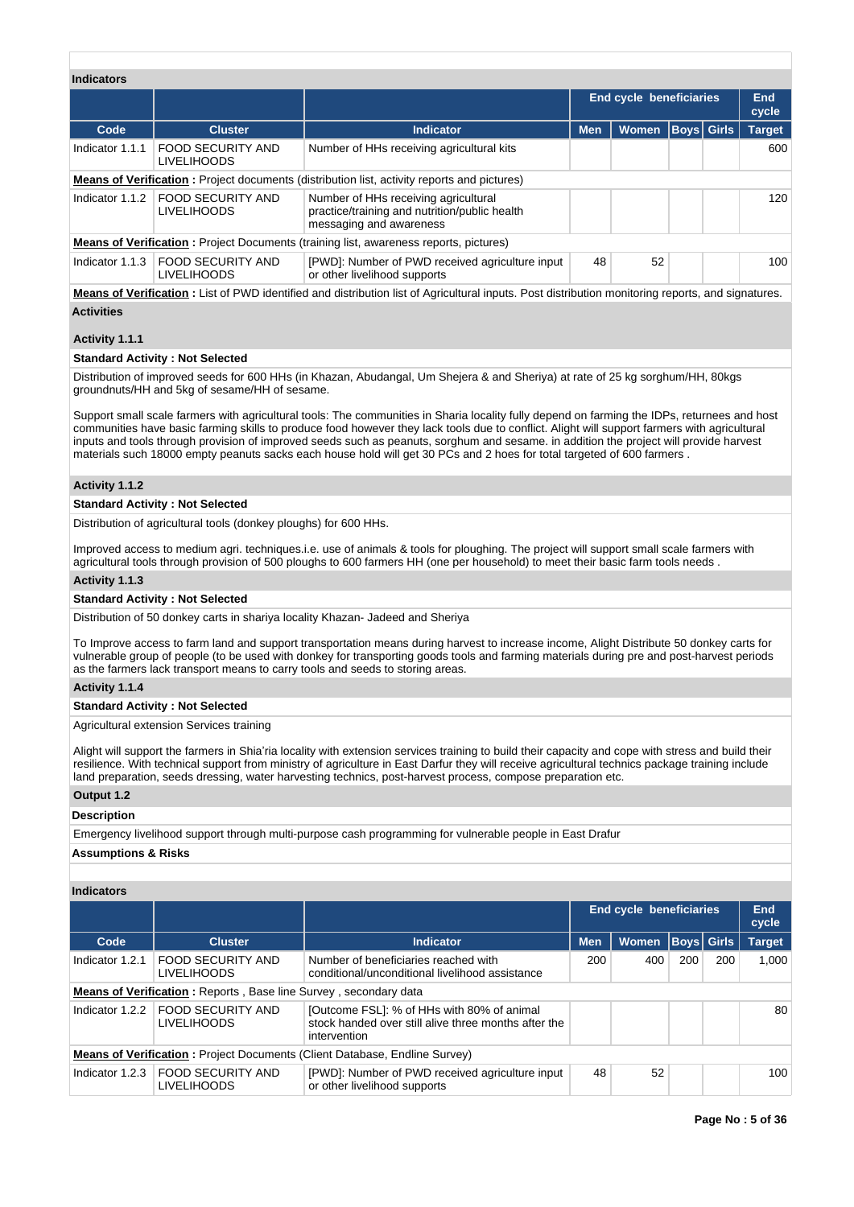| <b>Indicators</b> |                                                                                              |                                                                                                                  |                                |              |                   |              |               |
|-------------------|----------------------------------------------------------------------------------------------|------------------------------------------------------------------------------------------------------------------|--------------------------------|--------------|-------------------|--------------|---------------|
|                   |                                                                                              |                                                                                                                  | <b>End cycle beneficiaries</b> |              |                   | End<br>cycle |               |
| Code              | <b>Cluster</b>                                                                               | <b>Indicator</b>                                                                                                 | <b>Men</b>                     | <b>Women</b> | <b>Boys Girls</b> |              | <b>Target</b> |
| Indicator 1.1.1   | <b>FOOD SECURITY AND</b><br><b>LIVELIHOODS</b>                                               | Number of HHs receiving agricultural kits                                                                        |                                |              |                   |              | 600           |
|                   |                                                                                              | <b>Means of Verification:</b> Project documents (distribution list, activity reports and pictures)               |                                |              |                   |              |               |
| Indicator $1.1.2$ | <b>FOOD SECURITY AND</b><br><b>LIVELIHOODS</b>                                               | Number of HHs receiving agricultural<br>practice/training and nutrition/public health<br>messaging and awareness |                                |              |                   |              | 120           |
|                   | <b>Means of Verification:</b> Project Documents (training list, awareness reports, pictures) |                                                                                                                  |                                |              |                   |              |               |
|                   | Indicator 1.1.3   FOOD SECURITY AND<br><b>LIVELIHOODS</b>                                    | [PWD]: Number of PWD received agriculture input<br>or other livelihood supports                                  | 48                             | 52           |                   |              | 100           |
|                   |                                                                                              |                                                                                                                  |                                |              |                   |              |               |

**Means of Verification :** List of PWD identified and distribution list of Agricultural inputs. Post distribution monitoring reports, and signatures. **Activities**

# **Activity 1.1.1**

# **Standard Activity : Not Selected**

Distribution of improved seeds for 600 HHs (in Khazan, Abudangal, Um Shejera & and Sheriya) at rate of 25 kg sorghum/HH, 80kgs groundnuts/HH and 5kg of sesame/HH of sesame.

Support small scale farmers with agricultural tools: The communities in Sharia locality fully depend on farming the IDPs, returnees and host communities have basic farming skills to produce food however they lack tools due to conflict. Alight will support farmers with agricultural inputs and tools through provision of improved seeds such as peanuts, sorghum and sesame. in addition the project will provide harvest materials such 18000 empty peanuts sacks each house hold will get 30 PCs and 2 hoes for total targeted of 600 farmers .

# **Activity 1.1.2**

# **Standard Activity : Not Selected**

Distribution of agricultural tools (donkey ploughs) for 600 HHs.

Improved access to medium agri. techniques.i.e. use of animals & tools for ploughing. The project will support small scale farmers with agricultural tools through provision of 500 ploughs to 600 farmers HH (one per household) to meet their basic farm tools needs .

### **Activity 1.1.3**

### **Standard Activity : Not Selected**

Distribution of 50 donkey carts in shariya locality Khazan- Jadeed and Sheriya

To Improve access to farm land and support transportation means during harvest to increase income, Alight Distribute 50 donkey carts for vulnerable group of people (to be used with donkey for transporting goods tools and farming materials during pre and post-harvest periods as the farmers lack transport means to carry tools and seeds to storing areas.

### **Activity 1.1.4**

### **Standard Activity : Not Selected**

Agricultural extension Services training

Alight will support the farmers in Shia'ria locality with extension services training to build their capacity and cope with stress and build their resilience. With technical support from ministry of agriculture in East Darfur they will receive agricultural technics package training include land preparation, seeds dressing, water harvesting technics, post-harvest process, compose preparation etc.

# **Output 1.2**

# **Description**

Emergency livelihood support through multi-purpose cash programming for vulnerable people in East Drafur

# **Assumptions & Risks**

# **Indicators**

|                                                                                   |                                                                         |                                                                                                                    | End cycle beneficiaries |              | End<br>cycle |             |               |
|-----------------------------------------------------------------------------------|-------------------------------------------------------------------------|--------------------------------------------------------------------------------------------------------------------|-------------------------|--------------|--------------|-------------|---------------|
| Code                                                                              | <b>Cluster</b>                                                          | Indicator                                                                                                          | <b>Men</b>              | <b>Women</b> |              | Boys  Girls | <b>Target</b> |
| Indicator 1.2.1                                                                   | <b>FOOD SECURITY AND</b><br><b>LIVELIHOODS</b>                          | Number of beneficiaries reached with<br>conditional/unconditional livelihood assistance                            | 200                     | 400          | 200          | 200         | 1.000         |
|                                                                                   | <b>Means of Verification:</b> Reports, Base line Survey, secondary data |                                                                                                                    |                         |              |              |             |               |
| Indicator 1.2.2                                                                   | FOOD SECURITY AND<br><b>LIVELIHOODS</b>                                 | [Outcome FSL]: % of HHs with 80% of animal<br>stock handed over still alive three months after the<br>intervention |                         |              |              |             | 80            |
| <b>Means of Verification:</b> Project Documents (Client Database, Endline Survey) |                                                                         |                                                                                                                    |                         |              |              |             |               |
| Indicator 1.2.3                                                                   | <b>FOOD SECURITY AND</b><br>LIVELIHOODS                                 | [PWD]: Number of PWD received agriculture input<br>or other livelihood supports                                    | 48                      | 52           |              |             | 100           |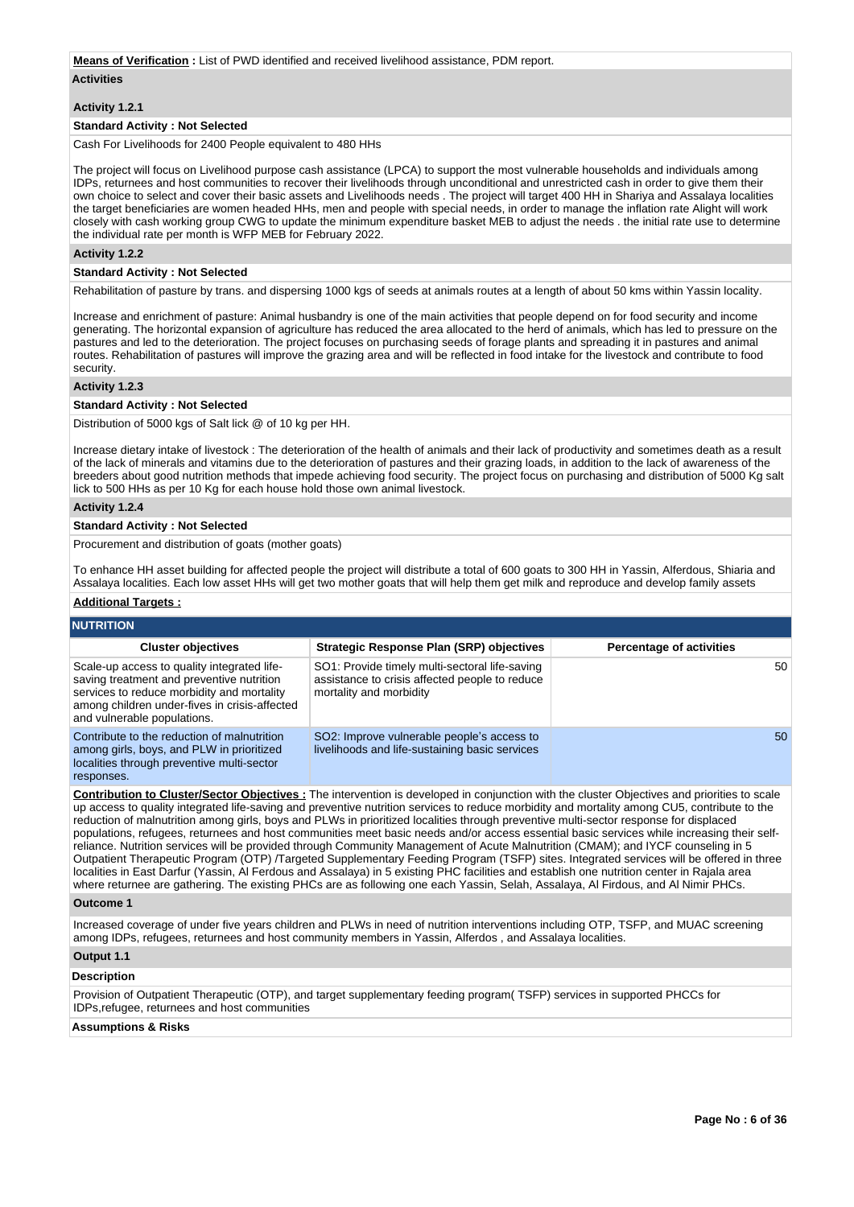### **Means of Verification :** List of PWD identified and received livelihood assistance, PDM report.

### **Activities**

# **Activity 1.2.1**

# **Standard Activity : Not Selected**

Cash For Livelihoods for 2400 People equivalent to 480 HHs

The project will focus on Livelihood purpose cash assistance (LPCA) to support the most vulnerable households and individuals among IDPs, returnees and host communities to recover their livelihoods through unconditional and unrestricted cash in order to give them their own choice to select and cover their basic assets and Livelihoods needs . The project will target 400 HH in Shariya and Assalaya localities the target beneficiaries are women headed HHs, men and people with special needs, in order to manage the inflation rate Alight will work closely with cash working group CWG to update the minimum expenditure basket MEB to adjust the needs . the initial rate use to determine the individual rate per month is WFP MEB for February 2022.

# **Activity 1.2.2**

# **Standard Activity : Not Selected**

Rehabilitation of pasture by trans, and dispersing 1000 kgs of seeds at animals routes at a length of about 50 kms within Yassin locality.

Increase and enrichment of pasture: Animal husbandry is one of the main activities that people depend on for food security and income generating. The horizontal expansion of agriculture has reduced the area allocated to the herd of animals, which has led to pressure on the pastures and led to the deterioration. The project focuses on purchasing seeds of forage plants and spreading it in pastures and animal routes. Rehabilitation of pastures will improve the grazing area and will be reflected in food intake for the livestock and contribute to food security.

# **Activity 1.2.3**

# **Standard Activity : Not Selected**

Distribution of 5000 kgs of Salt lick @ of 10 kg per HH.

Increase dietary intake of livestock : The deterioration of the health of animals and their lack of productivity and sometimes death as a result of the lack of minerals and vitamins due to the deterioration of pastures and their grazing loads, in addition to the lack of awareness of the breeders about good nutrition methods that impede achieving food security. The project focus on purchasing and distribution of 5000 Kg salt lick to 500 HHs as per 10 Kg for each house hold those own animal livestock.

# **Activity 1.2.4**

### **Standard Activity : Not Selected**

Procurement and distribution of goats (mother goats)

To enhance HH asset building for affected people the project will distribute a total of 600 goats to 300 HH in Yassin, Alferdous, Shiaria and Assalaya localities. Each low asset HHs will get two mother goats that will help them get milk and reproduce and develop family assets

# **Additional Targets :**

| <b>NUTRITION</b>                                                                                                                                                                                                       |                                                                                                                             |                                 |  |  |  |  |  |
|------------------------------------------------------------------------------------------------------------------------------------------------------------------------------------------------------------------------|-----------------------------------------------------------------------------------------------------------------------------|---------------------------------|--|--|--|--|--|
| <b>Cluster objectives</b>                                                                                                                                                                                              | <b>Strategic Response Plan (SRP) objectives</b>                                                                             | <b>Percentage of activities</b> |  |  |  |  |  |
| Scale-up access to quality integrated life-<br>saving treatment and preventive nutrition<br>services to reduce morbidity and mortality<br>among children under-fives in crisis-affected<br>and vulnerable populations. | SO1: Provide timely multi-sectoral life-saving<br>assistance to crisis affected people to reduce<br>mortality and morbidity | 50                              |  |  |  |  |  |
| Contribute to the reduction of malnutrition<br>among girls, boys, and PLW in prioritized<br>localities through preventive multi-sector<br>responses.                                                                   | SO2: Improve vulnerable people's access to<br>livelihoods and life-sustaining basic services                                | 50                              |  |  |  |  |  |

**Contribution to Cluster/Sector Objectives :** The intervention is developed in conjunction with the cluster Objectives and priorities to scale up access to quality integrated life-saving and preventive nutrition services to reduce morbidity and mortality among CU5, contribute to the reduction of malnutrition among girls, boys and PLWs in prioritized localities through preventive multi-sector response for displaced populations, refugees, returnees and host communities meet basic needs and/or access essential basic services while increasing their selfreliance. Nutrition services will be provided through Community Management of Acute Malnutrition (CMAM); and IYCF counseling in 5 Outpatient Therapeutic Program (OTP) /Targeted Supplementary Feeding Program (TSFP) sites. Integrated services will be offered in three localities in East Darfur (Yassin, Al Ferdous and Assalaya) in 5 existing PHC facilities and establish one nutrition center in Rajala area where returnee are gathering. The existing PHCs are as following one each Yassin, Selah, Assalaya, Al Firdous, and Al Nimir PHCs.

### **Outcome 1**

Increased coverage of under five years children and PLWs in need of nutrition interventions including OTP, TSFP, and MUAC screening among IDPs, refugees, returnees and host community members in Yassin, Alferdos , and Assalaya localities.

# **Output 1.1**

### **Description**

Provision of Outpatient Therapeutic (OTP), and target supplementary feeding program( TSFP) services in supported PHCCs for IDPs,refugee, returnees and host communities

# **Assumptions & Risks**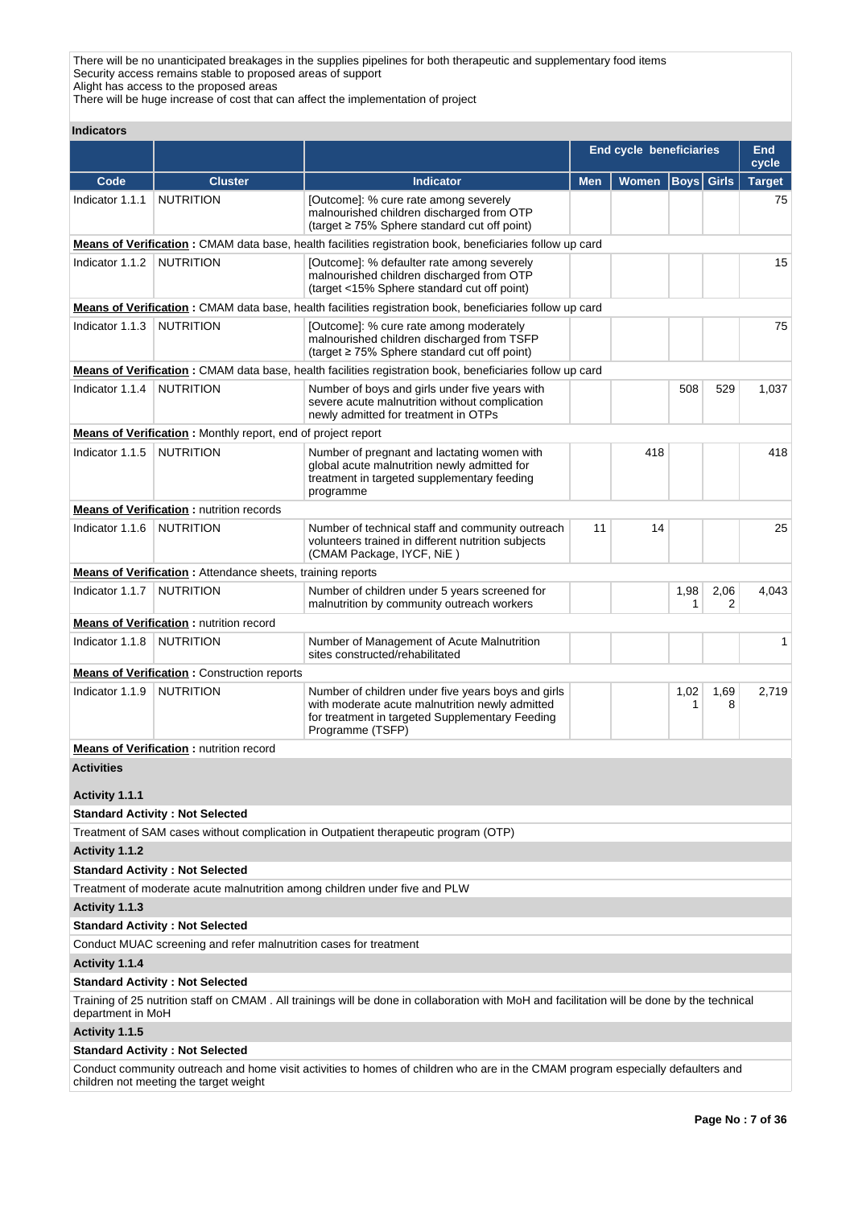There will be no unanticipated breakages in the supplies pipelines for both therapeutic and supplementary food items Security access remains stable to proposed areas of support Alight has access to the proposed areas

There will be huge increase of cost that can affect the implementation of project

| <b>Indicators</b>                   |                                                                   |                                                                                                                                                                              |            |                                |                   |           |                        |
|-------------------------------------|-------------------------------------------------------------------|------------------------------------------------------------------------------------------------------------------------------------------------------------------------------|------------|--------------------------------|-------------------|-----------|------------------------|
|                                     |                                                                   |                                                                                                                                                                              |            | <b>End cycle beneficiaries</b> |                   |           | <b>End</b>             |
| Code                                | <b>Cluster</b>                                                    | <b>Indicator</b>                                                                                                                                                             | <b>Men</b> | Women                          | <b>Boys Girls</b> |           | cycle<br><b>Target</b> |
| Indicator 1.1.1                     | <b>NUTRITION</b>                                                  | [Outcome]: % cure rate among severely<br>malnourished children discharged from OTP<br>(target $\geq$ 75% Sphere standard cut off point)                                      |            |                                |                   |           | 75                     |
|                                     |                                                                   | Means of Verification: CMAM data base, health facilities registration book, beneficiaries follow up card                                                                     |            |                                |                   |           |                        |
| Indicator 1.1.2                     | NUTRITION                                                         | [Outcome]: % defaulter rate among severely<br>malnourished children discharged from OTP<br>(target <15% Sphere standard cut off point)                                       |            |                                |                   |           | 15                     |
|                                     |                                                                   | Means of Verification: CMAM data base, health facilities registration book, beneficiaries follow up card                                                                     |            |                                |                   |           |                        |
| Indicator 1.1.3                     | <b>NUTRITION</b>                                                  | [Outcome]: % cure rate among moderately<br>malnourished children discharged from TSFP<br>(target $\geq$ 75% Sphere standard cut off point)                                   |            |                                |                   |           | 75                     |
|                                     |                                                                   | Means of Verification: CMAM data base, health facilities registration book, beneficiaries follow up card                                                                     |            |                                |                   |           |                        |
| Indicator 1.1.4                     | NUTRITION                                                         | Number of boys and girls under five years with<br>severe acute malnutrition without complication<br>newly admitted for treatment in OTPs                                     |            |                                | 508               | 529       | 1,037                  |
|                                     | Means of Verification: Monthly report, end of project report      |                                                                                                                                                                              |            |                                |                   |           |                        |
| Indicator 1.1.5                     | <b>NUTRITION</b>                                                  | Number of pregnant and lactating women with<br>global acute malnutrition newly admitted for<br>treatment in targeted supplementary feeding<br>programme                      |            | 418                            |                   |           | 418                    |
|                                     | <b>Means of Verification: nutrition records</b>                   |                                                                                                                                                                              |            |                                |                   |           |                        |
| Indicator 1.1.6                     | NUTRITION                                                         | Number of technical staff and community outreach<br>volunteers trained in different nutrition subjects<br>(CMAM Package, IYCF, NiE)                                          | 11         | 14                             |                   |           | 25                     |
|                                     | <b>Means of Verification:</b> Attendance sheets, training reports |                                                                                                                                                                              |            |                                |                   |           |                        |
| Indicator 1.1.7                     | <b>NUTRITION</b>                                                  | Number of children under 5 years screened for<br>malnutrition by community outreach workers                                                                                  |            |                                | 1,98<br>1         | 2,06<br>2 | 4,043                  |
|                                     | <b>Means of Verification:</b> nutrition record                    |                                                                                                                                                                              |            |                                |                   |           |                        |
| Indicator 1.1.8                     | <b>NUTRITION</b>                                                  | Number of Management of Acute Malnutrition<br>sites constructed/rehabilitated                                                                                                |            |                                |                   |           | $\mathbf 1$            |
|                                     | <b>Means of Verification:</b> Construction reports                |                                                                                                                                                                              |            |                                |                   |           |                        |
| Indicator 1.1.9                     | <b>NUTRITION</b>                                                  | Number of children under five years boys and girls<br>with moderate acute malnutrition newly admitted<br>for treatment in targeted Supplementary Feeding<br>Programme (TSFP) |            |                                | 1,02<br>1         | 1,69<br>8 | 2,719                  |
|                                     | <b>Means of Verification: nutrition record</b>                    |                                                                                                                                                                              |            |                                |                   |           |                        |
| <b>Activities</b><br>Activity 1.1.1 |                                                                   |                                                                                                                                                                              |            |                                |                   |           |                        |
|                                     | <b>Standard Activity: Not Selected</b>                            |                                                                                                                                                                              |            |                                |                   |           |                        |
|                                     |                                                                   | Treatment of SAM cases without complication in Outpatient therapeutic program (OTP)                                                                                          |            |                                |                   |           |                        |
| Activity 1.1.2                      |                                                                   |                                                                                                                                                                              |            |                                |                   |           |                        |
|                                     | <b>Standard Activity: Not Selected</b>                            |                                                                                                                                                                              |            |                                |                   |           |                        |
|                                     |                                                                   | Treatment of moderate acute malnutrition among children under five and PLW                                                                                                   |            |                                |                   |           |                        |
| Activity 1.1.3                      |                                                                   |                                                                                                                                                                              |            |                                |                   |           |                        |
|                                     | <b>Standard Activity: Not Selected</b>                            |                                                                                                                                                                              |            |                                |                   |           |                        |
|                                     | Conduct MUAC screening and refer malnutrition cases for treatment |                                                                                                                                                                              |            |                                |                   |           |                        |
| Activity 1.1.4                      |                                                                   |                                                                                                                                                                              |            |                                |                   |           |                        |
|                                     | <b>Standard Activity: Not Selected</b>                            |                                                                                                                                                                              |            |                                |                   |           |                        |
| department in MoH                   |                                                                   | Training of 25 nutrition staff on CMAM. All trainings will be done in collaboration with MoH and facilitation will be done by the technical                                  |            |                                |                   |           |                        |
| Activity 1.1.5                      |                                                                   |                                                                                                                                                                              |            |                                |                   |           |                        |
|                                     | <b>Standard Activity: Not Selected</b>                            |                                                                                                                                                                              |            |                                |                   |           |                        |
|                                     |                                                                   | Conduct community outreach and home visit activities to homes of children who are in the CMAM program especially defaulters and                                              |            |                                |                   |           |                        |

children not meeting the target weight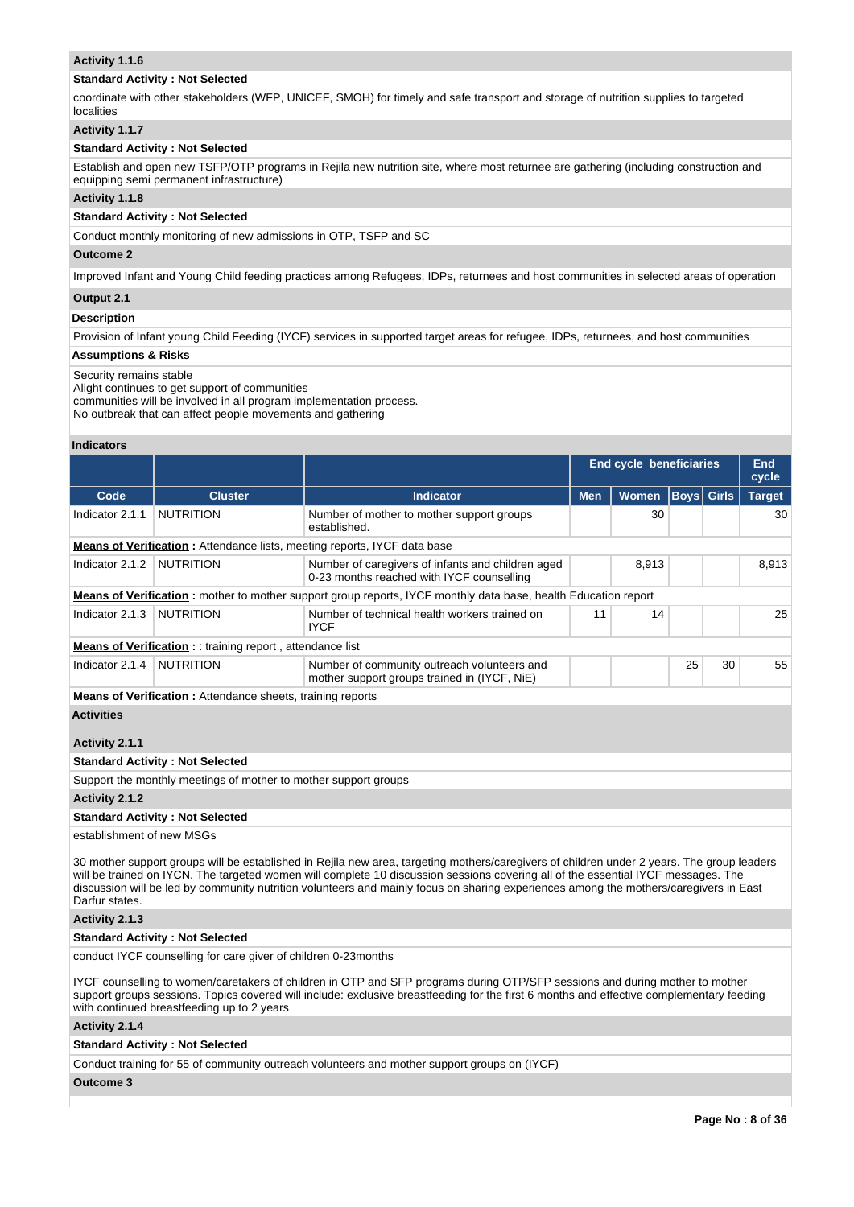# **Activity 1.1.6**

# **Standard Activity : Not Selected**

coordinate with other stakeholders (WFP, UNICEF, SMOH) for timely and safe transport and storage of nutrition supplies to targeted localities

# **Activity 1.1.7**

# **Standard Activity : Not Selected**

Establish and open new TSFP/OTP programs in Rejila new nutrition site, where most returnee are gathering (including construction and equipping semi permanent infrastructure)

# **Activity 1.1.8**

# **Standard Activity : Not Selected**

Conduct monthly monitoring of new admissions in OTP, TSFP and SC

# **Outcome 2**

Improved Infant and Young Child feeding practices among Refugees, IDPs, returnees and host communities in selected areas of operation

# **Output 2.1**

# **Description**

Provision of Infant young Child Feeding (IYCF) services in supported target areas for refugee, IDPs, returnees, and host communities

# **Assumptions & Risks**

### Security remains stable

Alight continues to get support of communities

communities will be involved in all program implementation process.

No outbreak that can affect people movements and gathering

### **Indicators**

|                                                                                                                                                                                                                                                                                                                                                                                                                                            |                                                                                 |                                                                                                                        | <b>End cycle beneficiaries</b> |       |                   | End<br>cycle |               |
|--------------------------------------------------------------------------------------------------------------------------------------------------------------------------------------------------------------------------------------------------------------------------------------------------------------------------------------------------------------------------------------------------------------------------------------------|---------------------------------------------------------------------------------|------------------------------------------------------------------------------------------------------------------------|--------------------------------|-------|-------------------|--------------|---------------|
| Code                                                                                                                                                                                                                                                                                                                                                                                                                                       | <b>Cluster</b>                                                                  | <b>Indicator</b>                                                                                                       | <b>Men</b>                     | Women | <b>Boys</b> Girls |              | <b>Target</b> |
| Indicator 2.1.1                                                                                                                                                                                                                                                                                                                                                                                                                            | <b>NUTRITION</b>                                                                | Number of mother to mother support groups<br>established.                                                              |                                | 30    |                   |              | 30            |
|                                                                                                                                                                                                                                                                                                                                                                                                                                            | <b>Means of Verification:</b> Attendance lists, meeting reports, IYCF data base |                                                                                                                        |                                |       |                   |              |               |
| Indicator 2.1.2                                                                                                                                                                                                                                                                                                                                                                                                                            | <b>NUTRITION</b>                                                                | Number of caregivers of infants and children aged<br>0-23 months reached with IYCF counselling                         |                                | 8,913 |                   |              | 8,913         |
|                                                                                                                                                                                                                                                                                                                                                                                                                                            |                                                                                 | <b>Means of Verification</b> : mother to mother support group reports, IYCF monthly data base, health Education report |                                |       |                   |              |               |
| Indicator 2.1.3                                                                                                                                                                                                                                                                                                                                                                                                                            | <b>NUTRITION</b>                                                                | Number of technical health workers trained on<br><b>IYCF</b>                                                           | 11                             | 14    |                   |              | 25            |
|                                                                                                                                                                                                                                                                                                                                                                                                                                            | <b>Means of Verification:</b> : training report, attendance list                |                                                                                                                        |                                |       |                   |              |               |
| Indicator 2.1.4                                                                                                                                                                                                                                                                                                                                                                                                                            | <b>NUTRITION</b>                                                                | Number of community outreach volunteers and<br>mother support groups trained in (IYCF, NiE)                            |                                |       | 25                | 30           | 55            |
|                                                                                                                                                                                                                                                                                                                                                                                                                                            | <b>Means of Verification:</b> Attendance sheets, training reports               |                                                                                                                        |                                |       |                   |              |               |
| <b>Activities</b>                                                                                                                                                                                                                                                                                                                                                                                                                          |                                                                                 |                                                                                                                        |                                |       |                   |              |               |
| Activity 2.1.1                                                                                                                                                                                                                                                                                                                                                                                                                             |                                                                                 |                                                                                                                        |                                |       |                   |              |               |
|                                                                                                                                                                                                                                                                                                                                                                                                                                            | <b>Standard Activity: Not Selected</b>                                          |                                                                                                                        |                                |       |                   |              |               |
|                                                                                                                                                                                                                                                                                                                                                                                                                                            | Support the monthly meetings of mother to mother support groups                 |                                                                                                                        |                                |       |                   |              |               |
| Activity 2.1.2                                                                                                                                                                                                                                                                                                                                                                                                                             |                                                                                 |                                                                                                                        |                                |       |                   |              |               |
|                                                                                                                                                                                                                                                                                                                                                                                                                                            | <b>Standard Activity: Not Selected</b>                                          |                                                                                                                        |                                |       |                   |              |               |
| establishment of new MSGs                                                                                                                                                                                                                                                                                                                                                                                                                  |                                                                                 |                                                                                                                        |                                |       |                   |              |               |
| 30 mother support groups will be established in Rejila new area, targeting mothers/caregivers of children under 2 years. The group leaders<br>will be trained on IYCN. The targeted women will complete 10 discussion sessions covering all of the essential IYCF messages. The<br>discussion will be led by community nutrition volunteers and mainly focus on sharing experiences among the mothers/caregivers in East<br>Darfur states. |                                                                                 |                                                                                                                        |                                |       |                   |              |               |

# **Activity 2.1.3**

# **Standard Activity : Not Selected**

conduct IYCF counselling for care giver of children 0-23months

IYCF counselling to women/caretakers of children in OTP and SFP programs during OTP/SFP sessions and during mother to mother support groups sessions. Topics covered will include: exclusive breastfeeding for the first 6 months and effective complementary feeding with continued breastfeeding up to 2 years

# **Activity 2.1.4**

# **Standard Activity : Not Selected**

Conduct training for 55 of community outreach volunteers and mother support groups on (IYCF)

# **Outcome 3**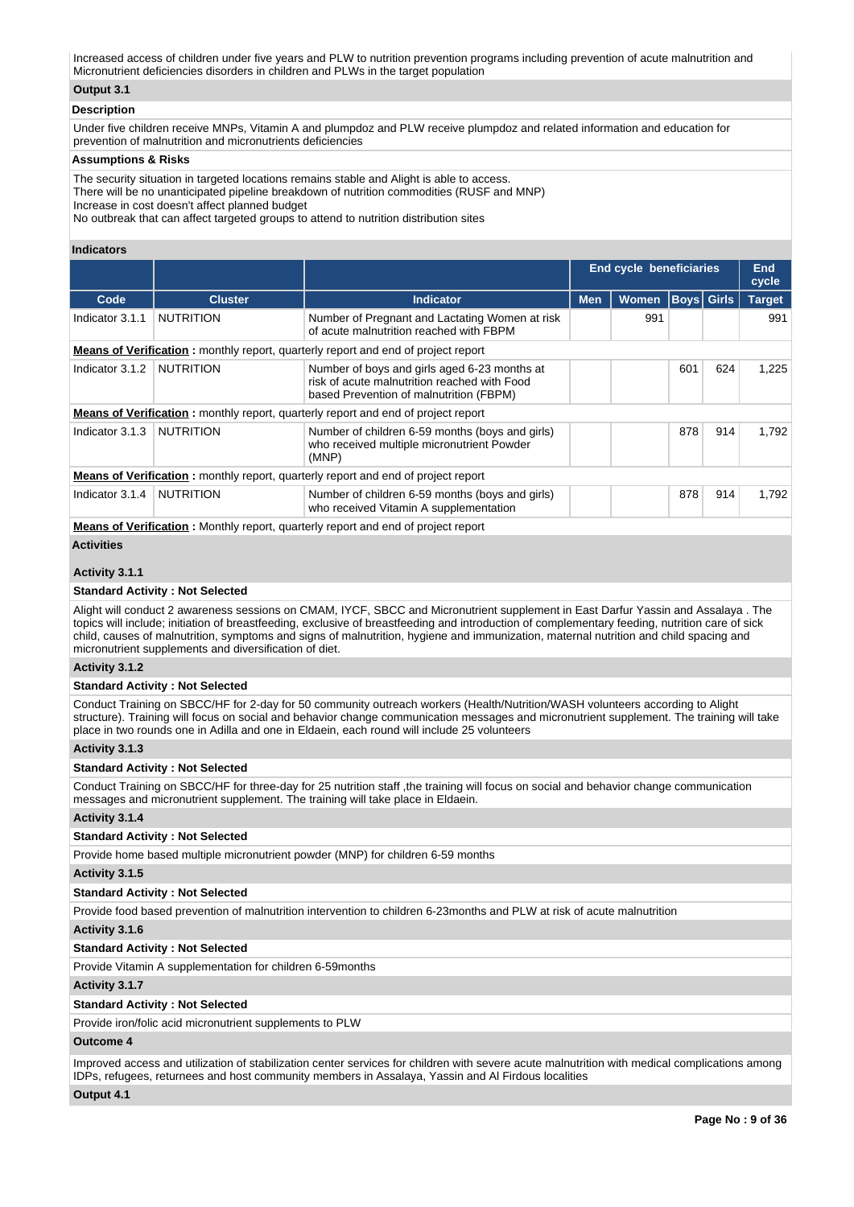Increased access of children under five years and PLW to nutrition prevention programs including prevention of acute malnutrition and Micronutrient deficiencies disorders in children and PLWs in the target population

# **Output 3.1**

# **Description**

Under five children receive MNPs, Vitamin A and plumpdoz and PLW receive plumpdoz and related information and education for prevention of malnutrition and micronutrients deficiencies

### **Assumptions & Risks**

The security situation in targeted locations remains stable and Alight is able to access.

There will be no unanticipated pipeline breakdown of nutrition commodities (RUSF and MNP)

Increase in cost doesn't affect planned budget

No outbreak that can affect targeted groups to attend to nutrition distribution sites

# **Indicators**

|                                                                                          |                  |                                                                                                                                         | <b>End cycle beneficiaries</b> |              | <b>End</b><br>cycle |     |               |  |  |  |  |
|------------------------------------------------------------------------------------------|------------------|-----------------------------------------------------------------------------------------------------------------------------------------|--------------------------------|--------------|---------------------|-----|---------------|--|--|--|--|
| Code                                                                                     | <b>Cluster</b>   | <b>Indicator</b>                                                                                                                        | <b>Men</b>                     | <b>Women</b> | <b>Boys Girls</b>   |     | <b>Target</b> |  |  |  |  |
| Indicator 3.1.1                                                                          | <b>NUTRITION</b> | Number of Pregnant and Lactating Women at risk<br>of acute malnutrition reached with FBPM                                               |                                | 991          |                     |     | 991           |  |  |  |  |
| <b>Means of Verification:</b> monthly report, quarterly report and end of project report |                  |                                                                                                                                         |                                |              |                     |     |               |  |  |  |  |
| Indicator 3.1.2                                                                          | <b>NUTRITION</b> | Number of boys and girls aged 6-23 months at<br>risk of acute malnutrition reached with Food<br>based Prevention of malnutrition (FBPM) |                                |              | 601                 | 624 | 1,225         |  |  |  |  |
|                                                                                          |                  | <b>Means of Verification:</b> monthly report, quarterly report and end of project report                                                |                                |              |                     |     |               |  |  |  |  |
| Indicator 3.1.3                                                                          | <b>NUTRITION</b> | Number of children 6-59 months (boys and girls)<br>who received multiple micronutrient Powder<br>(MNP)                                  |                                |              | 878                 | 914 | 1.792         |  |  |  |  |
|                                                                                          |                  | <b>Means of Verification:</b> monthly report, quarterly report and end of project report                                                |                                |              |                     |     |               |  |  |  |  |
| Indicator 3.1.4                                                                          | <b>NUTRITION</b> | Number of children 6-59 months (boys and girls)<br>who received Vitamin A supplementation                                               |                                | 878<br>914   |                     |     |               |  |  |  |  |
| <b>Advised of Montflood</b> and Advertise and an annual second of the fourth of the set  |                  |                                                                                                                                         |                                |              |                     |     |               |  |  |  |  |

**Means of Verification :** Monthly report, quarterly report and end of project report

# **Activities**

# **Activity 3.1.1**

# **Standard Activity : Not Selected**

Alight will conduct 2 awareness sessions on CMAM, IYCF, SBCC and Micronutrient supplement in East Darfur Yassin and Assalaya . The topics will include; initiation of breastfeeding, exclusive of breastfeeding and introduction of complementary feeding, nutrition care of sick child, causes of malnutrition, symptoms and signs of malnutrition, hygiene and immunization, maternal nutrition and child spacing and micronutrient supplements and diversification of diet.

### **Activity 3.1.2**

# **Standard Activity : Not Selected**

Conduct Training on SBCC/HF for 2-day for 50 community outreach workers (Health/Nutrition/WASH volunteers according to Alight structure). Training will focus on social and behavior change communication messages and micronutrient supplement. The training will take place in two rounds one in Adilla and one in Eldaein, each round will include 25 volunteers

# **Activity 3.1.3**

### **Standard Activity : Not Selected**

Conduct Training on SBCC/HF for three-day for 25 nutrition staff ,the training will focus on social and behavior change communication messages and micronutrient supplement. The training will take place in Eldaein.

### **Activity 3.1.4**

# **Standard Activity : Not Selected**

Provide home based multiple micronutrient powder (MNP) for children 6-59 months

# **Activity 3.1.5**

### **Standard Activity : Not Selected**

Provide food based prevention of malnutrition intervention to children 6-23months and PLW at risk of acute malnutrition

### **Activity 3.1.6**

# **Standard Activity : Not Selected**

Provide Vitamin A supplementation for children 6-59months

### **Activity 3.1.7**

**Standard Activity : Not Selected**

Provide iron/folic acid micronutrient supplements to PLW

# **Outcome 4**

Improved access and utilization of stabilization center services for children with severe acute malnutrition with medical complications among IDPs, refugees, returnees and host community members in Assalaya, Yassin and Al Firdous localities

# **Output 4.1**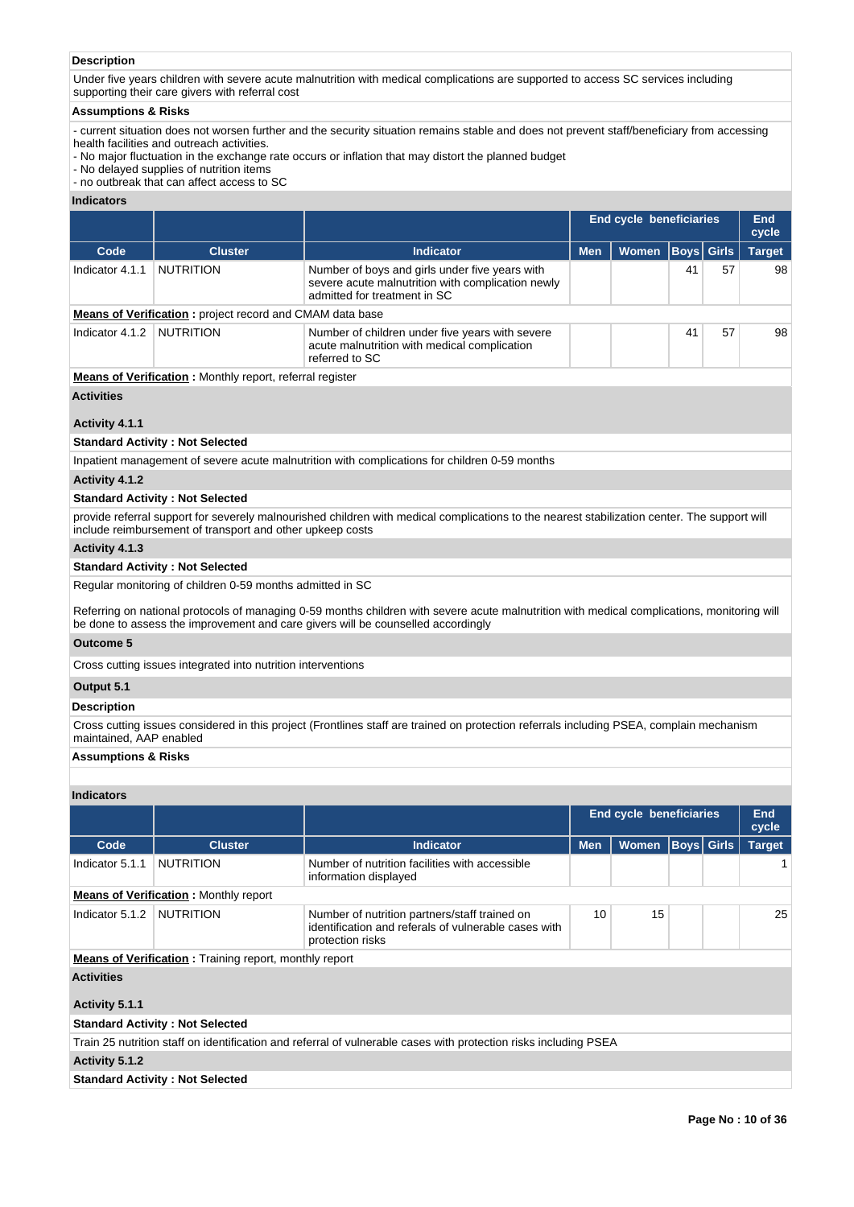# **Description**

Under five years children with severe acute malnutrition with medical complications are supported to access SC services including supporting their care givers with referral cost

### **Assumptions & Risks**

- current situation does not worsen further and the security situation remains stable and does not prevent staff/beneficiary from accessing health facilities and outreach activities.

- No major fluctuation in the exchange rate occurs or inflation that may distort the planned budget
- No delayed supplies of nutrition items
- no outbreak that can affect access to SC

# **Indicators**

|                 |                                                                 |                                                                                                                                     |            | End cycle beneficiaries |                   |    |               |  |  |
|-----------------|-----------------------------------------------------------------|-------------------------------------------------------------------------------------------------------------------------------------|------------|-------------------------|-------------------|----|---------------|--|--|
| Code            | <b>Cluster</b>                                                  | <b>Indicator</b>                                                                                                                    | <b>Men</b> | <b>Women</b>            | <b>Boys Girls</b> |    | <b>Target</b> |  |  |
| Indicator 4.1.1 | <b>NUTRITION</b>                                                | Number of boys and girls under five years with<br>severe acute malnutrition with complication newly<br>admitted for treatment in SC |            |                         | 41                | 57 | 98            |  |  |
|                 | <b>Means of Verification:</b> project record and CMAM data base |                                                                                                                                     |            |                         |                   |    |               |  |  |
| Indicator 4.1.2 | <b>NUTRITION</b>                                                | Number of children under five years with severe<br>acute malnutrition with medical complication<br>referred to SC                   | 41<br>57   |                         |                   |    | 98            |  |  |

# **Means of Verification :** Monthly report, referral register

# **Activities**

# **Activity 4.1.1**

# **Standard Activity : Not Selected**

Inpatient management of severe acute malnutrition with complications for children 0-59 months

# **Activity 4.1.2**

# **Standard Activity : Not Selected**

provide referral support for severely malnourished children with medical complications to the nearest stabilization center. The support will include reimbursement of transport and other upkeep costs

# **Activity 4.1.3**

### **Standard Activity : Not Selected**

Regular monitoring of children 0-59 months admitted in SC

Referring on national protocols of managing 0-59 months children with severe acute malnutrition with medical complications, monitoring will be done to assess the improvement and care givers will be counselled accordingly

# **Outcome 5**

Cross cutting issues integrated into nutrition interventions

# **Output 5.1**

### **Description**

Cross cutting issues considered in this project (Frontlines staff are trained on protection referrals including PSEA, complain mechanism maintained, AAP enabled

# **Assumptions & Risks**

# **Indicators**

|                                              |                                                               |                                                                                                                           | <b>End cycle beneficiaries</b> |              | End<br>cycle |                   |               |  |  |  |  |
|----------------------------------------------|---------------------------------------------------------------|---------------------------------------------------------------------------------------------------------------------------|--------------------------------|--------------|--------------|-------------------|---------------|--|--|--|--|
| Code                                         | <b>Cluster</b>                                                | <b>Indicator</b>                                                                                                          | <b>Men</b>                     | <b>Women</b> |              | <b>Boys Girls</b> | <b>Target</b> |  |  |  |  |
| Indicator 5.1.1                              | <b>NUTRITION</b>                                              | Number of nutrition facilities with accessible<br>information displayed                                                   |                                |              |              |                   |               |  |  |  |  |
| <b>Means of Verification:</b> Monthly report |                                                               |                                                                                                                           |                                |              |              |                   |               |  |  |  |  |
| Indicator 5.1.2                              | NUTRITION                                                     | Number of nutrition partners/staff trained on<br>identification and referals of vulnerable cases with<br>protection risks | 10                             | 15           |              |                   | 25            |  |  |  |  |
|                                              | <b>Means of Verification:</b> Training report, monthly report |                                                                                                                           |                                |              |              |                   |               |  |  |  |  |
| <b>Activities</b><br>Activity 5.1.1          |                                                               |                                                                                                                           |                                |              |              |                   |               |  |  |  |  |
|                                              | <b>Standard Activity: Not Selected</b>                        |                                                                                                                           |                                |              |              |                   |               |  |  |  |  |
|                                              |                                                               | Train 25 nutrition staff on identification and referral of vulnerable cases with protection risks including PSEA          |                                |              |              |                   |               |  |  |  |  |
| Activity 5.1.2                               |                                                               |                                                                                                                           |                                |              |              |                   |               |  |  |  |  |

# **Standard Activity : Not Selected**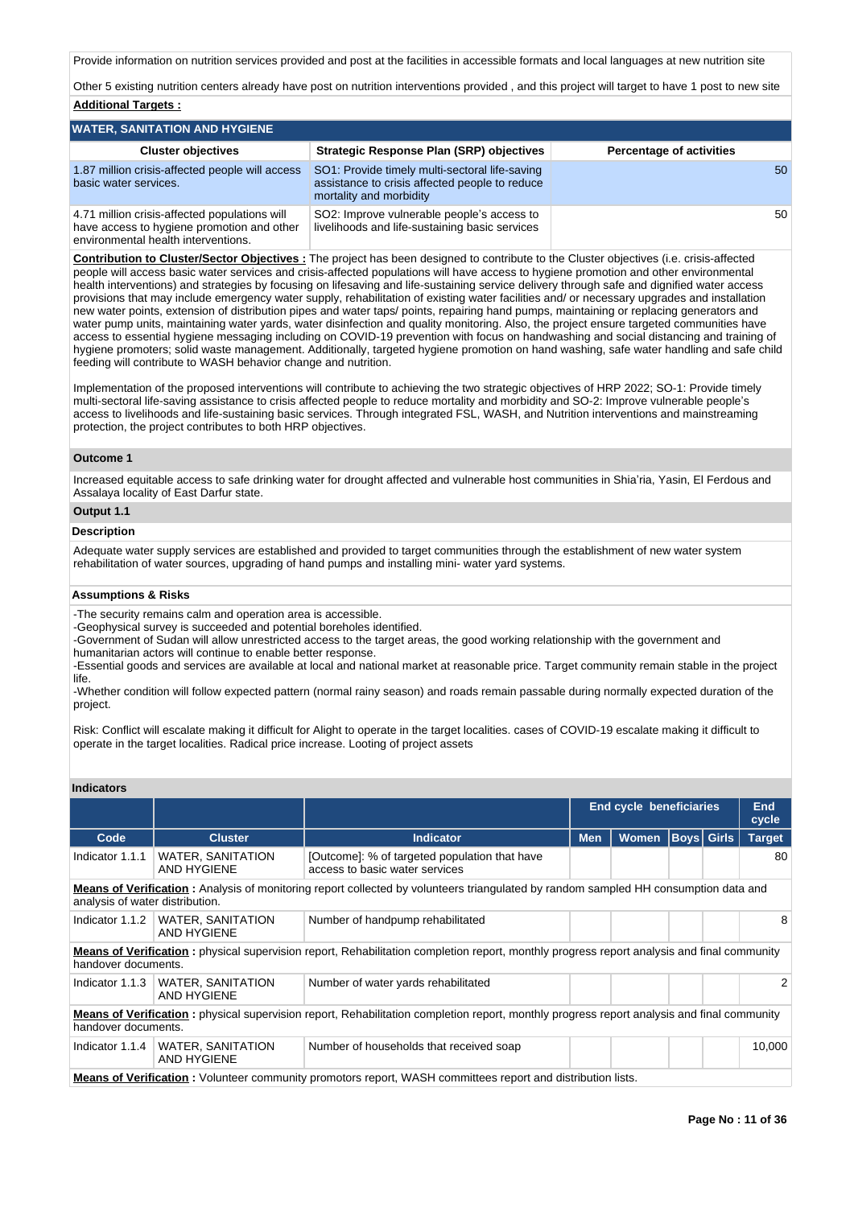Provide information on nutrition services provided and post at the facilities in accessible formats and local languages at new nutrition site

Other 5 existing nutrition centers already have post on nutrition interventions provided , and this project will target to have 1 post to new site **Additional Targets :**

### **WATER, SANITATION AND HYGIENE Cluster objectives Strategic Response Plan (SRP) objectives Percentage of activities** 1.87 million crisis-affected people will access basic water services. SO1: Provide timely multi-sectoral life-saving assistance to crisis affected people to reduce mortality and morbidity 50 4.71 million crisis-affected populations will have access to hygiene promotion and other environmental health interventions. SO2: Improve vulnerable people's access to livelihoods and life-sustaining basic services 50

**Contribution to Cluster/Sector Objectives :** The project has been designed to contribute to the Cluster objectives (i.e. crisis-affected people will access basic water services and crisis-affected populations will have access to hygiene promotion and other environmental health interventions) and strategies by focusing on lifesaving and life-sustaining service delivery through safe and dignified water access provisions that may include emergency water supply, rehabilitation of existing water facilities and/ or necessary upgrades and installation new water points, extension of distribution pipes and water taps/ points, repairing hand pumps, maintaining or replacing generators and water pump units, maintaining water yards, water disinfection and quality monitoring. Also, the project ensure targeted communities have access to essential hygiene messaging including on COVID-19 prevention with focus on handwashing and social distancing and training of hygiene promoters; solid waste management. Additionally, targeted hygiene promotion on hand washing, safe water handling and safe child feeding will contribute to WASH behavior change and nutrition.

Implementation of the proposed interventions will contribute to achieving the two strategic objectives of HRP 2022; SO-1: Provide timely multi-sectoral life-saving assistance to crisis affected people to reduce mortality and morbidity and SO-2: Improve vulnerable people's access to livelihoods and life-sustaining basic services. Through integrated FSL, WASH, and Nutrition interventions and mainstreaming protection, the project contributes to both HRP objectives.

### **Outcome 1**

Increased equitable access to safe drinking water for drought affected and vulnerable host communities in Shia'ria, Yasin, El Ferdous and Assalaya locality of East Darfur state.

# **Output 1.1**

# **Description**

Adequate water supply services are established and provided to target communities through the establishment of new water system rehabilitation of water sources, upgrading of hand pumps and installing mini- water yard systems.

### **Assumptions & Risks**

-The security remains calm and operation area is accessible.

-Geophysical survey is succeeded and potential boreholes identified.

-Government of Sudan will allow unrestricted access to the target areas, the good working relationship with the government and humanitarian actors will continue to enable better response.

-Essential goods and services are available at local and national market at reasonable price. Target community remain stable in the project life.

-Whether condition will follow expected pattern (normal rainy season) and roads remain passable during normally expected duration of the project.

Risk: Conflict will escalate making it difficult for Alight to operate in the target localities. cases of COVID-19 escalate making it difficult to operate in the target localities. Radical price increase. Looting of project assets

# **Indicators**

|                                                                                                                                                                                |                                                                                                                     |                                                                                                                                                    | <b>End cycle beneficiaries</b> |              | <b>End</b><br>cycle |                   |               |  |  |  |  |  |  |
|--------------------------------------------------------------------------------------------------------------------------------------------------------------------------------|---------------------------------------------------------------------------------------------------------------------|----------------------------------------------------------------------------------------------------------------------------------------------------|--------------------------------|--------------|---------------------|-------------------|---------------|--|--|--|--|--|--|
| Code                                                                                                                                                                           | <b>Cluster</b>                                                                                                      | Indicator                                                                                                                                          | <b>Men</b>                     | <b>Women</b> |                     | <b>Boys</b> Girls | <b>Target</b> |  |  |  |  |  |  |
| Indicator 1.1.1                                                                                                                                                                | <b>WATER, SANITATION</b><br>AND HYGIENE                                                                             |                                                                                                                                                    |                                |              |                     | 80                |               |  |  |  |  |  |  |
| <b>Means of Verification</b> : Analysis of monitoring report collected by volunteers triangulated by random sampled HH consumption data and<br>analysis of water distribution. |                                                                                                                     |                                                                                                                                                    |                                |              |                     |                   |               |  |  |  |  |  |  |
| Indicator 1.1.2                                                                                                                                                                | WATER, SANITATION<br>AND HYGIENE                                                                                    | Number of handpump rehabilitated                                                                                                                   |                                |              |                     |                   | 8             |  |  |  |  |  |  |
| handover documents.                                                                                                                                                            |                                                                                                                     | Means of Verification: physical supervision report, Rehabilitation completion report, monthly progress report analysis and final community         |                                |              |                     |                   |               |  |  |  |  |  |  |
| Indicator 1.1.3                                                                                                                                                                | <b>WATER, SANITATION</b><br>AND HYGIENE                                                                             | Number of water yards rehabilitated                                                                                                                |                                |              |                     |                   | 2             |  |  |  |  |  |  |
| handover documents.                                                                                                                                                            |                                                                                                                     | <b>Means of Verification</b> : physical supervision report, Rehabilitation completion report, monthly progress report analysis and final community |                                |              |                     |                   |               |  |  |  |  |  |  |
| Indicator 1.1.4                                                                                                                                                                | <b>WATER, SANITATION</b><br>AND HYGIENE                                                                             | Number of households that received soap                                                                                                            |                                | 10,000       |                     |                   |               |  |  |  |  |  |  |
|                                                                                                                                                                                | <b>Means of Verification</b> : Volunteer community promotors report, WASH committees report and distribution lists. |                                                                                                                                                    |                                |              |                     |                   |               |  |  |  |  |  |  |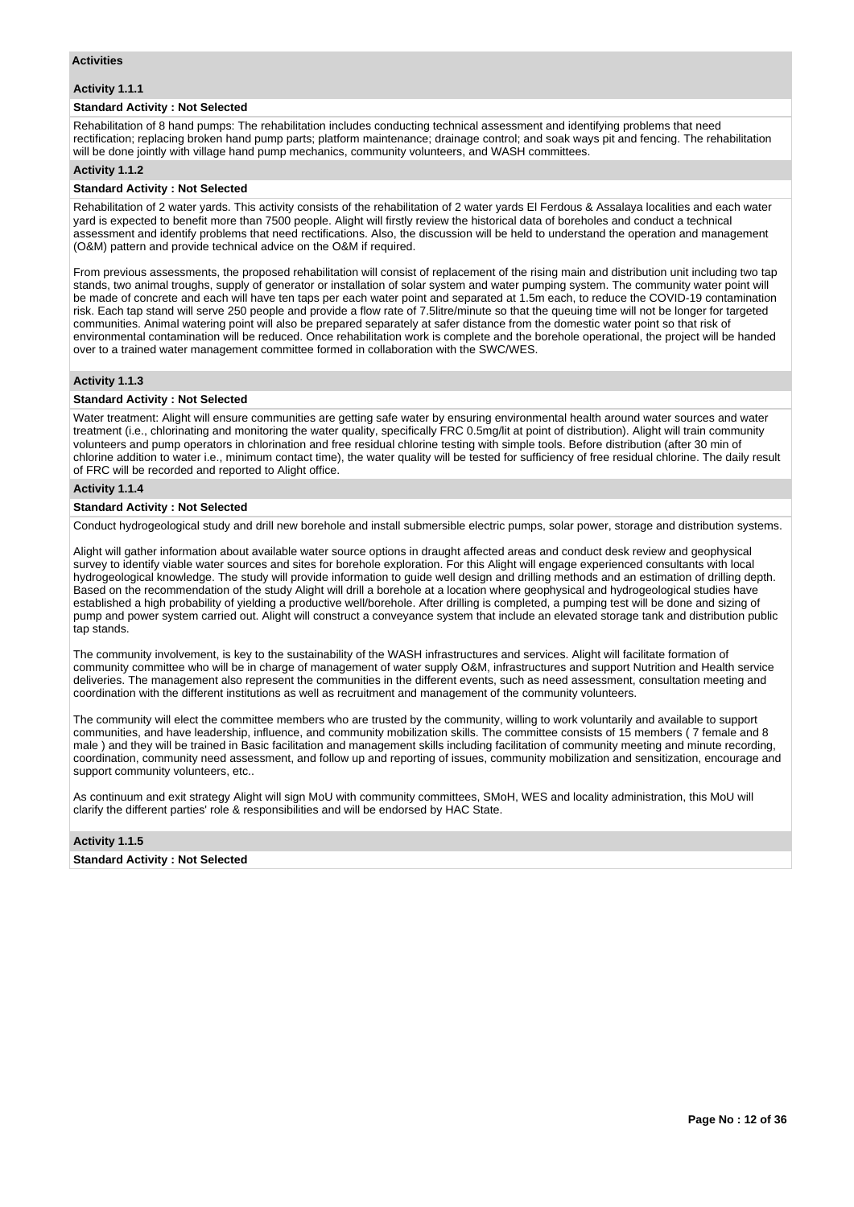# **Activities**

# **Activity 1.1.1**

# **Standard Activity : Not Selected**

Rehabilitation of 8 hand pumps: The rehabilitation includes conducting technical assessment and identifying problems that need rectification; replacing broken hand pump parts; platform maintenance; drainage control; and soak ways pit and fencing. The rehabilitation will be done jointly with village hand pump mechanics, community volunteers, and WASH committees.

### **Activity 1.1.2**

### **Standard Activity : Not Selected**

Rehabilitation of 2 water yards. This activity consists of the rehabilitation of 2 water yards El Ferdous & Assalaya localities and each water yard is expected to benefit more than 7500 people. Alight will firstly review the historical data of boreholes and conduct a technical assessment and identify problems that need rectifications. Also, the discussion will be held to understand the operation and management (O&M) pattern and provide technical advice on the O&M if required.

From previous assessments, the proposed rehabilitation will consist of replacement of the rising main and distribution unit including two tap stands, two animal troughs, supply of generator or installation of solar system and water pumping system. The community water point will be made of concrete and each will have ten taps per each water point and separated at 1.5m each, to reduce the COVID-19 contamination risk. Each tap stand will serve 250 people and provide a flow rate of 7.5litre/minute so that the queuing time will not be longer for targeted communities. Animal watering point will also be prepared separately at safer distance from the domestic water point so that risk of environmental contamination will be reduced. Once rehabilitation work is complete and the borehole operational, the project will be handed over to a trained water management committee formed in collaboration with the SWC/WES.

# **Activity 1.1.3**

# **Standard Activity : Not Selected**

Water treatment: Alight will ensure communities are getting safe water by ensuring environmental health around water sources and water treatment (i.e., chlorinating and monitoring the water quality, specifically FRC 0.5mg/lit at point of distribution). Alight will train community volunteers and pump operators in chlorination and free residual chlorine testing with simple tools. Before distribution (after 30 min of chlorine addition to water i.e., minimum contact time), the water quality will be tested for sufficiency of free residual chlorine. The daily result of FRC will be recorded and reported to Alight office.

### **Activity 1.1.4**

# **Standard Activity : Not Selected**

Conduct hydrogeological study and drill new borehole and install submersible electric pumps, solar power, storage and distribution systems.

Alight will gather information about available water source options in draught affected areas and conduct desk review and geophysical survey to identify viable water sources and sites for borehole exploration. For this Alight will engage experienced consultants with local hydrogeological knowledge. The study will provide information to guide well design and drilling methods and an estimation of drilling depth. Based on the recommendation of the study Alight will drill a borehole at a location where geophysical and hydrogeological studies have established a high probability of yielding a productive well/borehole. After drilling is completed, a pumping test will be done and sizing of pump and power system carried out. Alight will construct a conveyance system that include an elevated storage tank and distribution public tap stands

The community involvement, is key to the sustainability of the WASH infrastructures and services. Alight will facilitate formation of community committee who will be in charge of management of water supply O&M, infrastructures and support Nutrition and Health service deliveries. The management also represent the communities in the different events, such as need assessment, consultation meeting and coordination with the different institutions as well as recruitment and management of the community volunteers.

The community will elect the committee members who are trusted by the community, willing to work voluntarily and available to support communities, and have leadership, influence, and community mobilization skills. The committee consists of 15 members ( 7 female and 8 male ) and they will be trained in Basic facilitation and management skills including facilitation of community meeting and minute recording, coordination, community need assessment, and follow up and reporting of issues, community mobilization and sensitization, encourage and support community volunteers, etc..

As continuum and exit strategy Alight will sign MoU with community committees, SMoH, WES and locality administration, this MoU will clarify the different parties' role & responsibilities and will be endorsed by HAC State.

# **Activity 1.1.5**

### **Standard Activity : Not Selected**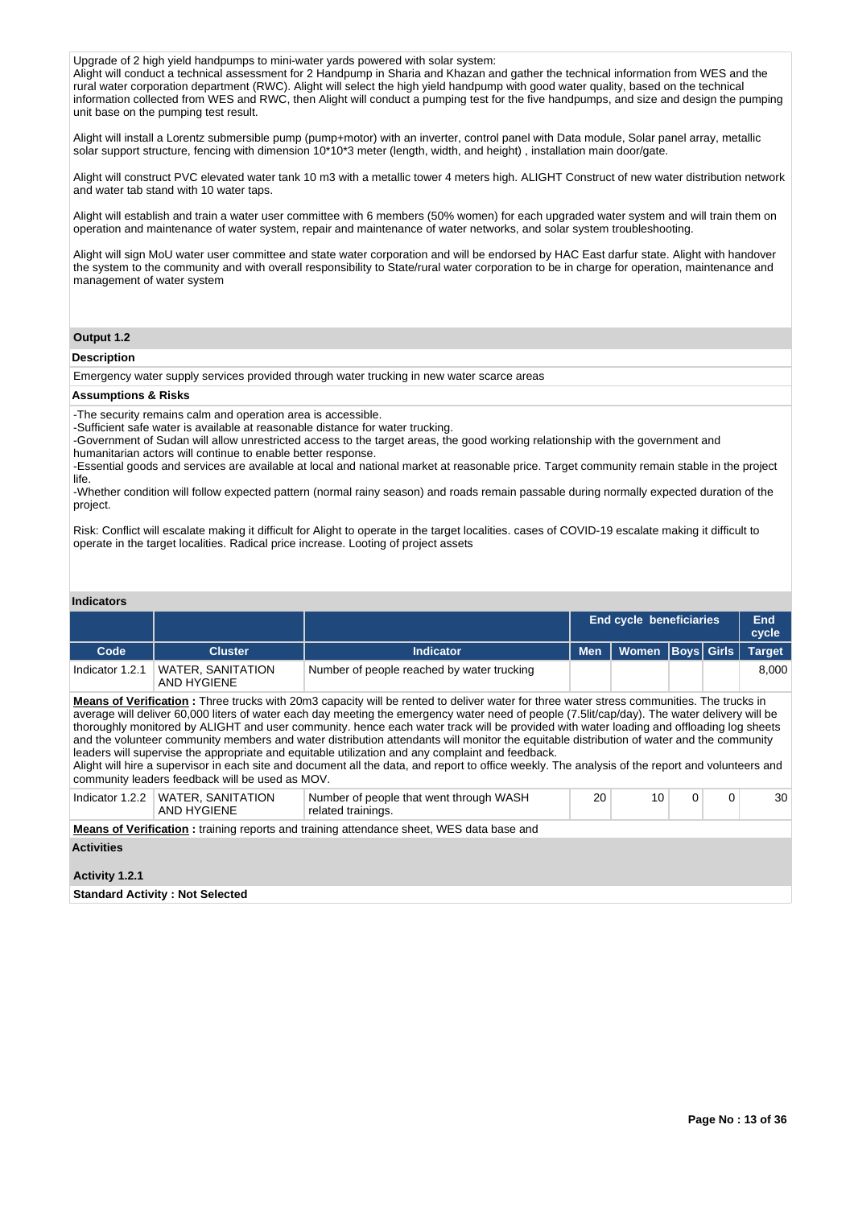Upgrade of 2 high yield handpumps to mini-water yards powered with solar system:

Alight will conduct a technical assessment for 2 Handpump in Sharia and Khazan and gather the technical information from WES and the rural water corporation department (RWC). Alight will select the high yield handpump with good water quality, based on the technical information collected from WES and RWC, then Alight will conduct a pumping test for the five handpumps, and size and design the pumping unit base on the pumping test result.

Alight will install a Lorentz submersible pump (pump+motor) with an inverter, control panel with Data module, Solar panel array, metallic solar support structure, fencing with dimension 10\*10\*3 meter (length, width, and height) , installation main door/gate.

Alight will construct PVC elevated water tank 10 m3 with a metallic tower 4 meters high. ALIGHT Construct of new water distribution network and water tab stand with 10 water taps.

Alight will establish and train a water user committee with 6 members (50% women) for each upgraded water system and will train them on operation and maintenance of water system, repair and maintenance of water networks, and solar system troubleshooting.

Alight will sign MoU water user committee and state water corporation and will be endorsed by HAC East darfur state. Alight with handover the system to the community and with overall responsibility to State/rural water corporation to be in charge for operation, maintenance and management of water system

# **Output 1.2**

### **Description**

Emergency water supply services provided through water trucking in new water scarce areas

### **Assumptions & Risks**

-The security remains calm and operation area is accessible.

-Sufficient safe water is available at reasonable distance for water trucking.

-Government of Sudan will allow unrestricted access to the target areas, the good working relationship with the government and humanitarian actors will continue to enable better response.

-Essential goods and services are available at local and national market at reasonable price. Target community remain stable in the project life.

-Whether condition will follow expected pattern (normal rainy season) and roads remain passable during normally expected duration of the project.

Risk: Conflict will escalate making it difficult for Alight to operate in the target localities. cases of COVID-19 escalate making it difficult to operate in the target localities. Radical price increase. Looting of project assets

### **Indicators**

|                 |                                         |                                            | <b>End cycle beneficiaries</b>      |  | End<br>cycle |
|-----------------|-----------------------------------------|--------------------------------------------|-------------------------------------|--|--------------|
| Code            | <b>Cluster</b>                          | <b>Indicator</b>                           | Men   Women   Boys   Girls   Target |  |              |
| Indicator 1.2.1 | <b>WATER, SANITATION</b><br>AND HYGIENE | Number of people reached by water trucking |                                     |  | 8.000        |

**Means of Verification :** Three trucks with 20m3 capacity will be rented to deliver water for three water stress communities. The trucks in average will deliver 60,000 liters of water each day meeting the emergency water need of people (7.5lit/cap/day). The water delivery will be thoroughly monitored by ALIGHT and user community. hence each water track will be provided with water loading and offloading log sheets and the volunteer community members and water distribution attendants will monitor the equitable distribution of water and the community leaders will supervise the appropriate and equitable utilization and any complaint and feedback.

Alight will hire a supervisor in each site and document all the data, and report to office weekly. The analysis of the report and volunteers and community leaders feedback will be used as MOV.

| Indicator $1.2.2$                      | WATER, SANITATION<br>AND HYGIENE                                                                | Number of people that went through WASH<br>related trainings. | 20 | 10 |  | $\Omega$ | 30 <sup>1</sup> |  |  |  |  |  |
|----------------------------------------|-------------------------------------------------------------------------------------------------|---------------------------------------------------------------|----|----|--|----------|-----------------|--|--|--|--|--|
|                                        | <b>Means of Verification:</b> training reports and training attendance sheet, WES data base and |                                                               |    |    |  |          |                 |  |  |  |  |  |
| <b>Activities</b>                      |                                                                                                 |                                                               |    |    |  |          |                 |  |  |  |  |  |
|                                        |                                                                                                 |                                                               |    |    |  |          |                 |  |  |  |  |  |
| Activity 1.2.1                         |                                                                                                 |                                                               |    |    |  |          |                 |  |  |  |  |  |
| <b>Standard Activity: Not Selected</b> |                                                                                                 |                                                               |    |    |  |          |                 |  |  |  |  |  |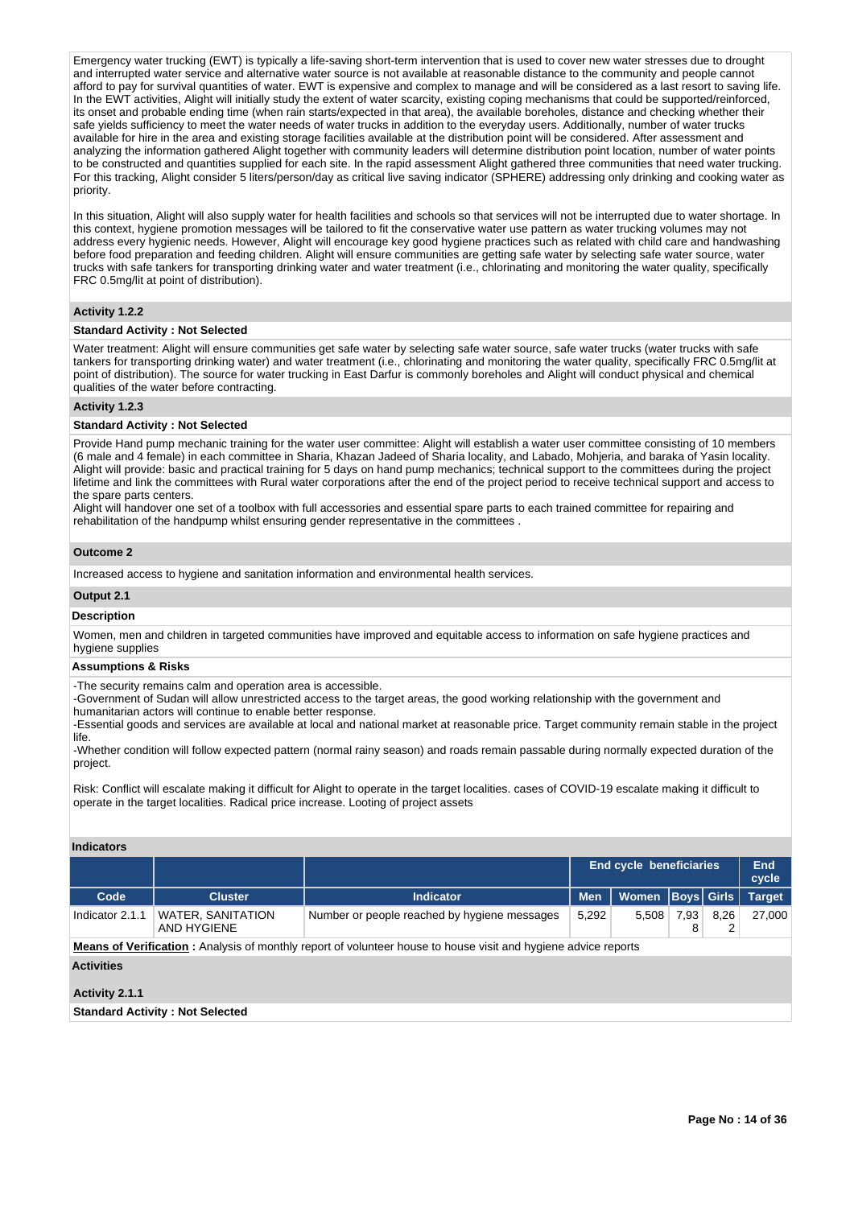Emergency water trucking (EWT) is typically a life-saving short-term intervention that is used to cover new water stresses due to drought and interrupted water service and alternative water source is not available at reasonable distance to the community and people cannot afford to pay for survival quantities of water. EWT is expensive and complex to manage and will be considered as a last resort to saving life. In the EWT activities, Alight will initially study the extent of water scarcity, existing coping mechanisms that could be supported/reinforced, its onset and probable ending time (when rain starts/expected in that area), the available boreholes, distance and checking whether their safe vields sufficiency to meet the water needs of water trucks in addition to the everyday users. Additionally, number of water trucks available for hire in the area and existing storage facilities available at the distribution point will be considered. After assessment and analyzing the information gathered Alight together with community leaders will determine distribution point location, number of water points to be constructed and quantities supplied for each site. In the rapid assessment Alight gathered three communities that need water trucking. For this tracking, Alight consider 5 liters/person/day as critical live saving indicator (SPHERE) addressing only drinking and cooking water as priority.

In this situation, Alight will also supply water for health facilities and schools so that services will not be interrupted due to water shortage. In this context, hygiene promotion messages will be tailored to fit the conservative water use pattern as water trucking volumes may not address every hygienic needs. However, Alight will encourage key good hygiene practices such as related with child care and handwashing before food preparation and feeding children. Alight will ensure communities are getting safe water by selecting safe water source, water trucks with safe tankers for transporting drinking water and water treatment (i.e., chlorinating and monitoring the water quality, specifically FRC 0.5mg/lit at point of distribution).

# **Activity 1.2.2**

# **Standard Activity : Not Selected**

Water treatment: Alight will ensure communities get safe water by selecting safe water source, safe water trucks (water trucks with safe tankers for transporting drinking water) and water treatment (i.e., chlorinating and monitoring the water quality, specifically FRC 0.5mg/lit at point of distribution). The source for water trucking in East Darfur is commonly boreholes and Alight will conduct physical and chemical qualities of the water before contracting.

# **Activity 1.2.3**

### **Standard Activity : Not Selected**

Provide Hand pump mechanic training for the water user committee: Alight will establish a water user committee consisting of 10 members (6 male and 4 female) in each committee in Sharia, Khazan Jadeed of Sharia locality, and Labado, Mohjeria, and baraka of Yasin locality. Alight will provide: basic and practical training for 5 days on hand pump mechanics; technical support to the committees during the project lifetime and link the committees with Rural water corporations after the end of the project period to receive technical support and access to the spare parts centers.

Alight will handover one set of a toolbox with full accessories and essential spare parts to each trained committee for repairing and rehabilitation of the handpump whilst ensuring gender representative in the committees .

### **Outcome 2**

Increased access to hygiene and sanitation information and environmental health services.

### **Output 2.1**

### **Description**

Women, men and children in targeted communities have improved and equitable access to information on safe hygiene practices and hygiene supplies

### **Assumptions & Risks**

-The security remains calm and operation area is accessible.

-Government of Sudan will allow unrestricted access to the target areas, the good working relationship with the government and humanitarian actors will continue to enable better response.

-Essential goods and services are available at local and national market at reasonable price. Target community remain stable in the project life.

-Whether condition will follow expected pattern (normal rainy season) and roads remain passable during normally expected duration of the project.

Risk: Conflict will escalate making it difficult for Alight to operate in the target localities. cases of COVID-19 escalate making it difficult to operate in the target localities. Radical price increase. Looting of project assets

# **Indicators**

| .                                                                                                          |                |           |                                |                         |           |        |  |  |  |  |  |  |  |  |
|------------------------------------------------------------------------------------------------------------|----------------|-----------|--------------------------------|-------------------------|-----------|--------|--|--|--|--|--|--|--|--|
|                                                                                                            |                |           | <b>End cycle beneficiaries</b> | End<br>cycle            |           |        |  |  |  |  |  |  |  |  |
| Code                                                                                                       | <b>Cluster</b> | Indicator | <b>Men</b>                     | Women Boys Girls Target |           |        |  |  |  |  |  |  |  |  |
| <b>WATER, SANITATION</b><br>Number or people reached by hygiene messages<br>Indicator 2.1.1<br>AND HYGIENE |                | 5.292     | 5.508                          | 7.93                    | 8.26<br>∠ | 27.000 |  |  |  |  |  |  |  |  |
|                                                                                                            |                |           |                                |                         |           |        |  |  |  |  |  |  |  |  |

**Means of Verification :** Analysis of monthly report of volunteer house to house visit and hygiene advice reports

# **Activities**

# **Activity 2.1.1**

# **Standard Activity : Not Selected**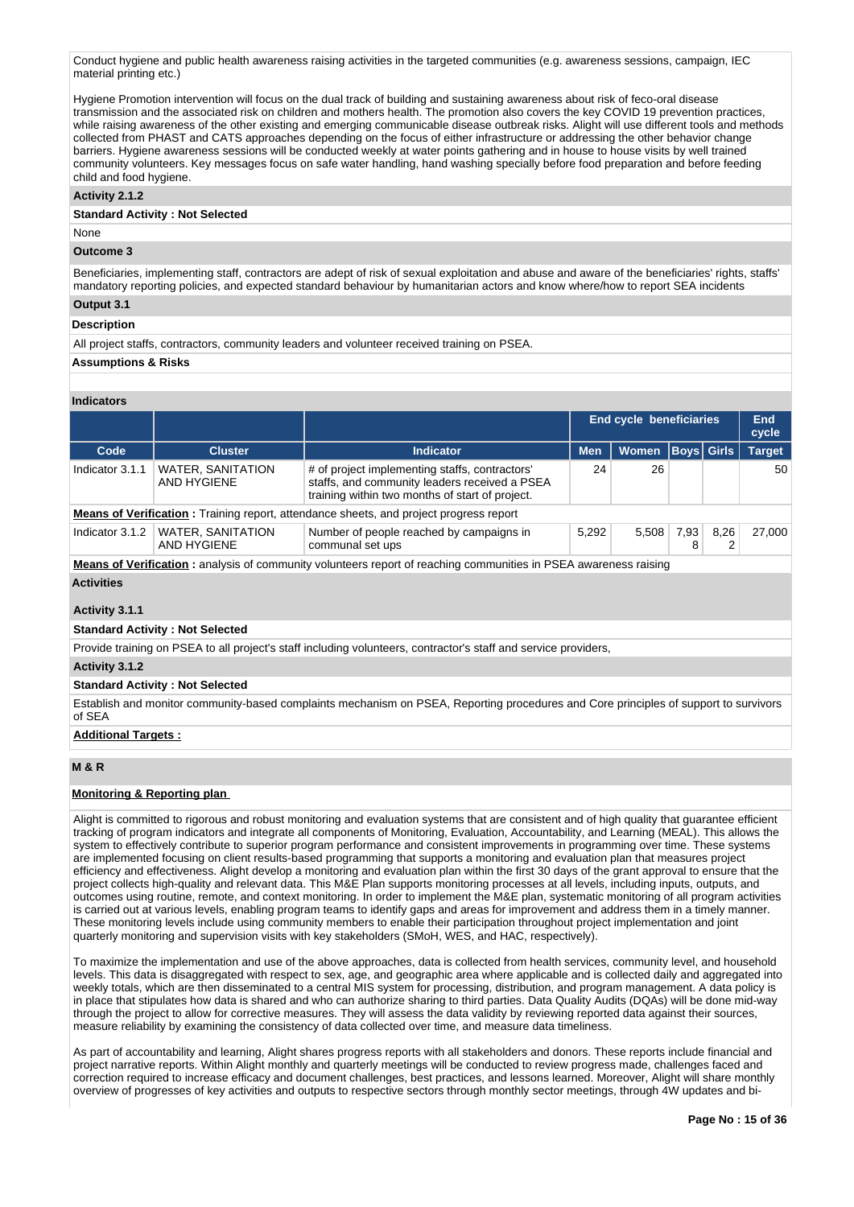Conduct hygiene and public health awareness raising activities in the targeted communities (e.g. awareness sessions, campaign, IEC material printing etc.)

Hygiene Promotion intervention will focus on the dual track of building and sustaining awareness about risk of feco-oral disease transmission and the associated risk on children and mothers health. The promotion also covers the key COVID 19 prevention practices, while raising awareness of the other existing and emerging communicable disease outbreak risks. Alight will use different tools and methods collected from PHAST and CATS approaches depending on the focus of either infrastructure or addressing the other behavior change barriers. Hygiene awareness sessions will be conducted weekly at water points gathering and in house to house visits by well trained community volunteers. Key messages focus on safe water handling, hand washing specially before food preparation and before feeding child and food hygiene.

# **Activity 2.1.2**

# **Standard Activity : Not Selected**

None

# **Outcome 3**

Beneficiaries, implementing staff, contractors are adept of risk of sexual exploitation and abuse and aware of the beneficiaries' rights, staffs' mandatory reporting policies, and expected standard behaviour by humanitarian actors and know where/how to report SEA incidents **Output 3.1**

# **Description**

All project staffs, contractors, community leaders and volunteer received training on PSEA.

# **Assumptions & Risks**

# **Indicators**

|                                                                                                                         |                                         |                                                                                                                                                    |                                       | End cycle beneficiaries |      |      |               |  |  |  |  |  |  |
|-------------------------------------------------------------------------------------------------------------------------|-----------------------------------------|----------------------------------------------------------------------------------------------------------------------------------------------------|---------------------------------------|-------------------------|------|------|---------------|--|--|--|--|--|--|
| Code                                                                                                                    | <b>Cluster</b>                          | <b>Indicator</b>                                                                                                                                   | <b>Women Boys Girls</b><br><b>Men</b> |                         |      |      | <b>Target</b> |  |  |  |  |  |  |
| Indicator 3.1.1                                                                                                         | <b>WATER, SANITATION</b><br>AND HYGIENE | # of project implementing staffs, contractors'<br>staffs, and community leaders received a PSEA<br>training within two months of start of project. | 24                                    | 26                      |      |      | 50            |  |  |  |  |  |  |
|                                                                                                                         |                                         | <b>Means of Verification:</b> Training report, attendance sheets, and project progress report                                                      |                                       |                         |      |      |               |  |  |  |  |  |  |
| Indicator 3.1.2                                                                                                         | <b>WATER, SANITATION</b><br>AND HYGIENE | Number of people reached by campaigns in<br>communal set ups                                                                                       | 5,292                                 | 5.508                   | 7,93 | 8,26 | 27.000        |  |  |  |  |  |  |
| <b>Means of Verification:</b> analysis of community volunteers report of reaching communities in PSEA awareness raising |                                         |                                                                                                                                                    |                                       |                         |      |      |               |  |  |  |  |  |  |

**Means of Verification :** analysis of community volunteers report of reaching communities in PSEA awareness raising **Activities**

# **Activity 3.1.1**

# **Standard Activity : Not Selected**

Provide training on PSEA to all project's staff including volunteers, contractor's staff and service providers,

**Activity 3.1.2** 

### **Standard Activity : Not Selected**

Establish and monitor community-based complaints mechanism on PSEA, Reporting procedures and Core principles of support to survivors of SEA

# **Additional Targets :**

# **M & R**

# **Monitoring & Reporting plan**

Alight is committed to rigorous and robust monitoring and evaluation systems that are consistent and of high quality that guarantee efficient tracking of program indicators and integrate all components of Monitoring, Evaluation, Accountability, and Learning (MEAL). This allows the system to effectively contribute to superior program performance and consistent improvements in programming over time. These systems are implemented focusing on client results-based programming that supports a monitoring and evaluation plan that measures project efficiency and effectiveness. Alight develop a monitoring and evaluation plan within the first 30 days of the grant approval to ensure that the project collects high-quality and relevant data. This M&E Plan supports monitoring processes at all levels, including inputs, outputs, and outcomes using routine, remote, and context monitoring. In order to implement the M&E plan, systematic monitoring of all program activities is carried out at various levels, enabling program teams to identify gaps and areas for improvement and address them in a timely manner. These monitoring levels include using community members to enable their participation throughout project implementation and joint quarterly monitoring and supervision visits with key stakeholders (SMoH, WES, and HAC, respectively).

To maximize the implementation and use of the above approaches, data is collected from health services, community level, and household levels. This data is disaggregated with respect to sex, age, and geographic area where applicable and is collected daily and aggregated into weekly totals, which are then disseminated to a central MIS system for processing, distribution, and program management. A data policy is in place that stipulates how data is shared and who can authorize sharing to third parties. Data Quality Audits (DQAs) will be done mid-way through the project to allow for corrective measures. They will assess the data validity by reviewing reported data against their sources, measure reliability by examining the consistency of data collected over time, and measure data timeliness.

As part of accountability and learning, Alight shares progress reports with all stakeholders and donors. These reports include financial and project narrative reports. Within Alight monthly and quarterly meetings will be conducted to review progress made, challenges faced and correction required to increase efficacy and document challenges, best practices, and lessons learned. Moreover, Alight will share monthly overview of progresses of key activities and outputs to respective sectors through monthly sector meetings, through 4W updates and bi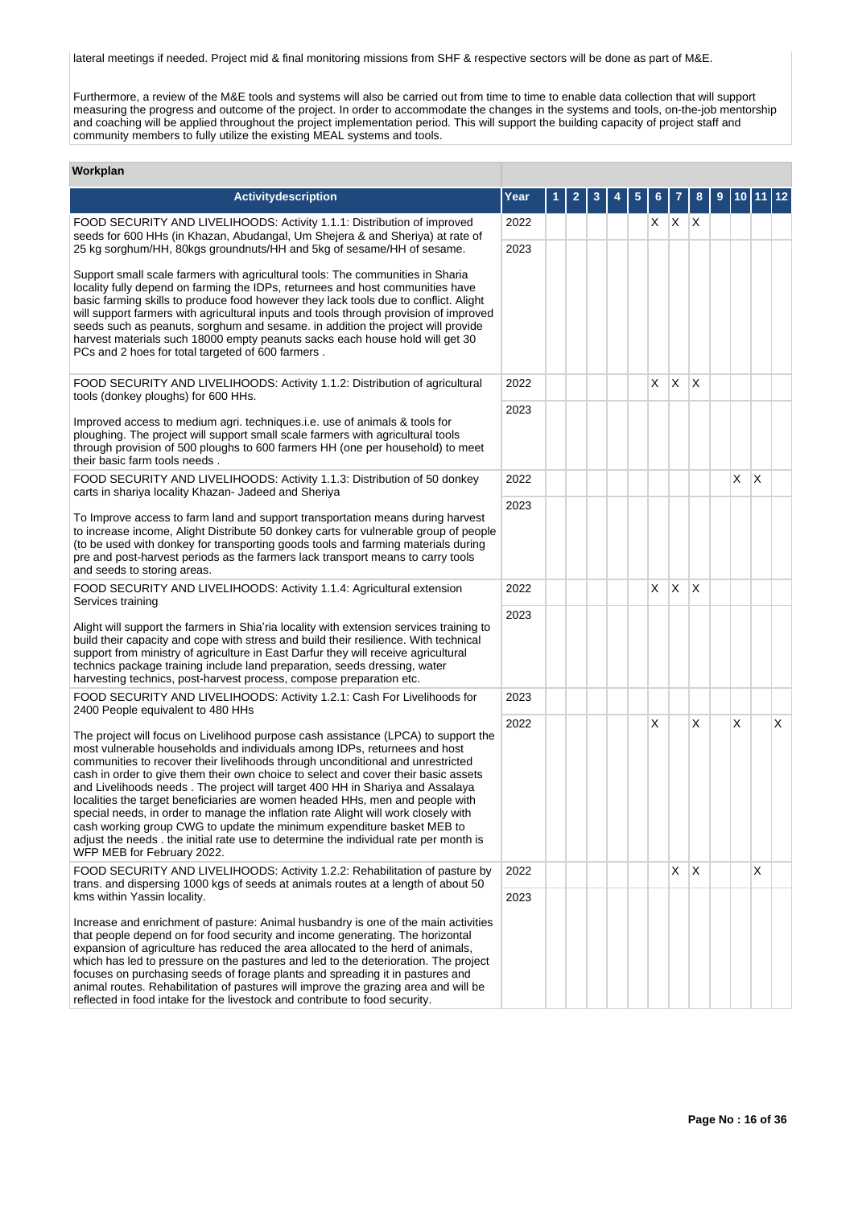lateral meetings if needed. Project mid & final monitoring missions from SHF & respective sectors will be done as part of M&E.

Furthermore, a review of the M&E tools and systems will also be carried out from time to time to enable data collection that will support measuring the progress and outcome of the project. In order to accommodate the changes in the systems and tools, on-the-job mentorship and coaching will be applied throughout the project implementation period. This will support the building capacity of project staff and community members to fully utilize the existing MEAL systems and tools.

# **Workplan**

| Activitydescription                                                                                                                                                                                                                                                                                                                                                                                                                                                                                                                                                                                                                                                                                                                                                                              | Year | 2 | 3 |  |    |              | 8  | 9 |   |   | 12 |
|--------------------------------------------------------------------------------------------------------------------------------------------------------------------------------------------------------------------------------------------------------------------------------------------------------------------------------------------------------------------------------------------------------------------------------------------------------------------------------------------------------------------------------------------------------------------------------------------------------------------------------------------------------------------------------------------------------------------------------------------------------------------------------------------------|------|---|---|--|----|--------------|----|---|---|---|----|
| FOOD SECURITY AND LIVELIHOODS: Activity 1.1.1: Distribution of improved<br>seeds for 600 HHs (in Khazan, Abudangal, Um Shejera & and Sheriya) at rate of                                                                                                                                                                                                                                                                                                                                                                                                                                                                                                                                                                                                                                         | 2022 |   |   |  |    | $X$ $X$ $X$  |    |   |   |   |    |
| 25 kg sorghum/HH, 80kgs groundnuts/HH and 5kg of sesame/HH of sesame.                                                                                                                                                                                                                                                                                                                                                                                                                                                                                                                                                                                                                                                                                                                            | 2023 |   |   |  |    |              |    |   |   |   |    |
| Support small scale farmers with agricultural tools: The communities in Sharia<br>locality fully depend on farming the IDPs, returnees and host communities have<br>basic farming skills to produce food however they lack tools due to conflict. Alight<br>will support farmers with agricultural inputs and tools through provision of improved<br>seeds such as peanuts, sorghum and sesame. in addition the project will provide<br>harvest materials such 18000 empty peanuts sacks each house hold will get 30<br>PCs and 2 hoes for total targeted of 600 farmers.                                                                                                                                                                                                                        |      |   |   |  |    |              |    |   |   |   |    |
| FOOD SECURITY AND LIVELIHOODS: Activity 1.1.2: Distribution of agricultural<br>tools (donkey ploughs) for 600 HHs.                                                                                                                                                                                                                                                                                                                                                                                                                                                                                                                                                                                                                                                                               | 2022 |   |   |  | X  | $\mathsf{X}$ | X  |   |   |   |    |
| Improved access to medium agri. techniques.i.e. use of animals & tools for<br>ploughing. The project will support small scale farmers with agricultural tools<br>through provision of 500 ploughs to 600 farmers HH (one per household) to meet<br>their basic farm tools needs.                                                                                                                                                                                                                                                                                                                                                                                                                                                                                                                 | 2023 |   |   |  |    |              |    |   |   |   |    |
| FOOD SECURITY AND LIVELIHOODS: Activity 1.1.3: Distribution of 50 donkey<br>carts in shariya locality Khazan- Jadeed and Sheriya                                                                                                                                                                                                                                                                                                                                                                                                                                                                                                                                                                                                                                                                 | 2022 |   |   |  |    |              |    |   | X | X |    |
| To Improve access to farm land and support transportation means during harvest<br>to increase income, Alight Distribute 50 donkey carts for vulnerable group of people<br>(to be used with donkey for transporting goods tools and farming materials during<br>pre and post-harvest periods as the farmers lack transport means to carry tools<br>and seeds to storing areas.                                                                                                                                                                                                                                                                                                                                                                                                                    | 2023 |   |   |  |    |              |    |   |   |   |    |
| FOOD SECURITY AND LIVELIHOODS: Activity 1.1.4: Agricultural extension<br>Services training                                                                                                                                                                                                                                                                                                                                                                                                                                                                                                                                                                                                                                                                                                       | 2022 |   |   |  | X. | $\times$     | ΙX |   |   |   |    |
| Alight will support the farmers in Shia'ria locality with extension services training to<br>build their capacity and cope with stress and build their resilience. With technical<br>support from ministry of agriculture in East Darfur they will receive agricultural<br>technics package training include land preparation, seeds dressing, water<br>harvesting technics, post-harvest process, compose preparation etc.                                                                                                                                                                                                                                                                                                                                                                       | 2023 |   |   |  |    |              |    |   |   |   |    |
| FOOD SECURITY AND LIVELIHOODS: Activity 1.2.1: Cash For Livelihoods for<br>2400 People equivalent to 480 HHs                                                                                                                                                                                                                                                                                                                                                                                                                                                                                                                                                                                                                                                                                     | 2023 |   |   |  |    |              |    |   |   |   |    |
| The project will focus on Livelihood purpose cash assistance (LPCA) to support the<br>most vulnerable households and individuals among IDPs, returnees and host<br>communities to recover their livelihoods through unconditional and unrestricted<br>cash in order to give them their own choice to select and cover their basic assets<br>and Livelihoods needs. The project will target 400 HH in Shariya and Assalaya<br>localities the target beneficiaries are women headed HHs, men and people with<br>special needs, in order to manage the inflation rate Alight will work closely with<br>cash working group CWG to update the minimum expenditure basket MEB to<br>adjust the needs. the initial rate use to determine the individual rate per month is<br>WFP MEB for February 2022. | 2022 |   |   |  | X  |              | X  |   | X |   | X  |
| FOOD SECURITY AND LIVELIHOODS: Activity 1.2.2: Rehabilitation of pasture by<br>trans. and dispersing 1000 kgs of seeds at animals routes at a length of about 50                                                                                                                                                                                                                                                                                                                                                                                                                                                                                                                                                                                                                                 | 2022 |   |   |  |    | $X$ $X$      |    |   |   | X |    |
| kms within Yassin locality.<br>Increase and enrichment of pasture: Animal husbandry is one of the main activities<br>that people depend on for food security and income generating. The horizontal<br>expansion of agriculture has reduced the area allocated to the herd of animals,<br>which has led to pressure on the pastures and led to the deterioration. The project<br>focuses on purchasing seeds of forage plants and spreading it in pastures and<br>animal routes. Rehabilitation of pastures will improve the grazing area and will be<br>reflected in food intake for the livestock and contribute to food security.                                                                                                                                                              | 2023 |   |   |  |    |              |    |   |   |   |    |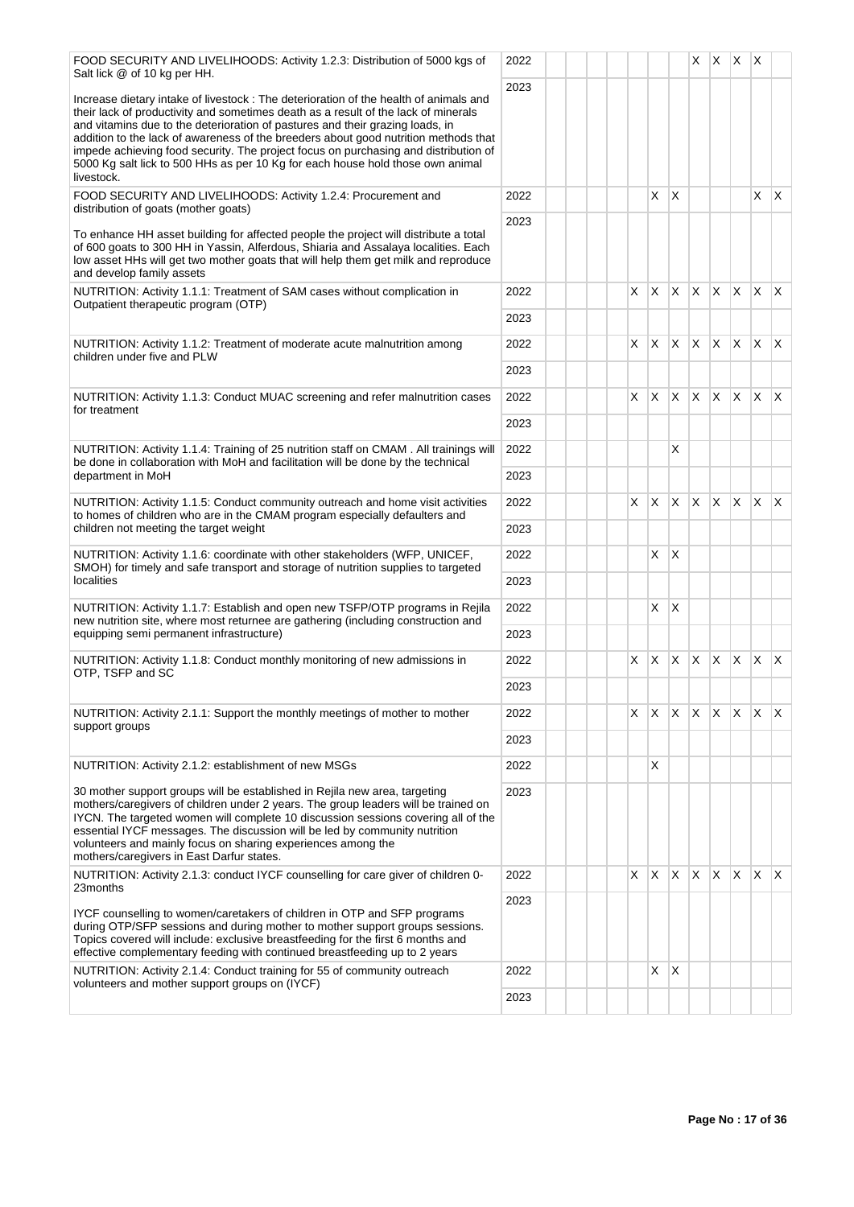| FOOD SECURITY AND LIVELIHOODS: Activity 1.2.3: Distribution of 5000 kgs of<br>Salt lick @ of 10 kg per HH.                                                                                                                                                                                                                                                                                                                                                                                                                                 | 2022         |  |    |    |              | X.           |                | $X \times X$   |                         |              |
|--------------------------------------------------------------------------------------------------------------------------------------------------------------------------------------------------------------------------------------------------------------------------------------------------------------------------------------------------------------------------------------------------------------------------------------------------------------------------------------------------------------------------------------------|--------------|--|----|----|--------------|--------------|----------------|----------------|-------------------------|--------------|
| Increase dietary intake of livestock : The deterioration of the health of animals and<br>their lack of productivity and sometimes death as a result of the lack of minerals<br>and vitamins due to the deterioration of pastures and their grazing loads, in<br>addition to the lack of awareness of the breeders about good nutrition methods that<br>impede achieving food security. The project focus on purchasing and distribution of<br>5000 Kg salt lick to 500 HHs as per 10 Kg for each house hold those own animal<br>livestock. | 2023         |  |    |    |              |              |                |                |                         |              |
| FOOD SECURITY AND LIVELIHOODS: Activity 1.2.4: Procurement and<br>distribution of goats (mother goats)                                                                                                                                                                                                                                                                                                                                                                                                                                     | 2022         |  |    | X  | ΙX.          |              |                |                | $X$ $X$                 |              |
| To enhance HH asset building for affected people the project will distribute a total<br>of 600 goats to 300 HH in Yassin, Alferdous, Shiaria and Assalaya localities. Each<br>low asset HHs will get two mother goats that will help them get milk and reproduce<br>and develop family assets                                                                                                                                                                                                                                              | 2023         |  |    |    |              |              |                |                |                         |              |
| NUTRITION: Activity 1.1.1: Treatment of SAM cases without complication in<br>Outpatient therapeutic program (OTP)                                                                                                                                                                                                                                                                                                                                                                                                                          | 2022<br>2023 |  | X  | X  | X.           | $\mathsf{X}$ | $\overline{X}$ | $\mathsf{X}$   | ΙX.                     | X.           |
|                                                                                                                                                                                                                                                                                                                                                                                                                                                                                                                                            |              |  |    |    |              |              |                |                |                         |              |
| NUTRITION: Activity 1.1.2: Treatment of moderate acute malnutrition among<br>children under five and PLW                                                                                                                                                                                                                                                                                                                                                                                                                                   | 2022<br>2023 |  | X  | X  | $\mathsf{X}$ | $\mathsf{X}$ | $\mathsf{X}$   | $\mathsf{X}$   | $\mathsf{X}$            | $\mathsf{X}$ |
|                                                                                                                                                                                                                                                                                                                                                                                                                                                                                                                                            |              |  |    |    |              |              |                |                |                         |              |
| NUTRITION: Activity 1.1.3: Conduct MUAC screening and refer malnutrition cases<br>for treatment                                                                                                                                                                                                                                                                                                                                                                                                                                            | 2022<br>2023 |  | X  | X. | X.           | X            | ΙX.            | $\mathsf{X}$   | $\mathsf{X} \mathsf{X}$ |              |
|                                                                                                                                                                                                                                                                                                                                                                                                                                                                                                                                            |              |  |    |    |              |              |                |                |                         |              |
| NUTRITION: Activity 1.1.4: Training of 25 nutrition staff on CMAM . All trainings will<br>be done in collaboration with MoH and facilitation will be done by the technical<br>department in MoH                                                                                                                                                                                                                                                                                                                                            | 2022<br>2023 |  |    |    | X            |              |                |                |                         |              |
|                                                                                                                                                                                                                                                                                                                                                                                                                                                                                                                                            |              |  |    |    |              |              |                |                |                         |              |
| NUTRITION: Activity 1.1.5: Conduct community outreach and home visit activities<br>to homes of children who are in the CMAM program especially defaulters and                                                                                                                                                                                                                                                                                                                                                                              | 2022         |  | X. | X  | <b>X</b>     | $\mathsf{X}$ | <b>X</b>       | $\mathsf{X}$   | $\mathsf{X}$            | $\mathsf{x}$ |
| children not meeting the target weight                                                                                                                                                                                                                                                                                                                                                                                                                                                                                                     | 2023         |  |    |    |              |              |                |                |                         |              |
| NUTRITION: Activity 1.1.6: coordinate with other stakeholders (WFP, UNICEF,<br>SMOH) for timely and safe transport and storage of nutrition supplies to targeted                                                                                                                                                                                                                                                                                                                                                                           | 2022         |  |    | X  | <sup>X</sup> |              |                |                |                         |              |
| localities                                                                                                                                                                                                                                                                                                                                                                                                                                                                                                                                 | 2023         |  |    |    |              |              |                |                |                         |              |
| NUTRITION: Activity 1.1.7: Establish and open new TSFP/OTP programs in Rejila<br>new nutrition site, where most returnee are gathering (including construction and<br>equipping semi permanent infrastructure)                                                                                                                                                                                                                                                                                                                             | 2022         |  |    | X  | ΙX.          |              |                |                |                         |              |
|                                                                                                                                                                                                                                                                                                                                                                                                                                                                                                                                            | 2023         |  |    |    |              |              |                |                |                         |              |
| NUTRITION: Activity 1.1.8: Conduct monthly monitoring of new admissions in<br>OTP, TSFP and SC                                                                                                                                                                                                                                                                                                                                                                                                                                             | 2022         |  | X  | X  | ΙX.          | $\mathsf{X}$ | ΙX.            | $\mathsf{X}$   | $\mathsf{X} \mathsf{X}$ |              |
|                                                                                                                                                                                                                                                                                                                                                                                                                                                                                                                                            | 2023         |  |    |    |              |              |                |                |                         |              |
| NUTRITION: Activity 2.1.1: Support the monthly meetings of mother to mother<br>support groups                                                                                                                                                                                                                                                                                                                                                                                                                                              | 2022         |  | X  | Х  | <b>X</b>     | X            | $\times$       | X.             | X.                      | X            |
|                                                                                                                                                                                                                                                                                                                                                                                                                                                                                                                                            | 2023         |  |    |    |              |              |                |                |                         |              |
| NUTRITION: Activity 2.1.2: establishment of new MSGs                                                                                                                                                                                                                                                                                                                                                                                                                                                                                       | 2022         |  |    | Х  |              |              |                |                |                         |              |
| 30 mother support groups will be established in Rejila new area, targeting<br>mothers/caregivers of children under 2 years. The group leaders will be trained on<br>IYCN. The targeted women will complete 10 discussion sessions covering all of the<br>essential IYCF messages. The discussion will be led by community nutrition<br>volunteers and mainly focus on sharing experiences among the<br>mothers/caregivers in East Darfur states.                                                                                           | 2023         |  |    |    |              |              |                |                |                         |              |
| NUTRITION: Activity 2.1.3: conduct IYCF counselling for care giver of children 0-<br>23months                                                                                                                                                                                                                                                                                                                                                                                                                                              | 2022         |  | X. | X. | IXX          |              | $\mathsf{X}$   | $x \mathbf{x}$ |                         | $\mathsf{X}$ |
| IYCF counselling to women/caretakers of children in OTP and SFP programs<br>during OTP/SFP sessions and during mother to mother support groups sessions.<br>Topics covered will include: exclusive breastfeeding for the first 6 months and<br>effective complementary feeding with continued breastfeeding up to 2 years                                                                                                                                                                                                                  | 2023         |  |    |    |              |              |                |                |                         |              |
| NUTRITION: Activity 2.1.4: Conduct training for 55 of community outreach                                                                                                                                                                                                                                                                                                                                                                                                                                                                   | 2022         |  |    | Х  | X            |              |                |                |                         |              |
| volunteers and mother support groups on (IYCF)                                                                                                                                                                                                                                                                                                                                                                                                                                                                                             | 2023         |  |    |    |              |              |                |                |                         |              |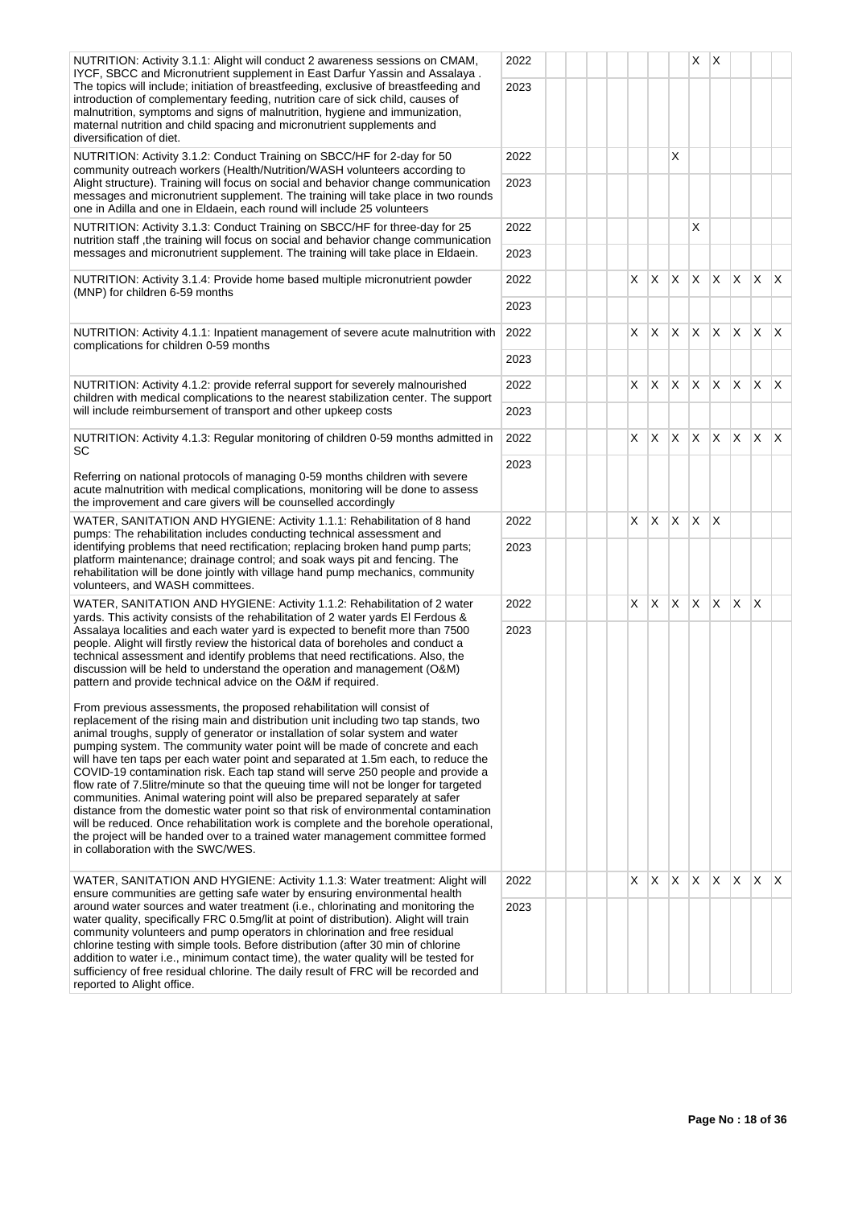| NUTRITION: Activity 3.1.1: Alight will conduct 2 awareness sessions on CMAM,<br>IYCF, SBCC and Micronutrient supplement in East Darfur Yassin and Assalaya.                                                                                                                                                                                                                                                                                                                                                                                                                                                                                                                                                                                                                                                                                                                                                                                                                        | 2022 |  |    |              |                | X            | $\mathsf{X}$ |              |                 |              |
|------------------------------------------------------------------------------------------------------------------------------------------------------------------------------------------------------------------------------------------------------------------------------------------------------------------------------------------------------------------------------------------------------------------------------------------------------------------------------------------------------------------------------------------------------------------------------------------------------------------------------------------------------------------------------------------------------------------------------------------------------------------------------------------------------------------------------------------------------------------------------------------------------------------------------------------------------------------------------------|------|--|----|--------------|----------------|--------------|--------------|--------------|-----------------|--------------|
| The topics will include; initiation of breastfeeding, exclusive of breastfeeding and<br>introduction of complementary feeding, nutrition care of sick child, causes of<br>malnutrition, symptoms and signs of malnutrition, hygiene and immunization,<br>maternal nutrition and child spacing and micronutrient supplements and<br>diversification of diet.                                                                                                                                                                                                                                                                                                                                                                                                                                                                                                                                                                                                                        | 2023 |  |    |              |                |              |              |              |                 |              |
| NUTRITION: Activity 3.1.2: Conduct Training on SBCC/HF for 2-day for 50<br>community outreach workers (Health/Nutrition/WASH volunteers according to                                                                                                                                                                                                                                                                                                                                                                                                                                                                                                                                                                                                                                                                                                                                                                                                                               | 2022 |  |    |              | X              |              |              |              |                 |              |
| Alight structure). Training will focus on social and behavior change communication<br>messages and micronutrient supplement. The training will take place in two rounds<br>one in Adilla and one in Eldaein, each round will include 25 volunteers                                                                                                                                                                                                                                                                                                                                                                                                                                                                                                                                                                                                                                                                                                                                 | 2023 |  |    |              |                |              |              |              |                 |              |
| NUTRITION: Activity 3.1.3: Conduct Training on SBCC/HF for three-day for 25<br>nutrition staff, the training will focus on social and behavior change communication                                                                                                                                                                                                                                                                                                                                                                                                                                                                                                                                                                                                                                                                                                                                                                                                                | 2022 |  |    |              |                | X            |              |              |                 |              |
| messages and micronutrient supplement. The training will take place in Eldaein.                                                                                                                                                                                                                                                                                                                                                                                                                                                                                                                                                                                                                                                                                                                                                                                                                                                                                                    | 2023 |  |    |              |                |              |              |              |                 |              |
| NUTRITION: Activity 3.1.4: Provide home based multiple micronutrient powder                                                                                                                                                                                                                                                                                                                                                                                                                                                                                                                                                                                                                                                                                                                                                                                                                                                                                                        | 2022 |  | X. | $\mathsf{X}$ | $\mathsf{X}^-$ | <b>X</b>     |              |              | $X$ $X$ $X$ $X$ |              |
| (MNP) for children 6-59 months                                                                                                                                                                                                                                                                                                                                                                                                                                                                                                                                                                                                                                                                                                                                                                                                                                                                                                                                                     | 2023 |  |    |              |                |              |              |              |                 |              |
| NUTRITION: Activity 4.1.1: Inpatient management of severe acute malnutrition with                                                                                                                                                                                                                                                                                                                                                                                                                                                                                                                                                                                                                                                                                                                                                                                                                                                                                                  | 2022 |  | X  | ΙX.          | X.             | $\mathsf{X}$ | $\mathsf{X}$ | $\mathsf{X}$ | X.              | $\mathsf{X}$ |
| complications for children 0-59 months                                                                                                                                                                                                                                                                                                                                                                                                                                                                                                                                                                                                                                                                                                                                                                                                                                                                                                                                             | 2023 |  |    |              |                |              |              |              |                 |              |
| NUTRITION: Activity 4.1.2: provide referral support for severely malnourished                                                                                                                                                                                                                                                                                                                                                                                                                                                                                                                                                                                                                                                                                                                                                                                                                                                                                                      | 2022 |  | X  | IX.          | $\times$       | <b>X</b>     | <b>X</b>     | $\mathsf{X}$ | <b>X</b>        | ΙX.          |
| children with medical complications to the nearest stabilization center. The support<br>will include reimbursement of transport and other upkeep costs                                                                                                                                                                                                                                                                                                                                                                                                                                                                                                                                                                                                                                                                                                                                                                                                                             | 2023 |  |    |              |                |              |              |              |                 |              |
| NUTRITION: Activity 4.1.3: Regular monitoring of children 0-59 months admitted in                                                                                                                                                                                                                                                                                                                                                                                                                                                                                                                                                                                                                                                                                                                                                                                                                                                                                                  | 2022 |  | X  | X.           | X.             | X.           | $\mathsf{X}$ | $\mathsf{X}$ | X.              | ΙX.          |
| SC                                                                                                                                                                                                                                                                                                                                                                                                                                                                                                                                                                                                                                                                                                                                                                                                                                                                                                                                                                                 | 2023 |  |    |              |                |              |              |              |                 |              |
| Referring on national protocols of managing 0-59 months children with severe<br>acute malnutrition with medical complications, monitoring will be done to assess<br>the improvement and care givers will be counselled accordingly                                                                                                                                                                                                                                                                                                                                                                                                                                                                                                                                                                                                                                                                                                                                                 |      |  |    |              |                |              |              |              |                 |              |
| WATER, SANITATION AND HYGIENE: Activity 1.1.1: Rehabilitation of 8 hand<br>pumps: The rehabilitation includes conducting technical assessment and                                                                                                                                                                                                                                                                                                                                                                                                                                                                                                                                                                                                                                                                                                                                                                                                                                  | 2022 |  |    | $X \mid X$   | X.             | $\mathsf{X}$ | $\mathsf{X}$ |              |                 |              |
| identifying problems that need rectification; replacing broken hand pump parts;<br>platform maintenance; drainage control; and soak ways pit and fencing. The<br>rehabilitation will be done jointly with village hand pump mechanics, community<br>volunteers, and WASH committees.                                                                                                                                                                                                                                                                                                                                                                                                                                                                                                                                                                                                                                                                                               | 2023 |  |    |              |                |              |              |              |                 |              |
| WATER, SANITATION AND HYGIENE: Activity 1.1.2: Rehabilitation of 2 water<br>yards. This activity consists of the rehabilitation of 2 water yards El Ferdous &                                                                                                                                                                                                                                                                                                                                                                                                                                                                                                                                                                                                                                                                                                                                                                                                                      | 2022 |  | X  | <sup>X</sup> | X              | <b>X</b>     | $\mathsf{X}$ | X.           | X               |              |
| Assalaya localities and each water yard is expected to benefit more than 7500<br>people. Alight will firstly review the historical data of boreholes and conduct a<br>technical assessment and identify problems that need rectifications. Also, the<br>discussion will be held to understand the operation and management (O&M)<br>pattern and provide technical advice on the O&M if required.                                                                                                                                                                                                                                                                                                                                                                                                                                                                                                                                                                                   | 2023 |  |    |              |                |              |              |              |                 |              |
| From previous assessments, the proposed rehabilitation will consist of<br>replacement of the rising main and distribution unit including two tap stands, two<br>animal troughs, supply of generator or installation of solar system and water<br>pumping system. The community water point will be made of concrete and each<br>will have ten taps per each water point and separated at 1.5m each, to reduce the<br>COVID-19 contamination risk. Each tap stand will serve 250 people and provide a<br>flow rate of 7.5litre/minute so that the queuing time will not be longer for targeted<br>communities. Animal watering point will also be prepared separately at safer<br>distance from the domestic water point so that risk of environmental contamination<br>will be reduced. Once rehabilitation work is complete and the borehole operational,<br>the project will be handed over to a trained water management committee formed<br>in collaboration with the SWC/WES. |      |  |    |              |                |              |              |              |                 |              |
| WATER, SANITATION AND HYGIENE: Activity 1.1.3: Water treatment: Alight will<br>ensure communities are getting safe water by ensuring environmental health                                                                                                                                                                                                                                                                                                                                                                                                                                                                                                                                                                                                                                                                                                                                                                                                                          | 2022 |  | X  | IX.          | X.             | $\mathsf{X}$ | $\mathsf{X}$ | $\mathsf{X}$ | X               | X.           |
| around water sources and water treatment (i.e., chlorinating and monitoring the<br>water quality, specifically FRC 0.5mg/lit at point of distribution). Alight will train<br>community volunteers and pump operators in chlorination and free residual<br>chlorine testing with simple tools. Before distribution (after 30 min of chlorine<br>addition to water i.e., minimum contact time), the water quality will be tested for<br>sufficiency of free residual chlorine. The daily result of FRC will be recorded and<br>reported to Alight office.                                                                                                                                                                                                                                                                                                                                                                                                                            | 2023 |  |    |              |                |              |              |              |                 |              |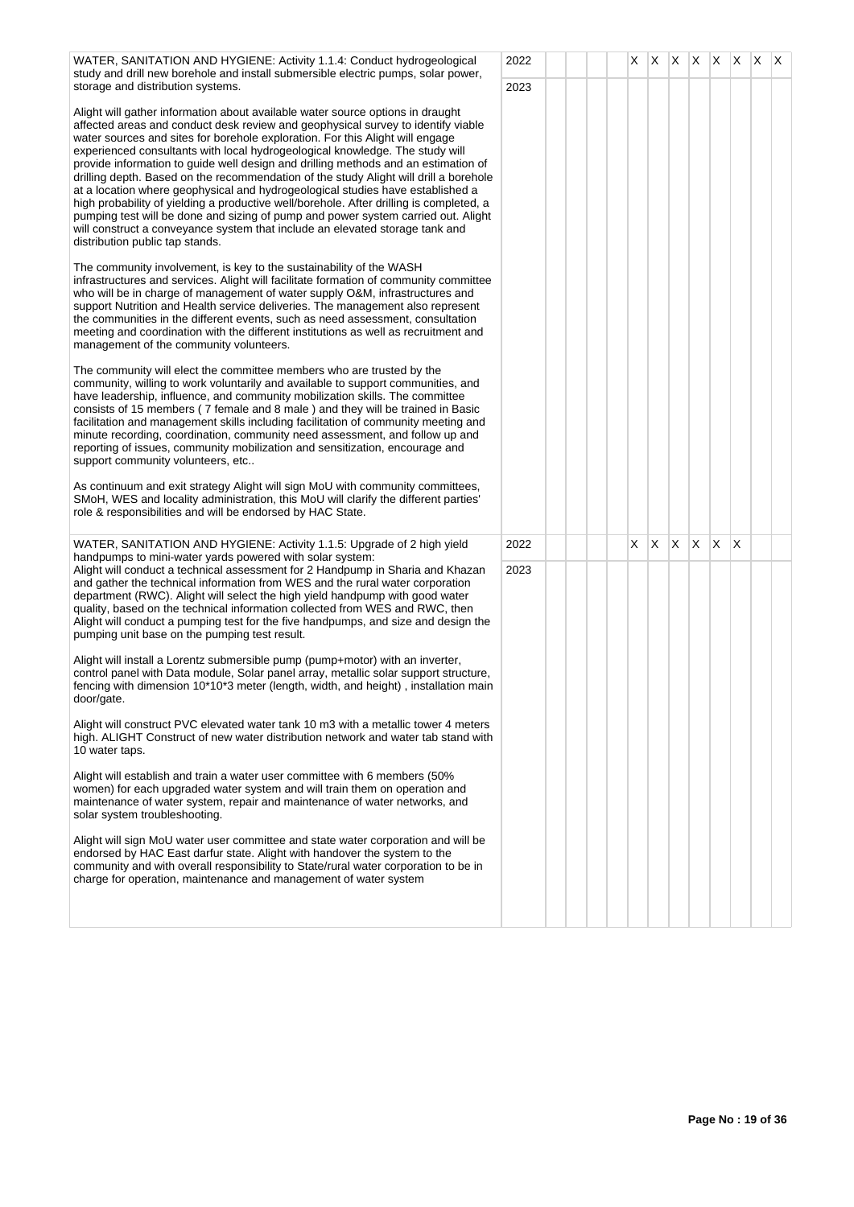| WATER, SANITATION AND HYGIENE: Activity 1.1.4: Conduct hydrogeological<br>study and drill new borehole and install submersible electric pumps, solar power,                                                                                                                                                                                                                                                                                                                                                                                                                                                                                                                                                                                                                                                                                                                                                                                  | 2022 |  |  | X | X X |    | IX.          |                 | $ X $ $ X $  | X. | IX. |
|----------------------------------------------------------------------------------------------------------------------------------------------------------------------------------------------------------------------------------------------------------------------------------------------------------------------------------------------------------------------------------------------------------------------------------------------------------------------------------------------------------------------------------------------------------------------------------------------------------------------------------------------------------------------------------------------------------------------------------------------------------------------------------------------------------------------------------------------------------------------------------------------------------------------------------------------|------|--|--|---|-----|----|--------------|-----------------|--------------|----|-----|
| storage and distribution systems.<br>Alight will gather information about available water source options in draught<br>affected areas and conduct desk review and geophysical survey to identify viable<br>water sources and sites for borehole exploration. For this Alight will engage<br>experienced consultants with local hydrogeological knowledge. The study will<br>provide information to guide well design and drilling methods and an estimation of<br>drilling depth. Based on the recommendation of the study Alight will drill a borehole<br>at a location where geophysical and hydrogeological studies have established a<br>high probability of yielding a productive well/borehole. After drilling is completed, a<br>pumping test will be done and sizing of pump and power system carried out. Alight<br>will construct a conveyance system that include an elevated storage tank and<br>distribution public tap stands. | 2023 |  |  |   |     |    |              |                 |              |    |     |
| The community involvement, is key to the sustainability of the WASH<br>infrastructures and services. Alight will facilitate formation of community committee<br>who will be in charge of management of water supply O&M, infrastructures and<br>support Nutrition and Health service deliveries. The management also represent<br>the communities in the different events, such as need assessment, consultation<br>meeting and coordination with the different institutions as well as recruitment and<br>management of the community volunteers.                                                                                                                                                                                                                                                                                                                                                                                           |      |  |  |   |     |    |              |                 |              |    |     |
| The community will elect the committee members who are trusted by the<br>community, willing to work voluntarily and available to support communities, and<br>have leadership, influence, and community mobilization skills. The committee<br>consists of 15 members (7 female and 8 male) and they will be trained in Basic<br>facilitation and management skills including facilitation of community meeting and<br>minute recording, coordination, community need assessment, and follow up and<br>reporting of issues, community mobilization and sensitization, encourage and<br>support community volunteers, etc                                                                                                                                                                                                                                                                                                                       |      |  |  |   |     |    |              |                 |              |    |     |
| As continuum and exit strategy Alight will sign MoU with community committees,<br>SMoH, WES and locality administration, this MoU will clarify the different parties'<br>role & responsibilities and will be endorsed by HAC State.                                                                                                                                                                                                                                                                                                                                                                                                                                                                                                                                                                                                                                                                                                          |      |  |  |   |     |    |              |                 |              |    |     |
| WATER, SANITATION AND HYGIENE: Activity 1.1.5: Upgrade of 2 high yield<br>handpumps to mini-water yards powered with solar system:                                                                                                                                                                                                                                                                                                                                                                                                                                                                                                                                                                                                                                                                                                                                                                                                           | 2022 |  |  | X | X   | X. | $\mathsf{X}$ | $\vert x \vert$ | $\mathsf{X}$ |    |     |
| Alight will conduct a technical assessment for 2 Handpump in Sharia and Khazan<br>and gather the technical information from WES and the rural water corporation<br>department (RWC). Alight will select the high yield handpump with good water<br>quality, based on the technical information collected from WES and RWC, then<br>Alight will conduct a pumping test for the five handpumps, and size and design the<br>pumping unit base on the pumping test result.                                                                                                                                                                                                                                                                                                                                                                                                                                                                       | 2023 |  |  |   |     |    |              |                 |              |    |     |
| Alight will install a Lorentz submersible pump (pump+motor) with an inverter,<br>control panel with Data module, Solar panel array, metallic solar support structure,<br>fencing with dimension 10*10*3 meter (length, width, and height), installation main<br>door/gate.                                                                                                                                                                                                                                                                                                                                                                                                                                                                                                                                                                                                                                                                   |      |  |  |   |     |    |              |                 |              |    |     |
| Alight will construct PVC elevated water tank 10 m3 with a metallic tower 4 meters<br>high. ALIGHT Construct of new water distribution network and water tab stand with<br>10 water taps.                                                                                                                                                                                                                                                                                                                                                                                                                                                                                                                                                                                                                                                                                                                                                    |      |  |  |   |     |    |              |                 |              |    |     |
| Alight will establish and train a water user committee with 6 members (50%<br>women) for each upgraded water system and will train them on operation and<br>maintenance of water system, repair and maintenance of water networks, and<br>solar system troubleshooting.                                                                                                                                                                                                                                                                                                                                                                                                                                                                                                                                                                                                                                                                      |      |  |  |   |     |    |              |                 |              |    |     |
| Alight will sign MoU water user committee and state water corporation and will be<br>endorsed by HAC East darfur state. Alight with handover the system to the<br>community and with overall responsibility to State/rural water corporation to be in<br>charge for operation, maintenance and management of water system                                                                                                                                                                                                                                                                                                                                                                                                                                                                                                                                                                                                                    |      |  |  |   |     |    |              |                 |              |    |     |
|                                                                                                                                                                                                                                                                                                                                                                                                                                                                                                                                                                                                                                                                                                                                                                                                                                                                                                                                              |      |  |  |   |     |    |              |                 |              |    |     |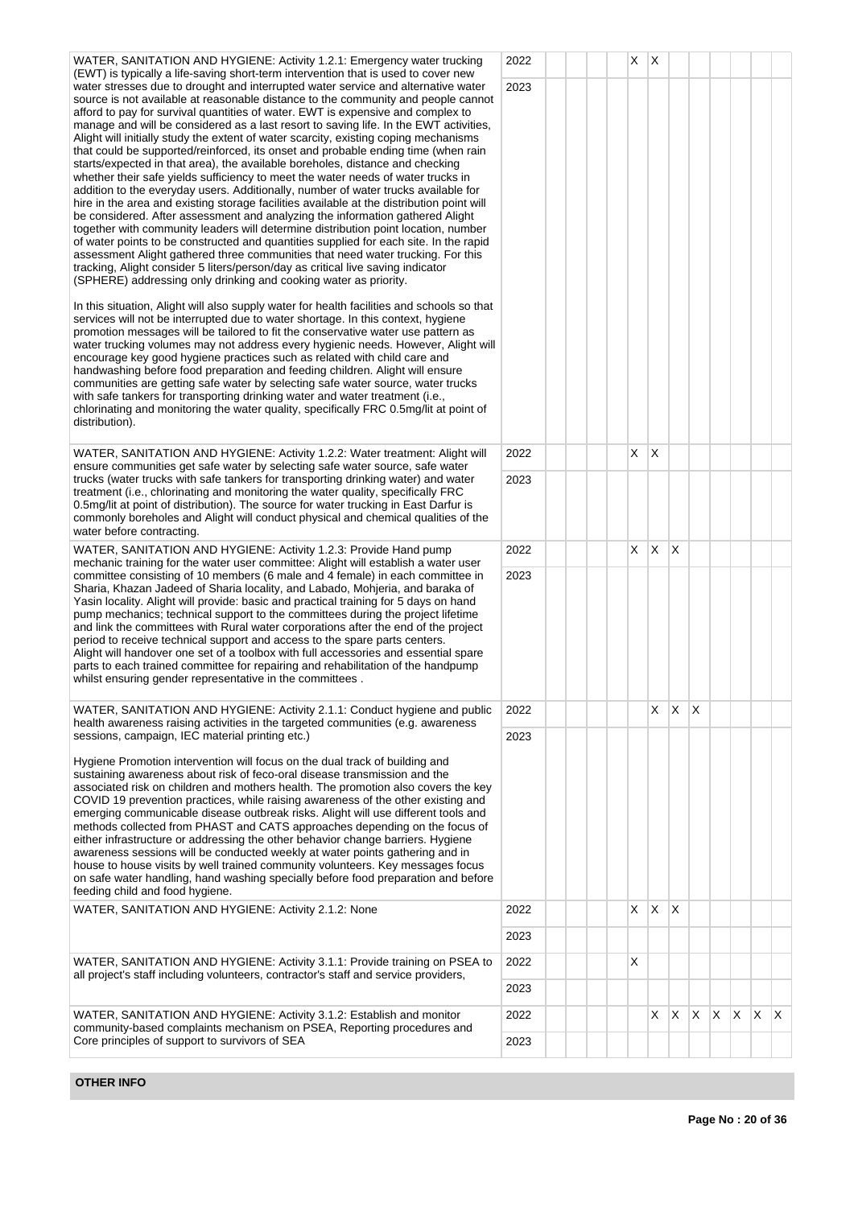| WATER, SANITATION AND HYGIENE: Activity 1.2.1: Emergency water trucking                                                                                                                                                                                                                                                                                                                                                                                                                                                                                                                                                                                                                                                                                                                                                                                                                                                                                                                                                                                                                                                                                                                                                                                                                                                                                                                                                                                                                                                                                                               | 2022 |  | X | X  |                 |                |              |   |         |  |
|---------------------------------------------------------------------------------------------------------------------------------------------------------------------------------------------------------------------------------------------------------------------------------------------------------------------------------------------------------------------------------------------------------------------------------------------------------------------------------------------------------------------------------------------------------------------------------------------------------------------------------------------------------------------------------------------------------------------------------------------------------------------------------------------------------------------------------------------------------------------------------------------------------------------------------------------------------------------------------------------------------------------------------------------------------------------------------------------------------------------------------------------------------------------------------------------------------------------------------------------------------------------------------------------------------------------------------------------------------------------------------------------------------------------------------------------------------------------------------------------------------------------------------------------------------------------------------------|------|--|---|----|-----------------|----------------|--------------|---|---------|--|
| (EWT) is typically a life-saving short-term intervention that is used to cover new<br>water stresses due to drought and interrupted water service and alternative water<br>source is not available at reasonable distance to the community and people cannot<br>afford to pay for survival quantities of water. EWT is expensive and complex to<br>manage and will be considered as a last resort to saving life. In the EWT activities,<br>Alight will initially study the extent of water scarcity, existing coping mechanisms<br>that could be supported/reinforced, its onset and probable ending time (when rain<br>starts/expected in that area), the available boreholes, distance and checking<br>whether their safe yields sufficiency to meet the water needs of water trucks in<br>addition to the everyday users. Additionally, number of water trucks available for<br>hire in the area and existing storage facilities available at the distribution point will<br>be considered. After assessment and analyzing the information gathered Alight<br>together with community leaders will determine distribution point location, number<br>of water points to be constructed and quantities supplied for each site. In the rapid<br>assessment Alight gathered three communities that need water trucking. For this<br>tracking, Alight consider 5 liters/person/day as critical live saving indicator<br>(SPHERE) addressing only drinking and cooking water as priority.<br>In this situation, Alight will also supply water for health facilities and schools so that | 2023 |  |   |    |                 |                |              |   |         |  |
| services will not be interrupted due to water shortage. In this context, hygiene<br>promotion messages will be tailored to fit the conservative water use pattern as<br>water trucking volumes may not address every hygienic needs. However, Alight will<br>encourage key good hygiene practices such as related with child care and<br>handwashing before food preparation and feeding children. Alight will ensure<br>communities are getting safe water by selecting safe water source, water trucks<br>with safe tankers for transporting drinking water and water treatment (i.e.,<br>chlorinating and monitoring the water quality, specifically FRC 0.5mg/lit at point of<br>distribution).                                                                                                                                                                                                                                                                                                                                                                                                                                                                                                                                                                                                                                                                                                                                                                                                                                                                                   |      |  |   |    |                 |                |              |   |         |  |
| WATER, SANITATION AND HYGIENE: Activity 1.2.2: Water treatment: Alight will<br>ensure communities get safe water by selecting safe water source, safe water                                                                                                                                                                                                                                                                                                                                                                                                                                                                                                                                                                                                                                                                                                                                                                                                                                                                                                                                                                                                                                                                                                                                                                                                                                                                                                                                                                                                                           | 2022 |  | X | X  |                 |                |              |   |         |  |
| trucks (water trucks with safe tankers for transporting drinking water) and water<br>treatment (i.e., chlorinating and monitoring the water quality, specifically FRC<br>0.5mg/lit at point of distribution). The source for water trucking in East Darfur is<br>commonly boreholes and Alight will conduct physical and chemical qualities of the<br>water before contracting.                                                                                                                                                                                                                                                                                                                                                                                                                                                                                                                                                                                                                                                                                                                                                                                                                                                                                                                                                                                                                                                                                                                                                                                                       | 2023 |  |   |    |                 |                |              |   |         |  |
| WATER, SANITATION AND HYGIENE: Activity 1.2.3: Provide Hand pump<br>mechanic training for the water user committee: Alight will establish a water user                                                                                                                                                                                                                                                                                                                                                                                                                                                                                                                                                                                                                                                                                                                                                                                                                                                                                                                                                                                                                                                                                                                                                                                                                                                                                                                                                                                                                                | 2022 |  | X | X. | $\mathsf{\chi}$ |                |              |   |         |  |
| committee consisting of 10 members (6 male and 4 female) in each committee in<br>Sharia, Khazan Jadeed of Sharia locality, and Labado, Mohjeria, and baraka of<br>Yasin locality. Alight will provide: basic and practical training for 5 days on hand<br>pump mechanics; technical support to the committees during the project lifetime<br>and link the committees with Rural water corporations after the end of the project<br>period to receive technical support and access to the spare parts centers.<br>Alight will handover one set of a toolbox with full accessories and essential spare<br>parts to each trained committee for repairing and rehabilitation of the handpump<br>whilst ensuring gender representative in the committees.                                                                                                                                                                                                                                                                                                                                                                                                                                                                                                                                                                                                                                                                                                                                                                                                                                  | 2023 |  |   |    |                 |                |              |   |         |  |
| WATER, SANITATION AND HYGIENE: Activity 2.1.1: Conduct hygiene and public                                                                                                                                                                                                                                                                                                                                                                                                                                                                                                                                                                                                                                                                                                                                                                                                                                                                                                                                                                                                                                                                                                                                                                                                                                                                                                                                                                                                                                                                                                             | 2022 |  |   | X. | X               | $\overline{X}$ |              |   |         |  |
| health awareness raising activities in the targeted communities (e.g. awareness<br>sessions, campaign, IEC material printing etc.)                                                                                                                                                                                                                                                                                                                                                                                                                                                                                                                                                                                                                                                                                                                                                                                                                                                                                                                                                                                                                                                                                                                                                                                                                                                                                                                                                                                                                                                    | 2023 |  |   |    |                 |                |              |   |         |  |
| Hygiene Promotion intervention will focus on the dual track of building and<br>sustaining awareness about risk of feco-oral disease transmission and the<br>associated risk on children and mothers health. The promotion also covers the key<br>COVID 19 prevention practices, while raising awareness of the other existing and<br>emerging communicable disease outbreak risks. Alight will use different tools and<br>methods collected from PHAST and CATS approaches depending on the focus of<br>either infrastructure or addressing the other behavior change barriers. Hygiene<br>awareness sessions will be conducted weekly at water points gathering and in<br>house to house visits by well trained community volunteers. Key messages focus<br>on safe water handling, hand washing specially before food preparation and before<br>feeding child and food hygiene.                                                                                                                                                                                                                                                                                                                                                                                                                                                                                                                                                                                                                                                                                                     |      |  |   |    |                 |                |              |   |         |  |
| WATER, SANITATION AND HYGIENE: Activity 2.1.2: None                                                                                                                                                                                                                                                                                                                                                                                                                                                                                                                                                                                                                                                                                                                                                                                                                                                                                                                                                                                                                                                                                                                                                                                                                                                                                                                                                                                                                                                                                                                                   | 2022 |  | X | X  | X               |                |              |   |         |  |
|                                                                                                                                                                                                                                                                                                                                                                                                                                                                                                                                                                                                                                                                                                                                                                                                                                                                                                                                                                                                                                                                                                                                                                                                                                                                                                                                                                                                                                                                                                                                                                                       | 2023 |  |   |    |                 |                |              |   |         |  |
| 2022<br>WATER, SANITATION AND HYGIENE: Activity 3.1.1: Provide training on PSEA to<br>all project's staff including volunteers, contractor's staff and service providers,<br>2023<br>WATER, SANITATION AND HYGIENE: Activity 3.1.2: Establish and monitor<br>community-based complaints mechanism on PSEA, Reporting procedures and                                                                                                                                                                                                                                                                                                                                                                                                                                                                                                                                                                                                                                                                                                                                                                                                                                                                                                                                                                                                                                                                                                                                                                                                                                                   |      |  | X |    |                 |                |              |   |         |  |
|                                                                                                                                                                                                                                                                                                                                                                                                                                                                                                                                                                                                                                                                                                                                                                                                                                                                                                                                                                                                                                                                                                                                                                                                                                                                                                                                                                                                                                                                                                                                                                                       |      |  |   |    |                 |                |              |   |         |  |
|                                                                                                                                                                                                                                                                                                                                                                                                                                                                                                                                                                                                                                                                                                                                                                                                                                                                                                                                                                                                                                                                                                                                                                                                                                                                                                                                                                                                                                                                                                                                                                                       |      |  |   | X. | X               | X.             | $\mathsf{X}$ | X | $X$ $X$ |  |
| Core principles of support to survivors of SEA                                                                                                                                                                                                                                                                                                                                                                                                                                                                                                                                                                                                                                                                                                                                                                                                                                                                                                                                                                                                                                                                                                                                                                                                                                                                                                                                                                                                                                                                                                                                        | 2023 |  |   |    |                 |                |              |   |         |  |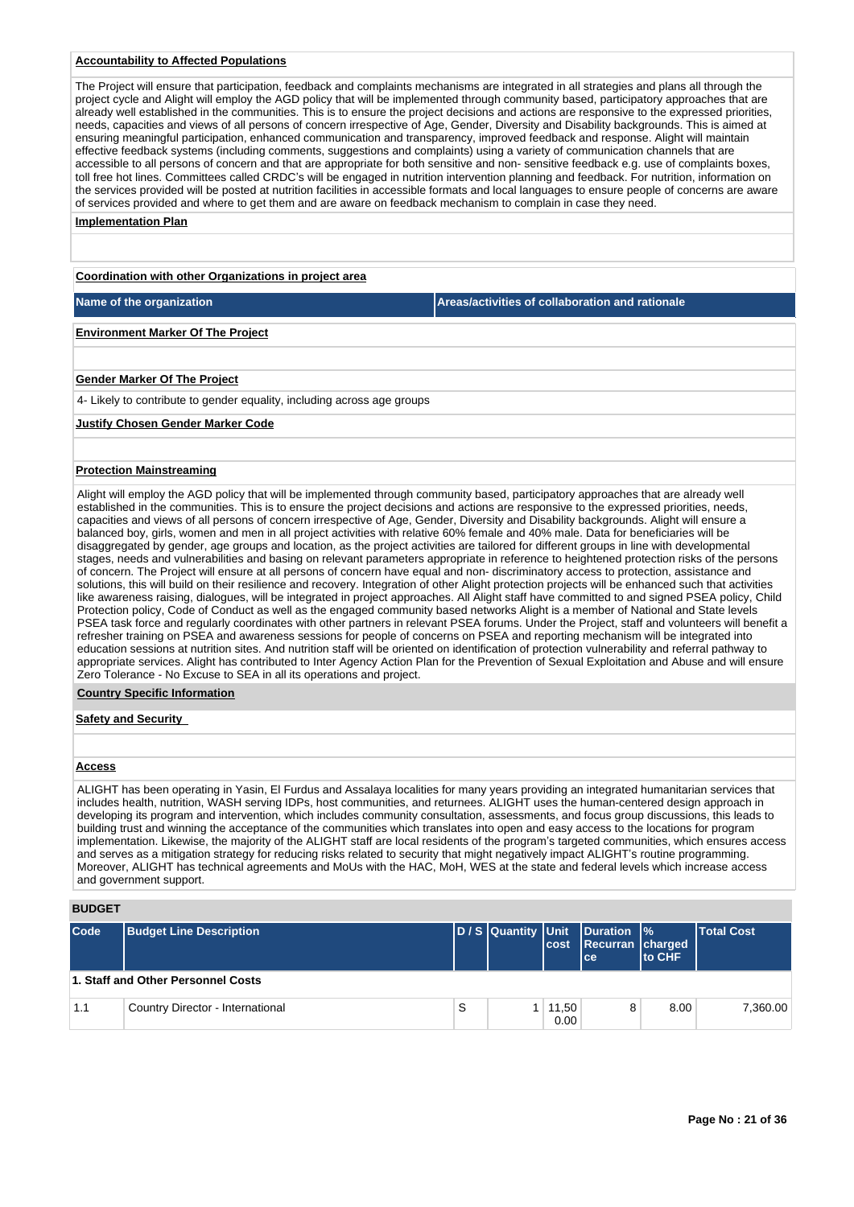# **Accountability to Affected Populations**

The Project will ensure that participation, feedback and complaints mechanisms are integrated in all strategies and plans all through the project cycle and Alight will employ the AGD policy that will be implemented through community based, participatory approaches that are already well established in the communities. This is to ensure the project decisions and actions are responsive to the expressed priorities, needs, capacities and views of all persons of concern irrespective of Age, Gender, Diversity and Disability backgrounds. This is aimed at ensuring meaningful participation, enhanced communication and transparency, improved feedback and response. Alight will maintain effective feedback systems (including comments, suggestions and complaints) using a variety of communication channels that are accessible to all persons of concern and that are appropriate for both sensitive and non- sensitive feedback e.g. use of complaints boxes, toll free hot lines. Committees called CRDC's will be engaged in nutrition intervention planning and feedback. For nutrition, information on the services provided will be posted at nutrition facilities in accessible formats and local languages to ensure people of concerns are aware of services provided and where to get them and are aware on feedback mechanism to complain in case they need.

### **Implementation Plan**

**Coordination with other Organizations in project area**

**Name of the organization Areas/activities of collaboration and rationale** 

### **Environment Marker Of The Project**

### **Gender Marker Of The Project**

4- Likely to contribute to gender equality, including across age groups

### **Justify Chosen Gender Marker Code**

### **Protection Mainstreaming**

Alight will employ the AGD policy that will be implemented through community based, participatory approaches that are already well established in the communities. This is to ensure the project decisions and actions are responsive to the expressed priorities, needs, capacities and views of all persons of concern irrespective of Age, Gender, Diversity and Disability backgrounds. Alight will ensure a balanced boy, girls, women and men in all project activities with relative 60% female and 40% male. Data for beneficiaries will be disaggregated by gender, age groups and location, as the project activities are tailored for different groups in line with developmental stages, needs and vulnerabilities and basing on relevant parameters appropriate in reference to heightened protection risks of the persons of concern. The Project will ensure at all persons of concern have equal and non- discriminatory access to protection, assistance and solutions, this will build on their resilience and recovery. Integration of other Alight protection projects will be enhanced such that activities like awareness raising, dialogues, will be integrated in project approaches. All Alight staff have committed to and signed PSEA policy, Child Protection policy, Code of Conduct as well as the engaged community based networks Alight is a member of National and State levels PSEA task force and regularly coordinates with other partners in relevant PSEA forums. Under the Project, staff and volunteers will benefit a refresher training on PSEA and awareness sessions for people of concerns on PSEA and reporting mechanism will be integrated into education sessions at nutrition sites. And nutrition staff will be oriented on identification of protection vulnerability and referral pathway to appropriate services. Alight has contributed to Inter Agency Action Plan for the Prevention of Sexual Exploitation and Abuse and will ensure Zero Tolerance - No Excuse to SEA in all its operations and project.

### **Country Specific Information**

### **Safety and Security**

### **Access**

ALIGHT has been operating in Yasin, El Furdus and Assalaya localities for many years providing an integrated humanitarian services that includes health, nutrition, WASH serving IDPs, host communities, and returnees. ALIGHT uses the human-centered design approach in developing its program and intervention, which includes community consultation, assessments, and focus group discussions, this leads to building trust and winning the acceptance of the communities which translates into open and easy access to the locations for program implementation. Likewise, the majority of the ALIGHT staff are local residents of the program's targeted communities, which ensures access and serves as a mitigation strategy for reducing risks related to security that might negatively impact ALIGHT's routine programming. Moreover, ALIGHT has technical agreements and MoUs with the HAC, MoH, WES at the state and federal levels which increase access and government support.

# **BUDGET**

| <b>Code</b> | <b>Budget Line Description</b>     |   |                        | D/S Quantity Unit Duration %<br>cost Recurran charged<br>lce: | <b>Ito CHF</b> | Total Cost |
|-------------|------------------------------------|---|------------------------|---------------------------------------------------------------|----------------|------------|
|             | 1. Staff and Other Personnel Costs |   |                        |                                                               |                |            |
| 1.1         | Country Director - International   | S | $1 \mid 11,50$<br>0.00 | 8                                                             | 8.00           | 7.360.00   |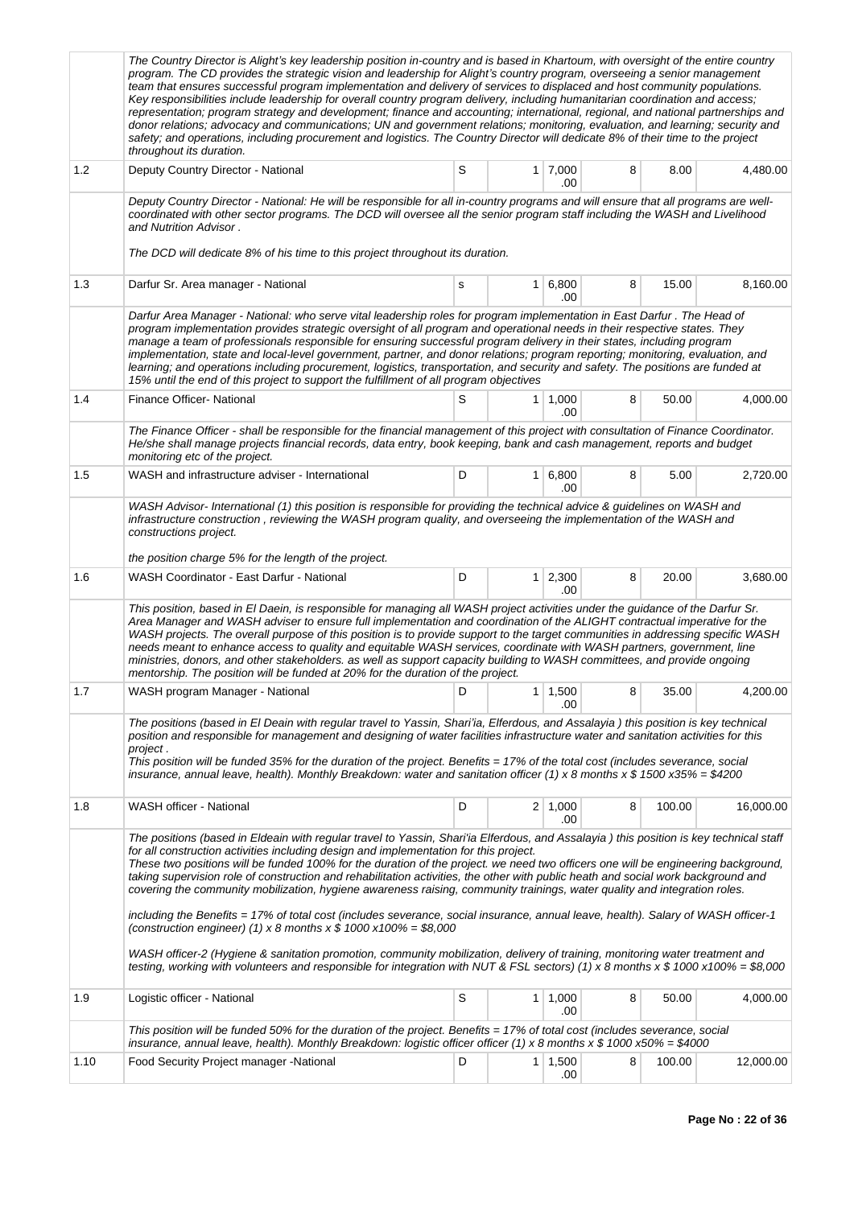|      | The Country Director is Alight's key leadership position in-country and is based in Khartoum, with oversight of the entire country<br>program. The CD provides the strategic vision and leadership for Alight's country program, overseeing a senior management<br>team that ensures successful program implementation and delivery of services to displaced and host community populations.<br>Key responsibilities include leadership for overall country program delivery, including humanitarian coordination and access;<br>representation; program strategy and development; finance and accounting; international, regional, and national partnerships and<br>donor relations; advocacy and communications; UN and government relations; monitoring, evaluation, and learning; security and<br>safety; and operations, including procurement and logistics. The Country Director will dedicate 8% of their time to the project<br>throughout its duration.                                                                                                                                                          |    |   |                       |   |        |           |
|------|----------------------------------------------------------------------------------------------------------------------------------------------------------------------------------------------------------------------------------------------------------------------------------------------------------------------------------------------------------------------------------------------------------------------------------------------------------------------------------------------------------------------------------------------------------------------------------------------------------------------------------------------------------------------------------------------------------------------------------------------------------------------------------------------------------------------------------------------------------------------------------------------------------------------------------------------------------------------------------------------------------------------------------------------------------------------------------------------------------------------------|----|---|-----------------------|---|--------|-----------|
| 1.2  | Deputy Country Director - National                                                                                                                                                                                                                                                                                                                                                                                                                                                                                                                                                                                                                                                                                                                                                                                                                                                                                                                                                                                                                                                                                         | S  |   | $1 \mid 7,000$<br>.00 | 8 | 8.00   | 4,480.00  |
|      | Deputy Country Director - National: He will be responsible for all in-country programs and will ensure that all programs are well-<br>coordinated with other sector programs. The DCD will oversee all the senior program staff including the WASH and Livelihood<br>and Nutrition Advisor.                                                                                                                                                                                                                                                                                                                                                                                                                                                                                                                                                                                                                                                                                                                                                                                                                                |    |   |                       |   |        |           |
|      | The DCD will dedicate 8% of his time to this project throughout its duration.                                                                                                                                                                                                                                                                                                                                                                                                                                                                                                                                                                                                                                                                                                                                                                                                                                                                                                                                                                                                                                              |    |   |                       |   |        |           |
| 1.3  | Darfur Sr. Area manager - National                                                                                                                                                                                                                                                                                                                                                                                                                                                                                                                                                                                                                                                                                                                                                                                                                                                                                                                                                                                                                                                                                         | s  |   | $1 \, 6,800$<br>.00   | 8 | 15.00  | 8,160.00  |
|      | Darfur Area Manager - National: who serve vital leadership roles for program implementation in East Darfur. The Head of<br>program implementation provides strategic oversight of all program and operational needs in their respective states. They<br>manage a team of professionals responsible for ensuring successful program delivery in their states, including program<br>implementation, state and local-level government, partner, and donor relations; program reporting; monitoring, evaluation, and<br>learning; and operations including procurement, logistics, transportation, and security and safety. The positions are funded at<br>15% until the end of this project to support the fulfillment of all program objectives                                                                                                                                                                                                                                                                                                                                                                              |    |   |                       |   |        |           |
| 1.4  | Finance Officer- National                                                                                                                                                                                                                                                                                                                                                                                                                                                                                                                                                                                                                                                                                                                                                                                                                                                                                                                                                                                                                                                                                                  | S  | 1 | 1,000<br>.00          | 8 | 50.00  | 4,000.00  |
|      | The Finance Officer - shall be responsible for the financial management of this project with consultation of Finance Coordinator.<br>He/she shall manage projects financial records, data entry, book keeping, bank and cash management, reports and budget<br>monitoring etc of the project.                                                                                                                                                                                                                                                                                                                                                                                                                                                                                                                                                                                                                                                                                                                                                                                                                              |    |   |                       |   |        |           |
| 1.5  | WASH and infrastructure adviser - International                                                                                                                                                                                                                                                                                                                                                                                                                                                                                                                                                                                                                                                                                                                                                                                                                                                                                                                                                                                                                                                                            | D  |   | 1 6,800<br>.00        | 8 | 5.00   | 2,720.00  |
|      | WASH Advisor- International (1) this position is responsible for providing the technical advice & guidelines on WASH and<br>infrastructure construction, reviewing the WASH program quality, and overseeing the implementation of the WASH and<br>constructions project.                                                                                                                                                                                                                                                                                                                                                                                                                                                                                                                                                                                                                                                                                                                                                                                                                                                   |    |   |                       |   |        |           |
|      | the position charge 5% for the length of the project.                                                                                                                                                                                                                                                                                                                                                                                                                                                                                                                                                                                                                                                                                                                                                                                                                                                                                                                                                                                                                                                                      |    |   |                       |   |        |           |
| 1.6  | WASH Coordinator - East Darfur - National                                                                                                                                                                                                                                                                                                                                                                                                                                                                                                                                                                                                                                                                                                                                                                                                                                                                                                                                                                                                                                                                                  | D  |   | 1 2,300<br>.00        | 8 | 20.00  | 3,680.00  |
|      | This position, based in El Daein, is responsible for managing all WASH project activities under the guidance of the Darfur Sr.<br>Area Manager and WASH adviser to ensure full implementation and coordination of the ALIGHT contractual imperative for the<br>WASH projects. The overall purpose of this position is to provide support to the target communities in addressing specific WASH<br>needs meant to enhance access to quality and equitable WASH services, coordinate with WASH partners, government, line<br>ministries, donors, and other stakeholders. as well as support capacity building to WASH committees, and provide ongoing<br>mentorship. The position will be funded at 20% for the duration of the project.                                                                                                                                                                                                                                                                                                                                                                                     |    |   |                       |   |        |           |
| 1.7  | WASH program Manager - National                                                                                                                                                                                                                                                                                                                                                                                                                                                                                                                                                                                                                                                                                                                                                                                                                                                                                                                                                                                                                                                                                            | D. |   | $1 \mid 1,500$<br>.00 | Ω | 35.00  | 4.200.00  |
|      | The positions (based in El Deain with regular travel to Yassin, Shari'ia, Elferdous, and Assalayia) this position is key technical<br>position and responsible for management and designing of water facilities infrastructure water and sanitation activities for this<br>project.<br>This position will be funded 35% for the duration of the project. Benefits = 17% of the total cost (includes severance, social<br>insurance, annual leave, health). Monthly Breakdown: water and sanitation officer (1) x 8 months x \$ 1500 x35% = \$4200                                                                                                                                                                                                                                                                                                                                                                                                                                                                                                                                                                          |    |   |                       |   |        |           |
| 1.8  | WASH officer - National                                                                                                                                                                                                                                                                                                                                                                                                                                                                                                                                                                                                                                                                                                                                                                                                                                                                                                                                                                                                                                                                                                    | D  |   | $2 \mid 1,000$<br>.00 | 8 | 100.00 | 16,000.00 |
|      | The positions (based in Eldeain with regular travel to Yassin, Shari'ia Elferdous, and Assalayia) this position is key technical staff<br>for all construction activities including design and implementation for this project.<br>These two positions will be funded 100% for the duration of the project. we need two officers one will be engineering background,<br>taking supervision role of construction and rehabilitation activities, the other with public heath and social work background and<br>covering the community mobilization, hygiene awareness raising, community trainings, water quality and integration roles.<br>including the Benefits = 17% of total cost (includes severance, social insurance, annual leave, health). Salary of WASH officer-1<br>(construction engineer) (1) x 8 months x $$1000 \times 100\% = $8,000$<br>WASH officer-2 (Hygiene & sanitation promotion, community mobilization, delivery of training, monitoring water treatment and<br>testing, working with volunteers and responsible for integration with NUT & FSL sectors) (1) x 8 months x \$ 1000 x100% = \$8,000 |    |   |                       |   |        |           |
| 1.9  | Logistic officer - National                                                                                                                                                                                                                                                                                                                                                                                                                                                                                                                                                                                                                                                                                                                                                                                                                                                                                                                                                                                                                                                                                                | S  |   | $1 \mid 1,000$<br>.00 | 8 | 50.00  | 4,000.00  |
|      | This position will be funded 50% for the duration of the project. Benefits = 17% of total cost (includes severance, social<br>insurance, annual leave, health). Monthly Breakdown: logistic officer officer (1) x 8 months x \$ 1000 x50% = \$4000                                                                                                                                                                                                                                                                                                                                                                                                                                                                                                                                                                                                                                                                                                                                                                                                                                                                         |    |   |                       |   |        |           |
| 1.10 | Food Security Project manager - National                                                                                                                                                                                                                                                                                                                                                                                                                                                                                                                                                                                                                                                                                                                                                                                                                                                                                                                                                                                                                                                                                   | D  | 1 | 1,500<br>.00          | 8 | 100.00 | 12,000.00 |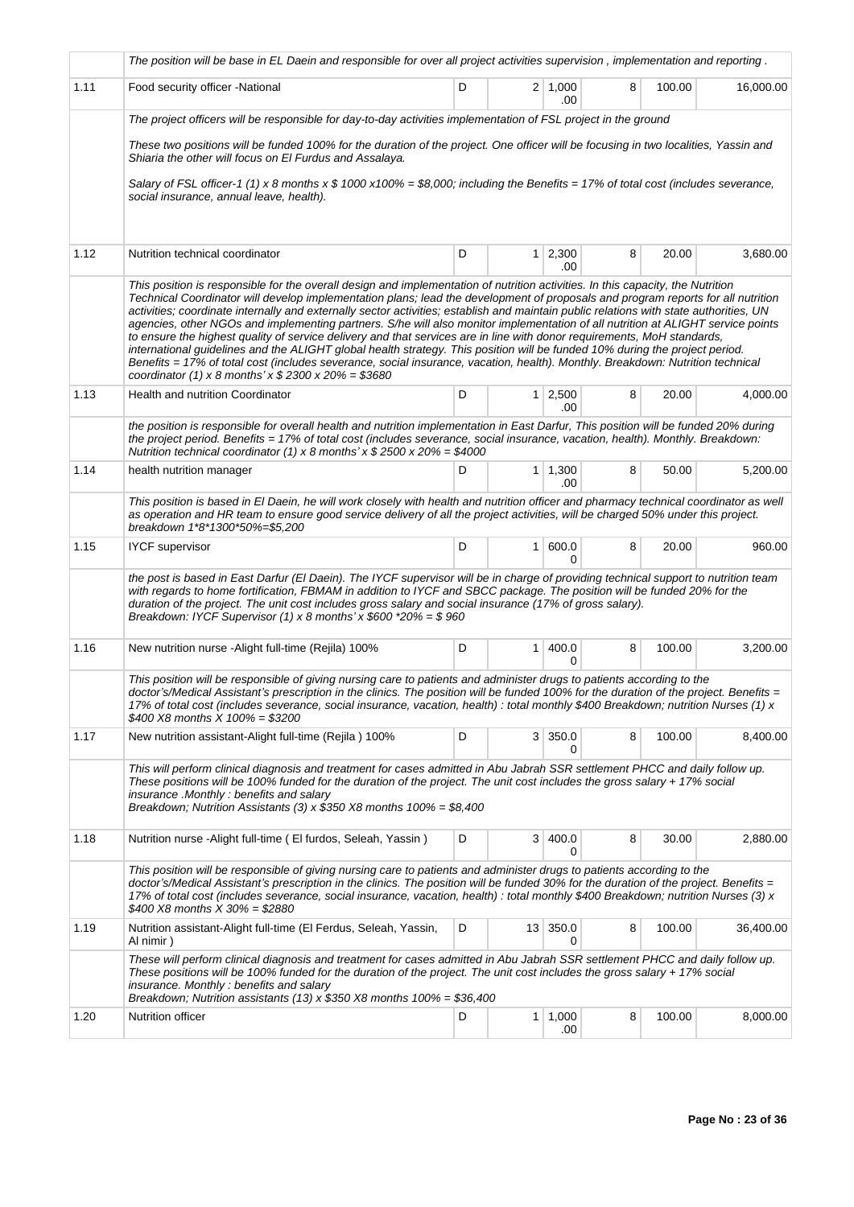|      | The position will be base in EL Daein and responsible for over all project activities supervision, implementation and reporting.                                                                                                                                                                                                                                                                                                                                                                                                                                                                                                                                                                                                                                                                                                                                                                                                                                                                          |   |                |                       |   |        |           |
|------|-----------------------------------------------------------------------------------------------------------------------------------------------------------------------------------------------------------------------------------------------------------------------------------------------------------------------------------------------------------------------------------------------------------------------------------------------------------------------------------------------------------------------------------------------------------------------------------------------------------------------------------------------------------------------------------------------------------------------------------------------------------------------------------------------------------------------------------------------------------------------------------------------------------------------------------------------------------------------------------------------------------|---|----------------|-----------------------|---|--------|-----------|
| 1.11 | Food security officer - National                                                                                                                                                                                                                                                                                                                                                                                                                                                                                                                                                                                                                                                                                                                                                                                                                                                                                                                                                                          | D |                | $2 \mid 1,000$<br>.00 | 8 | 100.00 | 16,000.00 |
|      | The project officers will be responsible for day-to-day activities implementation of FSL project in the ground                                                                                                                                                                                                                                                                                                                                                                                                                                                                                                                                                                                                                                                                                                                                                                                                                                                                                            |   |                |                       |   |        |           |
|      | These two positions will be funded 100% for the duration of the project. One officer will be focusing in two localities, Yassin and<br>Shiaria the other will focus on El Furdus and Assalaya.                                                                                                                                                                                                                                                                                                                                                                                                                                                                                                                                                                                                                                                                                                                                                                                                            |   |                |                       |   |        |           |
|      | Salary of FSL officer-1 (1) x 8 months x \$ 1000 x100% = \$8,000; including the Benefits = 17% of total cost (includes severance,<br>social insurance, annual leave, health).                                                                                                                                                                                                                                                                                                                                                                                                                                                                                                                                                                                                                                                                                                                                                                                                                             |   |                |                       |   |        |           |
| 1.12 | Nutrition technical coordinator                                                                                                                                                                                                                                                                                                                                                                                                                                                                                                                                                                                                                                                                                                                                                                                                                                                                                                                                                                           | D | 1 <sup>1</sup> | 2,300<br>.00          | 8 | 20.00  | 3,680.00  |
|      | This position is responsible for the overall design and implementation of nutrition activities. In this capacity, the Nutrition<br>Technical Coordinator will develop implementation plans; lead the development of proposals and program reports for all nutrition<br>activities; coordinate internally and externally sector activities; establish and maintain public relations with state authorities, UN<br>agencies, other NGOs and implementing partners. S/he will also monitor implementation of all nutrition at ALIGHT service points<br>to ensure the highest quality of service delivery and that services are in line with donor requirements, MoH standards,<br>international guidelines and the ALIGHT global health strategy. This position will be funded 10% during the project period.<br>Benefits = 17% of total cost (includes severance, social insurance, vacation, health). Monthly. Breakdown: Nutrition technical<br>coordinator (1) x 8 months' x $$2300 \times 20\% = $3680$ |   |                |                       |   |        |           |
| 1.13 | <b>Health and nutrition Coordinator</b>                                                                                                                                                                                                                                                                                                                                                                                                                                                                                                                                                                                                                                                                                                                                                                                                                                                                                                                                                                   | D | 1 <sup>1</sup> | 2,500<br>.00          | 8 | 20.00  | 4,000.00  |
|      | the position is responsible for overall health and nutrition implementation in East Darfur, This position will be funded 20% during<br>the project period. Benefits = 17% of total cost (includes severance, social insurance, vacation, health). Monthly. Breakdown:<br>Nutrition technical coordinator (1) x 8 months' x $$2500 \times 20\% = $4000$                                                                                                                                                                                                                                                                                                                                                                                                                                                                                                                                                                                                                                                    |   |                |                       |   |        |           |
| 1.14 | health nutrition manager                                                                                                                                                                                                                                                                                                                                                                                                                                                                                                                                                                                                                                                                                                                                                                                                                                                                                                                                                                                  | D |                | $1 \mid 1,300$<br>.00 | 8 | 50.00  | 5,200.00  |
|      | This position is based in El Daein, he will work closely with health and nutrition officer and pharmacy technical coordinator as well<br>as operation and HR team to ensure good service delivery of all the project activities, will be charged 50% under this project.<br>breakdown 1*8*1300*50%=\$5,200                                                                                                                                                                                                                                                                                                                                                                                                                                                                                                                                                                                                                                                                                                |   |                |                       |   |        |           |
| 1.15 | <b>IYCF</b> supervisor                                                                                                                                                                                                                                                                                                                                                                                                                                                                                                                                                                                                                                                                                                                                                                                                                                                                                                                                                                                    | D | 1 <sup>1</sup> | 600.0<br>0            | 8 | 20.00  | 960.00    |
|      | the post is based in East Darfur (El Daein). The IYCF supervisor will be in charge of providing technical support to nutrition team<br>with regards to home fortification, FBMAM in addition to IYCF and SBCC package. The position will be funded 20% for the<br>duration of the project. The unit cost includes gross salary and social insurance (17% of gross salary).<br>Breakdown: IYCF Supervisor (1) x 8 months' x $$600 *20\% = $960$                                                                                                                                                                                                                                                                                                                                                                                                                                                                                                                                                            |   |                |                       |   |        |           |
| 1.16 | New nutrition nurse -Alight full-time (Rejila) 100%                                                                                                                                                                                                                                                                                                                                                                                                                                                                                                                                                                                                                                                                                                                                                                                                                                                                                                                                                       | D | 1              | 400.0                 | 8 | 100.00 | 3,200.00  |
|      | This position will be responsible of giving nursing care to patients and administer drugs to patients according to the<br>doctor's/Medical Assistant's prescription in the clinics. The position will be funded 100% for the duration of the project. Benefits =<br>17% of total cost (includes severance, social insurance, vacation, health) : total monthly \$400 Breakdown; nutrition Nurses (1) x<br>\$400 X8 months $X$ 100% = \$3200                                                                                                                                                                                                                                                                                                                                                                                                                                                                                                                                                               |   |                |                       |   |        |           |
| 1.17 | New nutrition assistant-Alight full-time (Rejila) 100%                                                                                                                                                                                                                                                                                                                                                                                                                                                                                                                                                                                                                                                                                                                                                                                                                                                                                                                                                    | D |                | $3 \mid 350.0$<br>0   | 8 | 100.00 | 8,400.00  |
|      | This will perform clinical diagnosis and treatment for cases admitted in Abu Jabrah SSR settlement PHCC and daily follow up.<br>These positions will be 100% funded for the duration of the project. The unit cost includes the gross salary + 17% social<br>insurance .Monthly : benefits and salary<br>Breakdown; Nutrition Assistants (3) x $$350$ X8 months $100\% = $8,400$                                                                                                                                                                                                                                                                                                                                                                                                                                                                                                                                                                                                                          |   |                |                       |   |        |           |
| 1.18 | Nutrition nurse - Alight full-time (El furdos, Seleah, Yassin)                                                                                                                                                                                                                                                                                                                                                                                                                                                                                                                                                                                                                                                                                                                                                                                                                                                                                                                                            | D | 3              | 400.0<br>0            | 8 | 30.00  | 2,880.00  |
|      | This position will be responsible of giving nursing care to patients and administer drugs to patients according to the<br>doctor's/Medical Assistant's prescription in the clinics. The position will be funded 30% for the duration of the project. Benefits =<br>17% of total cost (includes severance, social insurance, vacation, health) : total monthly \$400 Breakdown; nutrition Nurses (3) x<br>\$400 X8 months $X$ 30% = \$2880                                                                                                                                                                                                                                                                                                                                                                                                                                                                                                                                                                 |   |                |                       |   |        |           |
| 1.19 | Nutrition assistant-Alight full-time (El Ferdus, Seleah, Yassin,<br>Al nimir)                                                                                                                                                                                                                                                                                                                                                                                                                                                                                                                                                                                                                                                                                                                                                                                                                                                                                                                             | D |                | 13 350.0<br>0         | 8 | 100.00 | 36,400.00 |
|      | These will perform clinical diagnosis and treatment for cases admitted in Abu Jabrah SSR settlement PHCC and daily follow up.<br>These positions will be 100% funded for the duration of the project. The unit cost includes the gross salary + 17% social<br>insurance. Monthly: benefits and salary<br>Breakdown; Nutrition assistants (13) x $$350$ X8 months 100% = \$36,400                                                                                                                                                                                                                                                                                                                                                                                                                                                                                                                                                                                                                          |   |                |                       |   |        |           |
| 1.20 | <b>Nutrition officer</b>                                                                                                                                                                                                                                                                                                                                                                                                                                                                                                                                                                                                                                                                                                                                                                                                                                                                                                                                                                                  | D | 1.             | 1,000<br>.00          | 8 | 100.00 | 8,000.00  |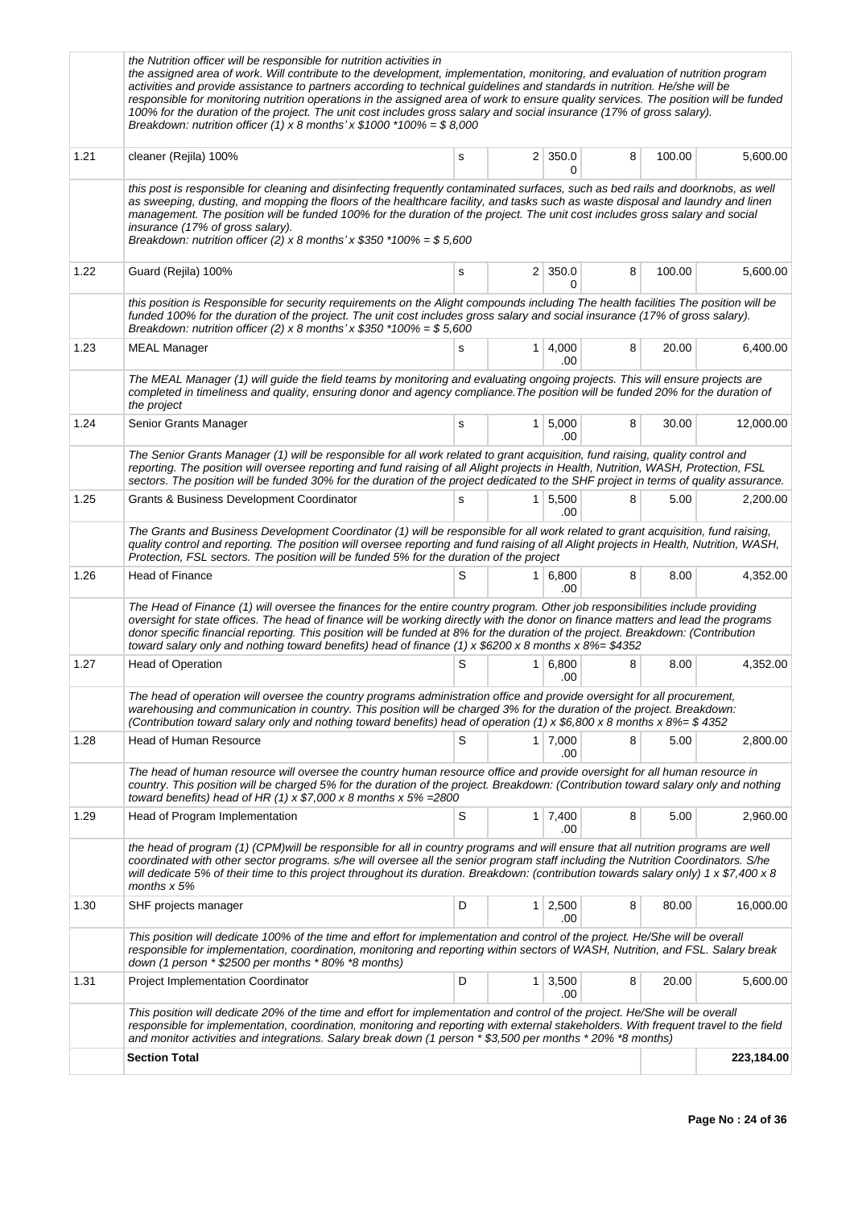|      | the Nutrition officer will be responsible for nutrition activities in<br>the assigned area of work. Will contribute to the development, implementation, monitoring, and evaluation of nutrition program<br>activities and provide assistance to partners according to technical guidelines and standards in nutrition. He/she will be<br>responsible for monitoring nutrition operations in the assigned area of work to ensure quality services. The position will be funded<br>100% for the duration of the project. The unit cost includes gross salary and social insurance (17% of gross salary).<br>Breakdown: nutrition officer (1) x 8 months' x $$1000$ *100% = \$8,000 |   |             |                       |   |        |            |
|------|----------------------------------------------------------------------------------------------------------------------------------------------------------------------------------------------------------------------------------------------------------------------------------------------------------------------------------------------------------------------------------------------------------------------------------------------------------------------------------------------------------------------------------------------------------------------------------------------------------------------------------------------------------------------------------|---|-------------|-----------------------|---|--------|------------|
| 1.21 | cleaner (Rejila) 100%                                                                                                                                                                                                                                                                                                                                                                                                                                                                                                                                                                                                                                                            | s |             | $2 \mid 350.0$<br>0   | 8 | 100.00 | 5,600.00   |
|      | this post is responsible for cleaning and disinfecting frequently contaminated surfaces, such as bed rails and doorknobs, as well<br>as sweeping, dusting, and mopping the floors of the healthcare facility, and tasks such as waste disposal and laundry and linen<br>management. The position will be funded 100% for the duration of the project. The unit cost includes gross salary and social<br>insurance (17% of gross salary).<br>Breakdown: nutrition officer (2) x 8 months' x $$350$ *100% = \$5,600                                                                                                                                                                |   |             |                       |   |        |            |
| 1.22 | Guard (Rejila) 100%                                                                                                                                                                                                                                                                                                                                                                                                                                                                                                                                                                                                                                                              | s |             | $2 \mid 350.0$<br>0   | 8 | 100.00 | 5,600.00   |
|      | this position is Responsible for security requirements on the Alight compounds including The health facilities The position will be<br>funded 100% for the duration of the project. The unit cost includes gross salary and social insurance (17% of gross salary).<br>Breakdown: nutrition officer (2) x 8 months' x $$350$ *100% = \$5,600                                                                                                                                                                                                                                                                                                                                     |   |             |                       |   |        |            |
| 1.23 | <b>MEAL Manager</b>                                                                                                                                                                                                                                                                                                                                                                                                                                                                                                                                                                                                                                                              | s | 1           | 4,000<br>.00          | 8 | 20.00  | 6,400.00   |
|      | The MEAL Manager (1) will guide the field teams by monitoring and evaluating ongoing projects. This will ensure projects are<br>completed in timeliness and quality, ensuring donor and agency compliance. The position will be funded 20% for the duration of<br>the project                                                                                                                                                                                                                                                                                                                                                                                                    |   |             |                       |   |        |            |
| 1.24 | Senior Grants Manager                                                                                                                                                                                                                                                                                                                                                                                                                                                                                                                                                                                                                                                            | s |             | $1 \mid 5,000$<br>.00 | 8 | 30.00  | 12,000.00  |
|      | The Senior Grants Manager (1) will be responsible for all work related to grant acquisition, fund raising, quality control and<br>reporting. The position will oversee reporting and fund raising of all Alight projects in Health, Nutrition, WASH, Protection, FSL<br>sectors. The position will be funded 30% for the duration of the project dedicated to the SHF project in terms of quality assurance.                                                                                                                                                                                                                                                                     |   |             |                       |   |        |            |
| 1.25 | Grants & Business Development Coordinator                                                                                                                                                                                                                                                                                                                                                                                                                                                                                                                                                                                                                                        | s | $\mathbf 1$ | 5,500<br>.00          | 8 | 5.00   | 2,200.00   |
|      | The Grants and Business Development Coordinator (1) will be responsible for all work related to grant acquisition, fund raising,<br>quality control and reporting. The position will oversee reporting and fund raising of all Alight projects in Health, Nutrition, WASH,<br>Protection, FSL sectors. The position will be funded 5% for the duration of the project                                                                                                                                                                                                                                                                                                            |   |             |                       |   |        |            |
| 1.26 | Head of Finance                                                                                                                                                                                                                                                                                                                                                                                                                                                                                                                                                                                                                                                                  | S |             | $1 \, 6,800$<br>.00   | 8 | 8.00   | 4,352.00   |
|      | The Head of Finance (1) will oversee the finances for the entire country program. Other job responsibilities include providing<br>oversight for state offices. The head of finance will be working directly with the donor on finance matters and lead the programs<br>donor specific financial reporting. This position will be funded at 8% for the duration of the project. Breakdown: (Contribution<br>toward salary only and nothing toward benefits) head of finance (1) x \$6200 x 8 months x 8%= \$4352                                                                                                                                                                  |   |             |                       |   |        |            |
| 1.27 | <b>Head of Operation</b>                                                                                                                                                                                                                                                                                                                                                                                                                                                                                                                                                                                                                                                         | S |             | 1 6,800<br>.00        | 8 | 8.00   | 4,352.00   |
|      | The head of operation will oversee the country programs administration office and provide oversight for all procurement,<br>warehousing and communication in country. This position will be charged 3% for the duration of the project. Breakdown:<br>(Contribution toward salary only and nothing toward benefits) head of operation (1) x \$6,800 x 8 months x 8%= \$4352                                                                                                                                                                                                                                                                                                      |   |             |                       |   |        |            |
| 1.28 | <b>Head of Human Resource</b>                                                                                                                                                                                                                                                                                                                                                                                                                                                                                                                                                                                                                                                    | S |             | $1 \mid 7,000$<br>.00 | 8 | 5.00   | 2,800.00   |
|      | The head of human resource will oversee the country human resource office and provide oversight for all human resource in<br>country. This position will be charged 5% for the duration of the project. Breakdown: (Contribution toward salary only and nothing<br>toward benefits) head of HR (1) x $$7,000 \times 8$ months x 5% = 2800                                                                                                                                                                                                                                                                                                                                        |   |             |                       |   |        |            |
| 1.29 | Head of Program Implementation                                                                                                                                                                                                                                                                                                                                                                                                                                                                                                                                                                                                                                                   | S |             | $1 \mid 7,400$<br>.00 | 8 | 5.00   | 2,960.00   |
|      | the head of program (1) (CPM)will be responsible for all in country programs and will ensure that all nutrition programs are well<br>coordinated with other sector programs. s/he will oversee all the senior program staff including the Nutrition Coordinators. S/he<br>will dedicate 5% of their time to this project throughout its duration. Breakdown: (contribution towards salary only) 1 x \$7,400 x 8<br>months $x$ 5%                                                                                                                                                                                                                                                 |   |             |                       |   |        |            |
| 1.30 | SHF projects manager                                                                                                                                                                                                                                                                                                                                                                                                                                                                                                                                                                                                                                                             | D |             | $1 \mid 2,500$<br>.00 | 8 | 80.00  | 16,000.00  |
|      | This position will dedicate 100% of the time and effort for implementation and control of the project. He/She will be overall<br>responsible for implementation, coordination, monitoring and reporting within sectors of WASH, Nutrition, and FSL. Salary break<br>down (1 person $*$ \$2500 per months $*$ 80% $*$ 8 months)                                                                                                                                                                                                                                                                                                                                                   |   |             |                       |   |        |            |
| 1.31 | <b>Project Implementation Coordinator</b>                                                                                                                                                                                                                                                                                                                                                                                                                                                                                                                                                                                                                                        | D |             | $1 \mid 3,500$<br>.00 | 8 | 20.00  | 5,600.00   |
|      | This position will dedicate 20% of the time and effort for implementation and control of the project. He/She will be overall<br>responsible for implementation, coordination, monitoring and reporting with external stakeholders. With frequent travel to the field<br>and monitor activities and integrations. Salary break down (1 person * \$3,500 per months * 20% *8 months)                                                                                                                                                                                                                                                                                               |   |             |                       |   |        |            |
|      | <b>Section Total</b>                                                                                                                                                                                                                                                                                                                                                                                                                                                                                                                                                                                                                                                             |   |             |                       |   |        | 223,184.00 |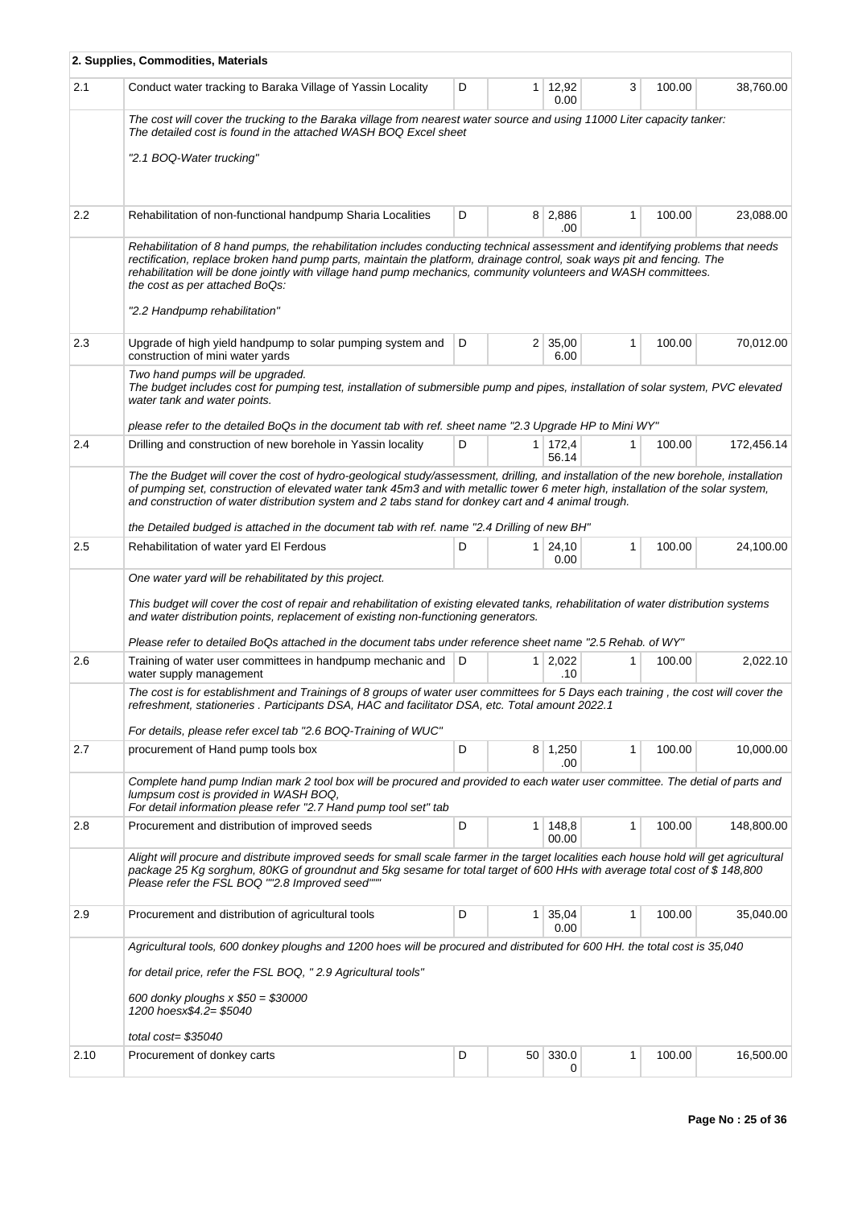|      | 2. Supplies, Commodities, Materials                                                                                                                                                                                                                                                                                                                                                                                                                                             |   |                |                        |              |        |            |
|------|---------------------------------------------------------------------------------------------------------------------------------------------------------------------------------------------------------------------------------------------------------------------------------------------------------------------------------------------------------------------------------------------------------------------------------------------------------------------------------|---|----------------|------------------------|--------------|--------|------------|
| 2.1  | Conduct water tracking to Baraka Village of Yassin Locality                                                                                                                                                                                                                                                                                                                                                                                                                     | D | 1              | 12,92<br>0.00          | 3            | 100.00 | 38,760.00  |
|      | The cost will cover the trucking to the Baraka village from nearest water source and using 11000 Liter capacity tanker:<br>The detailed cost is found in the attached WASH BOQ Excel sheet                                                                                                                                                                                                                                                                                      |   |                |                        |              |        |            |
|      | "2.1 BOQ-Water trucking"                                                                                                                                                                                                                                                                                                                                                                                                                                                        |   |                |                        |              |        |            |
| 2.2  | Rehabilitation of non-functional handpump Sharia Localities                                                                                                                                                                                                                                                                                                                                                                                                                     | D | 8              | 2,886<br>.00           | $\mathbf{1}$ | 100.00 | 23,088.00  |
|      | Rehabilitation of 8 hand pumps, the rehabilitation includes conducting technical assessment and identifying problems that needs<br>rectification, replace broken hand pump parts, maintain the platform, drainage control, soak ways pit and fencing. The<br>rehabilitation will be done jointly with village hand pump mechanics, community volunteers and WASH committees.<br>the cost as per attached BoQs:<br>"2.2 Handpump rehabilitation"                                 |   |                |                        |              |        |            |
| 2.3  | Upgrade of high yield handpump to solar pumping system and<br>construction of mini water yards                                                                                                                                                                                                                                                                                                                                                                                  | D |                | $2 \mid 35,00$<br>6.00 | 1            | 100.00 | 70,012.00  |
|      | Two hand pumps will be upgraded.<br>The budget includes cost for pumping test, installation of submersible pump and pipes, installation of solar system, PVC elevated<br>water tank and water points.                                                                                                                                                                                                                                                                           |   |                |                        |              |        |            |
|      | "please refer to the detailed BoQs in the document tab with ref. sheet name "2.3 Upgrade HP to Mini WY                                                                                                                                                                                                                                                                                                                                                                          |   |                |                        |              |        |            |
| 2.4  | Drilling and construction of new borehole in Yassin locality                                                                                                                                                                                                                                                                                                                                                                                                                    | D |                | 1 172,4<br>56.14       | 1            | 100.00 | 172,456.14 |
|      | The the Budget will cover the cost of hydro-geological study/assessment, drilling, and installation of the new borehole, installation<br>of pumping set, construction of elevated water tank 45m3 and with metallic tower 6 meter high, installation of the solar system,<br>and construction of water distribution system and 2 tabs stand for donkey cart and 4 animal trough.<br>the Detailed budged is attached in the document tab with ref. name "2.4 Drilling of new BH" |   |                |                        |              |        |            |
| 2.5  | Rehabilitation of water yard El Ferdous                                                                                                                                                                                                                                                                                                                                                                                                                                         | D | 1              | 24,10<br>0.00          | 1            | 100.00 | 24,100.00  |
|      | One water yard will be rehabilitated by this project.<br>This budget will cover the cost of repair and rehabilitation of existing elevated tanks, rehabilitation of water distribution systems<br>and water distribution points, replacement of existing non-functioning generators.<br>"Please refer to detailed BoQs attached in the document tabs under reference sheet name "2.5 Rehab. of WY"                                                                              |   |                |                        |              |        |            |
| 2.6  | Training of water user committees in handpump mechanic and<br>water supply management                                                                                                                                                                                                                                                                                                                                                                                           | D | 1 <sup>1</sup> | 2,022<br>.10           | 1            | 100.00 | 2,022.10   |
|      | The cost is for establishment and Trainings of 8 groups of water user committees for 5 Days each training, the cost will cover the<br>refreshment, stationeries . Participants DSA, HAC and facilitator DSA, etc. Total amount 2022.1                                                                                                                                                                                                                                           |   |                |                        |              |        |            |
| 2.7  | For details, please refer excel tab "2.6 BOQ-Training of WUC"<br>procurement of Hand pump tools box                                                                                                                                                                                                                                                                                                                                                                             | D |                | 8 1,250                | 1            | 100.00 | 10,000.00  |
|      | Complete hand pump Indian mark 2 tool box will be procured and provided to each water user committee. The detial of parts and<br>lumpsum cost is provided in WASH BOQ,<br>For detail information please refer "2.7 Hand pump tool set" tab                                                                                                                                                                                                                                      |   |                | .00                    |              |        |            |
| 2.8  | Procurement and distribution of improved seeds                                                                                                                                                                                                                                                                                                                                                                                                                                  | D | 1              | 148,8<br>00.00         | $\mathbf{1}$ | 100.00 | 148,800.00 |
|      | Alight will procure and distribute improved seeds for small scale farmer in the target localities each house hold will get agricultural<br>package 25 Kg sorghum, 80KG of groundnut and 5kg sesame for total target of 600 HHs with average total cost of \$148,800<br>Please refer the FSL BOQ ""2.8 Improved seed"""                                                                                                                                                          |   |                |                        |              |        |            |
| 2.9  | Procurement and distribution of agricultural tools                                                                                                                                                                                                                                                                                                                                                                                                                              | D | 1              | 35,04<br>0.00          | 1            | 100.00 | 35,040.00  |
|      | Agricultural tools, 600 donkey ploughs and 1200 hoes will be procured and distributed for 600 HH. the total cost is 35,040                                                                                                                                                                                                                                                                                                                                                      |   |                |                        |              |        |            |
|      | for detail price, refer the FSL BOQ, "2.9 Agricultural tools"<br>600 donky ploughs $x $50 = $30000$                                                                                                                                                                                                                                                                                                                                                                             |   |                |                        |              |        |            |
|      | 1200 hoesx\$4.2= \$5040<br>total $cost = $35040$                                                                                                                                                                                                                                                                                                                                                                                                                                |   |                |                        |              |        |            |
| 2.10 | Procurement of donkey carts                                                                                                                                                                                                                                                                                                                                                                                                                                                     | D |                | 50 330.0<br>0          | 1            | 100.00 | 16,500.00  |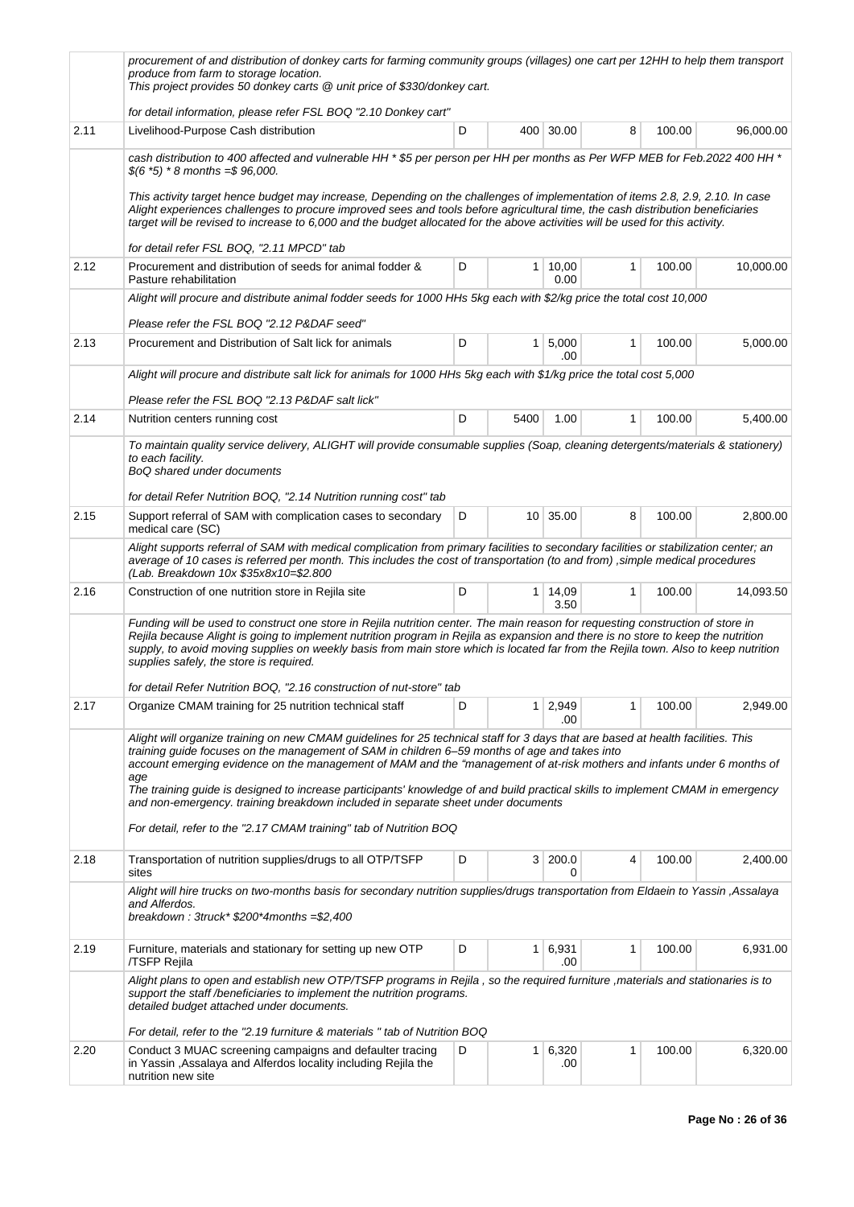|      | procurement of and distribution of donkey carts for farming community groups (villages) one cart per 12HH to help them transport<br>produce from farm to storage location.<br>This project provides 50 donkey carts @ unit price of \$330/donkey cart.                                                                                                                                                                                                                                                                                                                                     |   |                |                   |   |        |           |
|------|--------------------------------------------------------------------------------------------------------------------------------------------------------------------------------------------------------------------------------------------------------------------------------------------------------------------------------------------------------------------------------------------------------------------------------------------------------------------------------------------------------------------------------------------------------------------------------------------|---|----------------|-------------------|---|--------|-----------|
|      | for detail information, please refer FSL BOQ "2.10 Donkey cart"                                                                                                                                                                                                                                                                                                                                                                                                                                                                                                                            |   |                |                   |   |        |           |
| 2.11 | Livelihood-Purpose Cash distribution                                                                                                                                                                                                                                                                                                                                                                                                                                                                                                                                                       | D |                | 400 30.00         | 8 | 100.00 | 96,000.00 |
|      | cash distribution to 400 affected and vulnerable HH * \$5 per person per HH per months as Per WFP MEB for Feb.2022 400 HH *<br>$$(6 *5) * 8 months = $ 96,000.$                                                                                                                                                                                                                                                                                                                                                                                                                            |   |                |                   |   |        |           |
|      | This activity target hence budget may increase, Depending on the challenges of implementation of items 2.8, 2.9, 2.10. In case<br>Alight experiences challenges to procure improved sees and tools before agricultural time, the cash distribution beneficiaries<br>target will be revised to increase to 6,000 and the budget allocated for the above activities will be used for this activity.                                                                                                                                                                                          |   |                |                   |   |        |           |
|      | for detail refer FSL BOQ, "2.11 MPCD" tab                                                                                                                                                                                                                                                                                                                                                                                                                                                                                                                                                  |   |                |                   |   |        |           |
| 2.12 | Procurement and distribution of seeds for animal fodder &<br>Pasture rehabilitation                                                                                                                                                                                                                                                                                                                                                                                                                                                                                                        | D |                | 1   10,00<br>0.00 | 1 | 100.00 | 10,000.00 |
|      | Alight will procure and distribute animal fodder seeds for 1000 HHs 5kg each with \$2/kg price the total cost 10,000                                                                                                                                                                                                                                                                                                                                                                                                                                                                       |   |                |                   |   |        |           |
|      | Please refer the FSL BOQ "2.12 P&DAF seed"                                                                                                                                                                                                                                                                                                                                                                                                                                                                                                                                                 |   |                |                   |   |        |           |
| 2.13 | Procurement and Distribution of Salt lick for animals                                                                                                                                                                                                                                                                                                                                                                                                                                                                                                                                      | D | 1              | 5,000<br>.00      | 1 | 100.00 | 5,000.00  |
|      | Alight will procure and distribute salt lick for animals for 1000 HHs 5kg each with \$1/kg price the total cost 5,000                                                                                                                                                                                                                                                                                                                                                                                                                                                                      |   |                |                   |   |        |           |
|      | Please refer the FSL BOQ "2.13 P&DAF salt lick"                                                                                                                                                                                                                                                                                                                                                                                                                                                                                                                                            |   |                |                   |   |        |           |
| 2.14 | Nutrition centers running cost                                                                                                                                                                                                                                                                                                                                                                                                                                                                                                                                                             | D | 5400           | 1.00              | 1 | 100.00 | 5,400.00  |
|      | To maintain quality service delivery, ALIGHT will provide consumable supplies (Soap, cleaning detergents/materials & stationery)<br>to each facility.<br>BoQ shared under documents                                                                                                                                                                                                                                                                                                                                                                                                        |   |                |                   |   |        |           |
|      | for detail Refer Nutrition BOQ, "2.14 Nutrition running cost" tab                                                                                                                                                                                                                                                                                                                                                                                                                                                                                                                          |   |                |                   |   |        |           |
| 2.15 | Support referral of SAM with complication cases to secondary<br>medical care (SC)                                                                                                                                                                                                                                                                                                                                                                                                                                                                                                          | D |                | 10 35.00          | 8 | 100.00 | 2,800.00  |
|      | Alight supports referral of SAM with medical complication from primary facilities to secondary facilities or stabilization center; an<br>average of 10 cases is referred per month. This includes the cost of transportation (to and from), simple medical procedures<br>(Lab. Breakdown 10x \$35x8x10=\$2.800                                                                                                                                                                                                                                                                             |   |                |                   |   |        |           |
| 2.16 | Construction of one nutrition store in Rejila site                                                                                                                                                                                                                                                                                                                                                                                                                                                                                                                                         | D | $\mathbf{1}$   | 14,09<br>3.50     | 1 | 100.00 | 14,093.50 |
|      | Funding will be used to construct one store in Rejila nutrition center. The main reason for requesting construction of store in<br>Rejila because Alight is going to implement nutrition program in Rejila as expansion and there is no store to keep the nutrition<br>supply, to avoid moving supplies on weekly basis from main store which is located far from the Rejila town. Also to keep nutrition<br>supplies safely, the store is required.                                                                                                                                       |   |                |                   |   |        |           |
|      | for detail Refer Nutrition BOQ, "2.16 construction of nut-store" tab                                                                                                                                                                                                                                                                                                                                                                                                                                                                                                                       |   |                |                   |   |        |           |
| 2.17 | Organize CMAM training for 25 nutrition technical staff                                                                                                                                                                                                                                                                                                                                                                                                                                                                                                                                    | D | $\mathbf{1}$   | 2,949<br>.00      | 1 | 100.00 | 2,949.00  |
|      | Alight will organize training on new CMAM guidelines for 25 technical staff for 3 days that are based at health facilities. This<br>training quide focuses on the management of SAM in children 6–59 months of age and takes into<br>account emerging evidence on the management of MAM and the "management of at-risk mothers and infants under 6 months of<br>age<br>The training guide is designed to increase participants' knowledge of and build practical skills to implement CMAM in emergency<br>and non-emergency. training breakdown included in separate sheet under documents |   |                |                   |   |        |           |
|      | For detail, refer to the "2.17 CMAM training" tab of Nutrition BOQ                                                                                                                                                                                                                                                                                                                                                                                                                                                                                                                         |   |                |                   |   |        |           |
| 2.18 | Transportation of nutrition supplies/drugs to all OTP/TSFP<br>sites                                                                                                                                                                                                                                                                                                                                                                                                                                                                                                                        | D | 3 <sup>1</sup> | 200.0<br>0        | 4 | 100.00 | 2,400.00  |
|      | Alight will hire trucks on two-months basis for secondary nutrition supplies/drugs transportation from Eldaein to Yassin, Assalaya<br>and Alferdos.<br>breakdown: 3truck* \$200*4months = \$2,400                                                                                                                                                                                                                                                                                                                                                                                          |   |                |                   |   |        |           |
| 2.19 | Furniture, materials and stationary for setting up new OTP<br>/TSFP Rejila                                                                                                                                                                                                                                                                                                                                                                                                                                                                                                                 | D | 1              | 6,931<br>.00      | 1 | 100.00 | 6,931.00  |
|      | Alight plans to open and establish new OTP/TSFP programs in Rejila, so the required furniture, materials and stationaries is to<br>support the staff /beneficiaries to implement the nutrition programs.<br>detailed budget attached under documents.                                                                                                                                                                                                                                                                                                                                      |   |                |                   |   |        |           |
|      | For detail, refer to the "2.19 furniture & materials " tab of Nutrition BOQ                                                                                                                                                                                                                                                                                                                                                                                                                                                                                                                |   |                |                   |   |        |           |
| 2.20 | Conduct 3 MUAC screening campaigns and defaulter tracing<br>in Yassin , Assalaya and Alferdos locality including Rejila the<br>nutrition new site                                                                                                                                                                                                                                                                                                                                                                                                                                          | D | $\mathbf{1}$   | 6,320<br>.00      | 1 | 100.00 | 6,320.00  |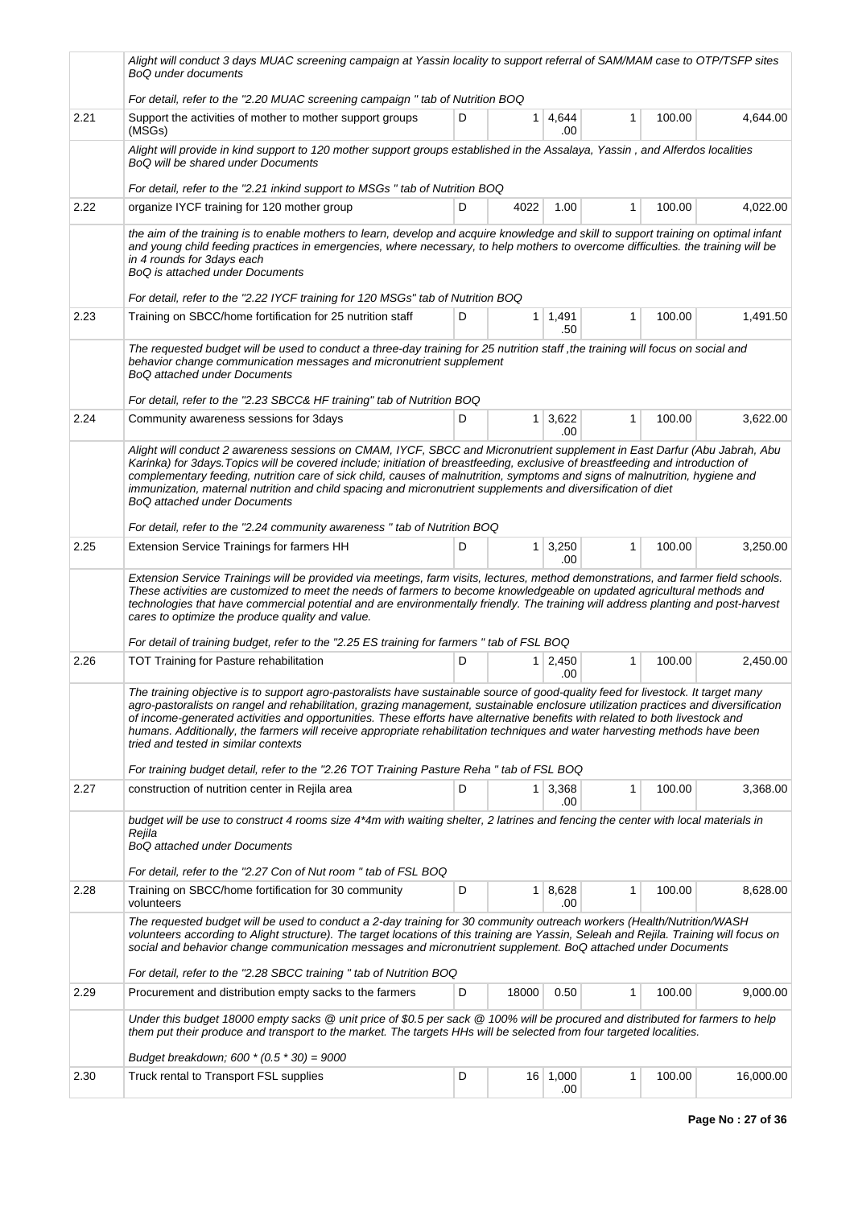|      | Alight will conduct 3 days MUAC screening campaign at Yassin locality to support referral of SAM/MAM case to OTP/TSFP sites<br><b>BoQ</b> under documents                                                                                                                                                                                                                                                                                                                                                                                                                                                                                                                   |   |                |                              |              |        |           |
|------|-----------------------------------------------------------------------------------------------------------------------------------------------------------------------------------------------------------------------------------------------------------------------------------------------------------------------------------------------------------------------------------------------------------------------------------------------------------------------------------------------------------------------------------------------------------------------------------------------------------------------------------------------------------------------------|---|----------------|------------------------------|--------------|--------|-----------|
|      | For detail, refer to the "2.20 MUAC screening campaign" tab of Nutrition BOQ                                                                                                                                                                                                                                                                                                                                                                                                                                                                                                                                                                                                |   |                |                              |              |        |           |
| 2.21 | Support the activities of mother to mother support groups<br>(MSGs)                                                                                                                                                                                                                                                                                                                                                                                                                                                                                                                                                                                                         | D | 1 <sup>1</sup> | 4,644<br>.00                 | 1            | 100.00 | 4,644.00  |
|      | Alight will provide in kind support to 120 mother support groups established in the Assalaya, Yassin, and Alferdos localities<br>BoQ will be shared under Documents                                                                                                                                                                                                                                                                                                                                                                                                                                                                                                         |   |                |                              |              |        |           |
|      | For detail, refer to the "2.21 inkind support to MSGs " tab of Nutrition BOQ                                                                                                                                                                                                                                                                                                                                                                                                                                                                                                                                                                                                |   |                |                              |              |        |           |
| 2.22 | organize IYCF training for 120 mother group                                                                                                                                                                                                                                                                                                                                                                                                                                                                                                                                                                                                                                 | D | 4022           | 1.00                         | 1            | 100.00 | 4,022.00  |
|      | the aim of the training is to enable mothers to learn, develop and acquire knowledge and skill to support training on optimal infant<br>and young child feeding practices in emergencies, where necessary, to help mothers to overcome difficulties. the training will be<br>in 4 rounds for 3days each<br>BoQ is attached under Documents                                                                                                                                                                                                                                                                                                                                  |   |                |                              |              |        |           |
|      | For detail, refer to the "2.22 IYCF training for 120 MSGs" tab of Nutrition BOQ                                                                                                                                                                                                                                                                                                                                                                                                                                                                                                                                                                                             |   |                |                              |              |        |           |
| 2.23 | Training on SBCC/home fortification for 25 nutrition staff                                                                                                                                                                                                                                                                                                                                                                                                                                                                                                                                                                                                                  | D | $\mathbf{1}$   | 1,491<br>.50                 | 1            | 100.00 | 1,491.50  |
|      | The requested budget will be used to conduct a three-day training for 25 nutrition staff ,the training will focus on social and<br>behavior change communication messages and micronutrient supplement<br><b>BoQ attached under Documents</b><br>For detail, refer to the "2.23 SBCC& HF training" tab of Nutrition BOQ                                                                                                                                                                                                                                                                                                                                                     |   |                |                              |              |        |           |
| 2.24 | Community awareness sessions for 3days                                                                                                                                                                                                                                                                                                                                                                                                                                                                                                                                                                                                                                      | D |                | $1 \mid 3,622$<br>.00        | $\mathbf{1}$ | 100.00 | 3,622.00  |
|      | Alight will conduct 2 awareness sessions on CMAM, IYCF, SBCC and Micronutrient supplement in East Darfur (Abu Jabrah, Abu<br>Karinka) for 3days. Topics will be covered include; initiation of breastfeeding, exclusive of breastfeeding and introduction of<br>complementary feeding, nutrition care of sick child, causes of malnutrition, symptoms and signs of malnutrition, hygiene and<br>immunization, maternal nutrition and child spacing and micronutrient supplements and diversification of diet<br><b>BoQ attached under Documents</b><br>For detail, refer to the "2.24 community awareness" tab of Nutrition BOQ                                             |   |                |                              |              |        |           |
| 2.25 | Extension Service Trainings for farmers HH                                                                                                                                                                                                                                                                                                                                                                                                                                                                                                                                                                                                                                  | D | $\mathbf{1}$   | 3,250                        | 1            | 100.00 | 3,250.00  |
|      |                                                                                                                                                                                                                                                                                                                                                                                                                                                                                                                                                                                                                                                                             |   |                | .00                          |              |        |           |
|      | Extension Service Trainings will be provided via meetings, farm visits, lectures, method demonstrations, and farmer field schools.<br>These activities are customized to meet the needs of farmers to become knowledgeable on updated agricultural methods and<br>technologies that have commercial potential and are environmentally friendly. The training will address planting and post-harvest<br>cares to optimize the produce quality and value.                                                                                                                                                                                                                     |   |                |                              |              |        |           |
|      | For detail of training budget, refer to the "2.25 ES training for farmers " tab of FSL BOQ                                                                                                                                                                                                                                                                                                                                                                                                                                                                                                                                                                                  |   |                |                              |              |        |           |
| 2.26 | <b>TOT Training for Pasture rehabilitation</b>                                                                                                                                                                                                                                                                                                                                                                                                                                                                                                                                                                                                                              | D |                | $1 \overline{)2,450}$<br>.00 | 1            | 100.00 | 2,450.00  |
|      | The training objective is to support agro-pastoralists have sustainable source of good-quality feed for livestock. It target many<br>agro-pastoralists on rangel and rehabilitation, grazing management, sustainable enclosure utilization practices and diversification<br>of income-generated activities and opportunities. These efforts have alternative benefits with related to both livestock and<br>humans. Additionally, the farmers will receive appropriate rehabilitation techniques and water harvesting methods have been<br>tried and tested in similar contexts<br>For training budget detail, refer to the "2.26 TOT Training Pasture Reha" tab of FSL BOQ |   |                |                              |              |        |           |
| 2.27 | construction of nutrition center in Rejila area                                                                                                                                                                                                                                                                                                                                                                                                                                                                                                                                                                                                                             | D |                | 1 3,368<br>.00               | $\mathbf{1}$ | 100.00 | 3,368.00  |
|      | budget will be use to construct 4 rooms size 4*4m with waiting shelter, 2 latrines and fencing the center with local materials in<br>Rejila<br><b>BoQ attached under Documents</b>                                                                                                                                                                                                                                                                                                                                                                                                                                                                                          |   |                |                              |              |        |           |
|      | For detail, refer to the "2.27 Con of Nut room " tab of FSL BOQ                                                                                                                                                                                                                                                                                                                                                                                                                                                                                                                                                                                                             |   |                |                              |              |        |           |
| 2.28 | Training on SBCC/home fortification for 30 community<br>volunteers                                                                                                                                                                                                                                                                                                                                                                                                                                                                                                                                                                                                          | D |                | $1 \mid 8,628$<br>.00        | 1            | 100.00 | 8,628.00  |
|      | The requested budget will be used to conduct a 2-day training for 30 community outreach workers (Health/Nutrition/WASH<br>volunteers according to Alight structure). The target locations of this training are Yassin, Seleah and Rejila. Training will focus on<br>social and behavior change communication messages and micronutrient supplement. BoQ attached under Documents<br>For detail, refer to the "2.28 SBCC training" tab of Nutrition BOQ                                                                                                                                                                                                                      |   |                |                              |              |        |           |
| 2.29 | Procurement and distribution empty sacks to the farmers                                                                                                                                                                                                                                                                                                                                                                                                                                                                                                                                                                                                                     | D | 18000          | 0.50                         | 1            | 100.00 | 9,000.00  |
|      | Under this budget 18000 empty sacks @ unit price of \$0.5 per sack @ 100% will be procured and distributed for farmers to help                                                                                                                                                                                                                                                                                                                                                                                                                                                                                                                                              |   |                |                              |              |        |           |
|      | them put their produce and transport to the market. The targets HHs will be selected from four targeted localities.<br>Budget breakdown; 600 $*(0.5 * 30) = 9000$                                                                                                                                                                                                                                                                                                                                                                                                                                                                                                           |   |                |                              |              |        |           |
| 2.30 | Truck rental to Transport FSL supplies                                                                                                                                                                                                                                                                                                                                                                                                                                                                                                                                                                                                                                      | D |                | 16 1,000                     | 1            | 100.00 | 16,000.00 |
|      |                                                                                                                                                                                                                                                                                                                                                                                                                                                                                                                                                                                                                                                                             |   |                | .00                          |              |        |           |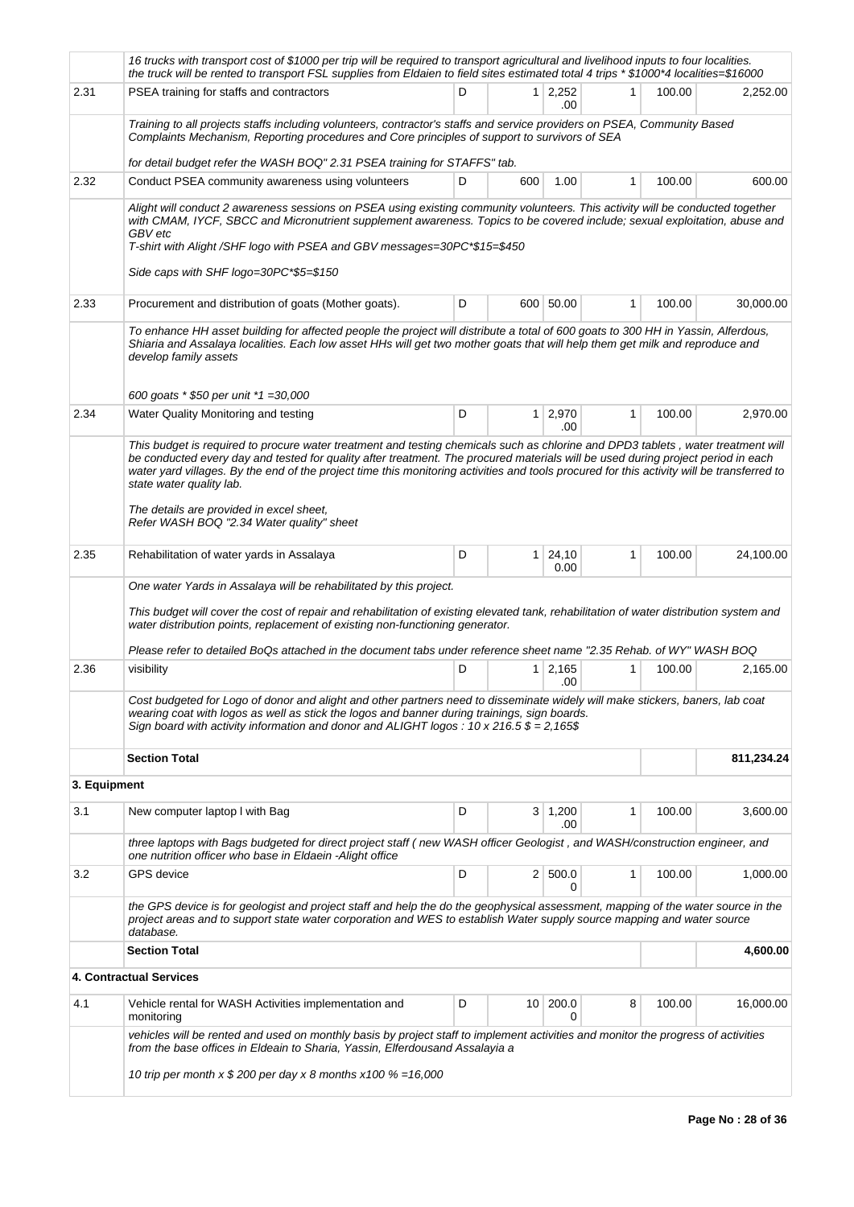|              | 16 trucks with transport cost of \$1000 per trip will be required to transport agricultural and livelihood inputs to four localities.<br>the truck will be rented to transport FSL supplies from Eldaien to field sites estimated total 4 trips * \$1000*4 localities=\$16000                                                                                                                                                                                                                                                           |   |                 |                       |              |        |            |
|--------------|-----------------------------------------------------------------------------------------------------------------------------------------------------------------------------------------------------------------------------------------------------------------------------------------------------------------------------------------------------------------------------------------------------------------------------------------------------------------------------------------------------------------------------------------|---|-----------------|-----------------------|--------------|--------|------------|
| 2.31         | PSEA training for staffs and contractors                                                                                                                                                                                                                                                                                                                                                                                                                                                                                                | D | 1               | 2.252<br>.00          | 1            | 100.00 | 2,252.00   |
|              | Training to all projects staffs including volunteers, contractor's staffs and service providers on PSEA, Community Based<br>Complaints Mechanism, Reporting procedures and Core principles of support to survivors of SEA                                                                                                                                                                                                                                                                                                               |   |                 |                       |              |        |            |
|              | for detail budget refer the WASH BOQ" 2.31 PSEA training for STAFFS" tab.                                                                                                                                                                                                                                                                                                                                                                                                                                                               |   |                 |                       |              |        |            |
| 2.32         | Conduct PSEA community awareness using volunteers                                                                                                                                                                                                                                                                                                                                                                                                                                                                                       | D | 600             | 1.00                  | $\mathbf{1}$ | 100.00 | 600.00     |
|              | Alight will conduct 2 awareness sessions on PSEA using existing community volunteers. This activity will be conducted together<br>with CMAM, IYCF, SBCC and Micronutrient supplement awareness. Topics to be covered include; sexual exploitation, abuse and<br>GBV etc<br>T-shirt with Alight /SHF logo with PSEA and GBV messages=30PC*\$15=\$450<br>Side caps with SHF logo=30PC*\$5=\$150                                                                                                                                           |   |                 |                       |              |        |            |
| 2.33         | Procurement and distribution of goats (Mother goats).                                                                                                                                                                                                                                                                                                                                                                                                                                                                                   | D |                 | 600 50.00             | 1            | 100.00 | 30,000.00  |
|              | To enhance HH asset building for affected people the project will distribute a total of 600 goats to 300 HH in Yassin, Alferdous,<br>Shiaria and Assalaya localities. Each low asset HHs will get two mother goats that will help them get milk and reproduce and<br>develop family assets<br>600 goats * \$50 per unit *1 = 30,000                                                                                                                                                                                                     |   |                 |                       |              |        |            |
| 2.34         | Water Quality Monitoring and testing                                                                                                                                                                                                                                                                                                                                                                                                                                                                                                    | D | 1               | 2,970<br>.00          | 1            | 100.00 | 2,970.00   |
|              | This budget is required to procure water treatment and testing chemicals such as chlorine and DPD3 tablets, water treatment will<br>be conducted every day and tested for quality after treatment. The procured materials will be used during project period in each<br>water yard villages. By the end of the project time this monitoring activities and tools procured for this activity will be transferred to<br>state water quality lab.<br>The details are provided in excel sheet,<br>Refer WASH BOQ "2.34 Water quality" sheet |   |                 |                       |              |        |            |
| 2.35         | Rehabilitation of water yards in Assalaya                                                                                                                                                                                                                                                                                                                                                                                                                                                                                               | D | 1               | 24,10<br>0.00         | 1            | 100.00 | 24,100.00  |
|              | One water Yards in Assalaya will be rehabilitated by this project.<br>This budget will cover the cost of repair and rehabilitation of existing elevated tank, rehabilitation of water distribution system and<br>water distribution points, replacement of existing non-functioning generator.<br>Please refer to detailed BoQs attached in the document tabs under reference sheet name "2.35 Rehab. of WY" WASH BOQ                                                                                                                   |   |                 |                       |              |        |            |
| 2.36         | visibility                                                                                                                                                                                                                                                                                                                                                                                                                                                                                                                              | D | 1               | 2,165<br>.00          | 1            | 100.00 | 2,165.00   |
|              | Cost budgeted for Logo of donor and alight and other partners need to disseminate widely will make stickers, baners, lab coat<br>wearing coat with logos as well as stick the logos and banner during trainings, sign boards.<br>Sign board with activity information and donor and ALIGHT logos: 10 x 216.5 $\frac{6}{5}$ = 2,165\$                                                                                                                                                                                                    |   |                 |                       |              |        |            |
|              | <b>Section Total</b>                                                                                                                                                                                                                                                                                                                                                                                                                                                                                                                    |   |                 |                       |              |        | 811,234.24 |
| 3. Equipment |                                                                                                                                                                                                                                                                                                                                                                                                                                                                                                                                         |   |                 |                       |              |        |            |
| 3.1          | New computer laptop I with Bag                                                                                                                                                                                                                                                                                                                                                                                                                                                                                                          | D |                 | $3 \mid 1,200$<br>.00 | 1            | 100.00 | 3,600.00   |
|              | three laptops with Bags budgeted for direct project staff (new WASH officer Geologist, and WASH/construction engineer, and<br>one nutrition officer who base in Eldaein -Alight office                                                                                                                                                                                                                                                                                                                                                  |   |                 |                       |              |        |            |
| 3.2          | <b>GPS</b> device                                                                                                                                                                                                                                                                                                                                                                                                                                                                                                                       | D |                 | 2   500.0<br>0        | 1            | 100.00 | 1,000.00   |
|              | the GPS device is for geologist and project staff and help the do the geophysical assessment, mapping of the water source in the<br>project areas and to support state water corporation and WES to establish Water supply source mapping and water source<br>database.                                                                                                                                                                                                                                                                 |   |                 |                       |              |        |            |
|              | <b>Section Total</b>                                                                                                                                                                                                                                                                                                                                                                                                                                                                                                                    |   |                 |                       |              |        | 4,600.00   |
|              | 4. Contractual Services                                                                                                                                                                                                                                                                                                                                                                                                                                                                                                                 |   |                 |                       |              |        |            |
| 4.1          | Vehicle rental for WASH Activities implementation and<br>monitoring                                                                                                                                                                                                                                                                                                                                                                                                                                                                     | D | 10 <sup>1</sup> | 200.0<br>0            | 8            | 100.00 | 16,000.00  |
|              | vehicles will be rented and used on monthly basis by project staff to implement activities and monitor the progress of activities<br>from the base offices in Eldeain to Sharia, Yassin, Elferdousand Assalayia a                                                                                                                                                                                                                                                                                                                       |   |                 |                       |              |        |            |
|              | 10 trip per month x \$ 200 per day x 8 months x 100 % = 16,000                                                                                                                                                                                                                                                                                                                                                                                                                                                                          |   |                 |                       |              |        |            |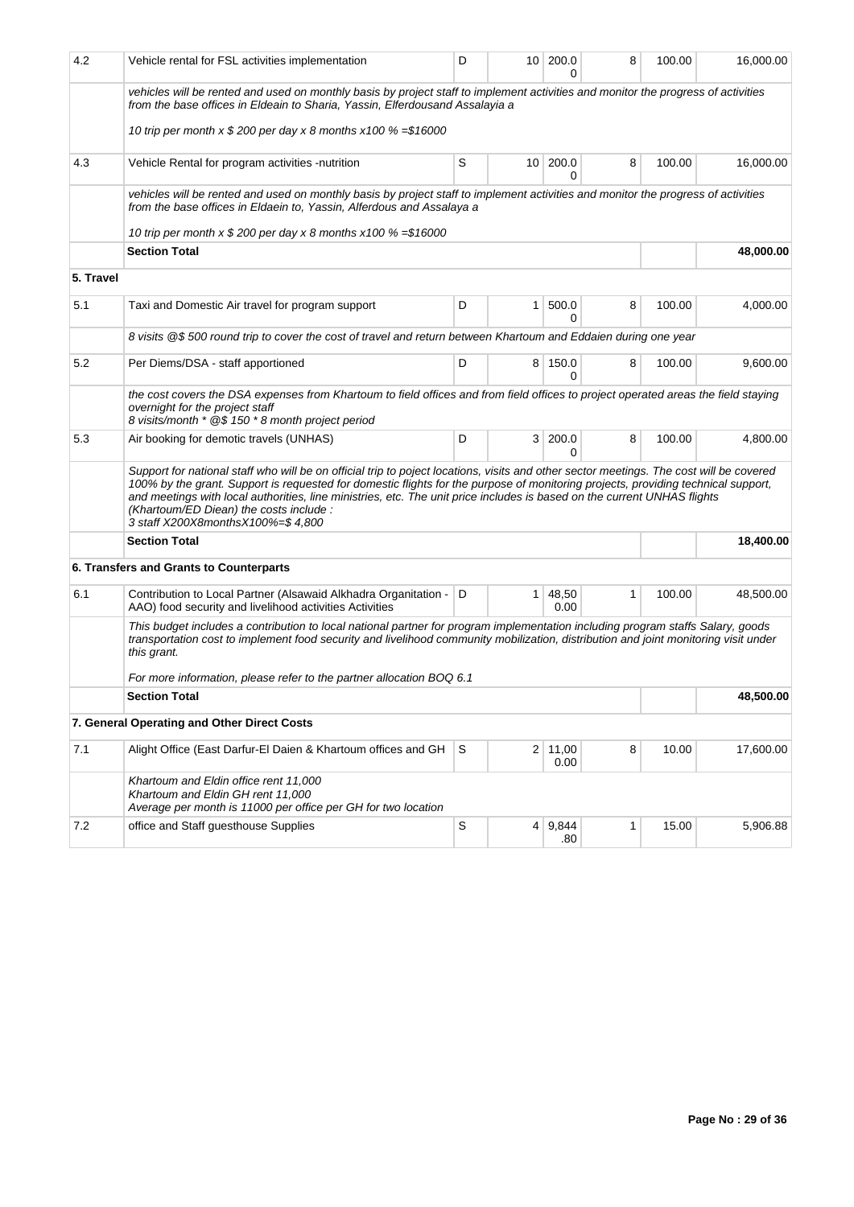| 4.2       | Vehicle rental for FSL activities implementation                                                                                                                                                                                                                                                                                                                                                                                                                                        | D           |                 | 10 200.0<br>O   | 8            | 100.00 | 16,000.00 |
|-----------|-----------------------------------------------------------------------------------------------------------------------------------------------------------------------------------------------------------------------------------------------------------------------------------------------------------------------------------------------------------------------------------------------------------------------------------------------------------------------------------------|-------------|-----------------|-----------------|--------------|--------|-----------|
|           | vehicles will be rented and used on monthly basis by project staff to implement activities and monitor the progress of activities<br>from the base offices in Eldeain to Sharia, Yassin, Elferdousand Assalayia a                                                                                                                                                                                                                                                                       |             |                 |                 |              |        |           |
|           | 10 trip per month x \$ 200 per day x 8 months x100 % = \$16000                                                                                                                                                                                                                                                                                                                                                                                                                          |             |                 |                 |              |        |           |
| 4.3       | Vehicle Rental for program activities -nutrition                                                                                                                                                                                                                                                                                                                                                                                                                                        | S           |                 | 10 200.0<br>0   | 8            | 100.00 | 16,000.00 |
|           | vehicles will be rented and used on monthly basis by project staff to implement activities and monitor the progress of activities<br>from the base offices in Eldaein to, Yassin, Alferdous and Assalaya a                                                                                                                                                                                                                                                                              |             |                 |                 |              |        |           |
|           | 10 trip per month x \$ 200 per day x 8 months x100 % = \$16000                                                                                                                                                                                                                                                                                                                                                                                                                          |             |                 |                 |              |        |           |
|           | <b>Section Total</b>                                                                                                                                                                                                                                                                                                                                                                                                                                                                    |             |                 |                 |              |        | 48,000.00 |
| 5. Travel |                                                                                                                                                                                                                                                                                                                                                                                                                                                                                         |             |                 |                 |              |        |           |
| 5.1       | Taxi and Domestic Air travel for program support                                                                                                                                                                                                                                                                                                                                                                                                                                        | D           | $\mathbf{1}$    | 500.0<br>0      | 8            | 100.00 | 4,000.00  |
|           | 8 visits @\$500 round trip to cover the cost of travel and return between Khartoum and Eddaien during one year                                                                                                                                                                                                                                                                                                                                                                          |             |                 |                 |              |        |           |
| 5.2       | Per Diems/DSA - staff apportioned                                                                                                                                                                                                                                                                                                                                                                                                                                                       | D           |                 | 8 150.0<br>0    | 8            | 100.00 | 9,600.00  |
|           | the cost covers the DSA expenses from Khartoum to field offices and from field offices to project operated areas the field staying<br>overnight for the project staff<br>8 visits/month * @\$150 * 8 month project period                                                                                                                                                                                                                                                               |             |                 |                 |              |        |           |
| 5.3       | Air booking for demotic travels (UNHAS)                                                                                                                                                                                                                                                                                                                                                                                                                                                 | D           | 3 <sup>1</sup>  | 200.0<br>0      | 8            | 100.00 | 4,800.00  |
|           | Support for national staff who will be on official trip to poject locations, visits and other sector meetings. The cost will be covered<br>100% by the grant. Support is requested for domestic flights for the purpose of monitoring projects, providing technical support,<br>and meetings with local authorities, line ministries, etc. The unit price includes is based on the current UNHAS flights<br>(Khartoum/ED Diean) the costs include:<br>3 staff X200X8monthsX100%=\$4,800 |             |                 |                 |              |        |           |
|           | <b>Section Total</b>                                                                                                                                                                                                                                                                                                                                                                                                                                                                    |             |                 |                 |              |        | 18,400.00 |
|           | 6. Transfers and Grants to Counterparts                                                                                                                                                                                                                                                                                                                                                                                                                                                 |             |                 |                 |              |        |           |
| 6.1       | Contribution to Local Partner (Alsawaid Alkhadra Organitation - D<br>AAO) food security and livelihood activities Activities                                                                                                                                                                                                                                                                                                                                                            |             | 1               | 48,50<br>0.00   | $\mathbf{1}$ | 100.00 | 48,500.00 |
|           | This budget includes a contribution to local national partner for program implementation including program staffs Salary, goods<br>transportation cost to implement food security and livelihood community mobilization, distribution and joint monitoring visit under<br>this grant.                                                                                                                                                                                                   |             |                 |                 |              |        |           |
|           | For more information, please refer to the partner allocation BOQ 6.1                                                                                                                                                                                                                                                                                                                                                                                                                    |             |                 |                 |              |        |           |
|           | <b>Section Total</b>                                                                                                                                                                                                                                                                                                                                                                                                                                                                    |             |                 |                 |              |        | 48,500.00 |
|           | 7. General Operating and Other Direct Costs                                                                                                                                                                                                                                                                                                                                                                                                                                             |             |                 |                 |              |        |           |
| 7.1       | Alight Office (East Darfur-El Daien & Khartoum offices and GH                                                                                                                                                                                                                                                                                                                                                                                                                           | S           |                 | 2 11,00<br>0.00 | 8            | 10.00  | 17,600.00 |
|           | Khartoum and Eldin office rent 11,000<br>Khartoum and Eldin GH rent 11,000<br>Average per month is 11000 per office per GH for two location                                                                                                                                                                                                                                                                                                                                             |             |                 |                 |              |        |           |
| 7.2       | office and Staff guesthouse Supplies                                                                                                                                                                                                                                                                                                                                                                                                                                                    | $\mathsf S$ | $\vert 4 \vert$ | 9,844<br>.80    | $\mathbf{1}$ | 15.00  | 5,906.88  |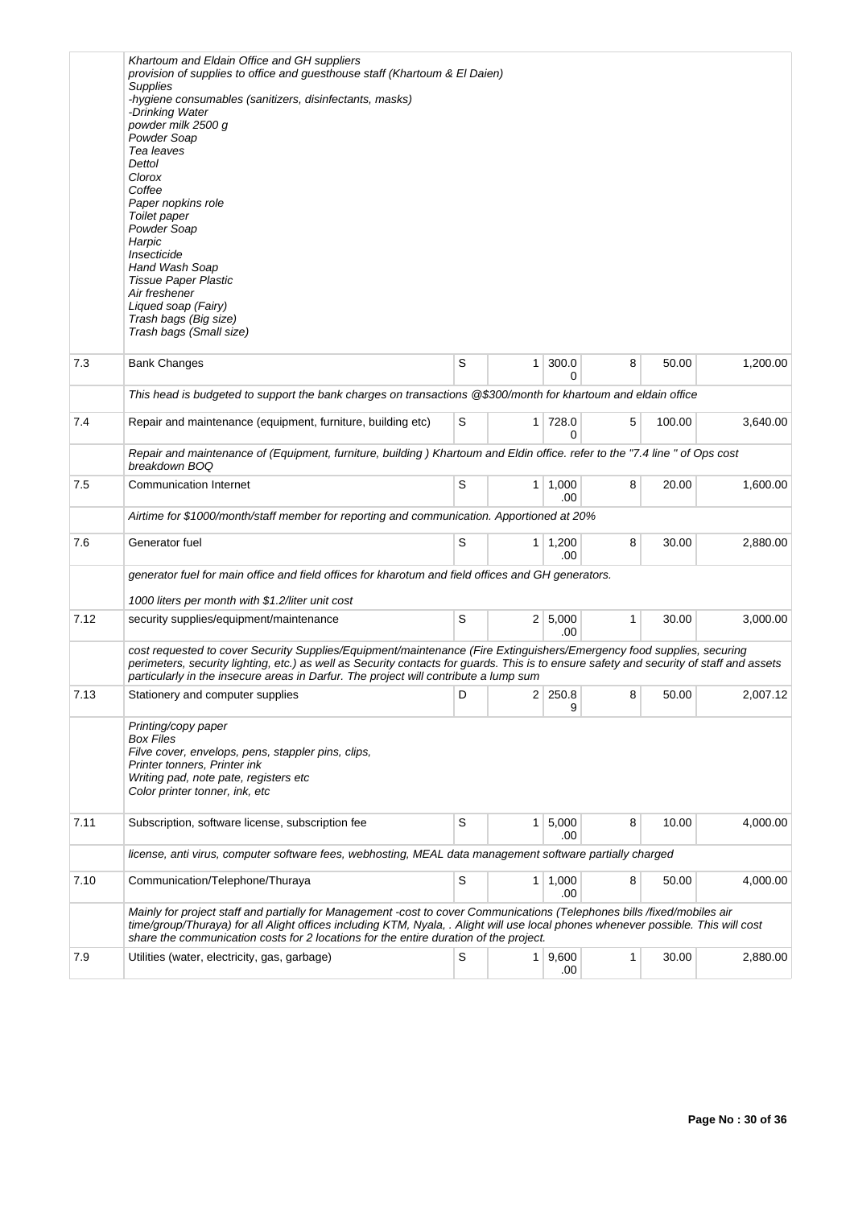|      | Khartoum and Eldain Office and GH suppliers<br>provision of supplies to office and guesthouse staff (Khartoum & El Daien)<br><b>Supplies</b><br>-hygiene consumables (sanitizers, disinfectants, masks)<br>-Drinking Water<br>powder milk 2500 g<br>Powder Soap<br>Tea leaves<br>Dettol<br>Clorox<br>Coffee<br>Paper nopkins role<br>Toilet paper<br>Powder Soap<br>Harpic<br>Insecticide<br>Hand Wash Soap<br>Tissue Paper Plastic<br>Air freshener<br>Liqued soap (Fairy)<br>Trash bags (Big size)<br>Trash bags (Small size) |   |                |                       |                |        |          |
|------|---------------------------------------------------------------------------------------------------------------------------------------------------------------------------------------------------------------------------------------------------------------------------------------------------------------------------------------------------------------------------------------------------------------------------------------------------------------------------------------------------------------------------------|---|----------------|-----------------------|----------------|--------|----------|
| 7.3  | <b>Bank Changes</b>                                                                                                                                                                                                                                                                                                                                                                                                                                                                                                             | S | $\mathbf{1}$   | 300.0<br>0            | 8              | 50.00  | 1,200.00 |
|      | This head is budgeted to support the bank charges on transactions @\$300/month for khartoum and eldain office                                                                                                                                                                                                                                                                                                                                                                                                                   |   |                |                       |                |        |          |
| 7.4  | Repair and maintenance (equipment, furniture, building etc)                                                                                                                                                                                                                                                                                                                                                                                                                                                                     | S | 1 <sup>1</sup> | 728.0<br>0            | 5              | 100.00 | 3,640.00 |
|      | Repair and maintenance of (Equipment, furniture, building) Khartoum and Eldin office. refer to the "7.4 line " of Ops cost<br>breakdown BOO                                                                                                                                                                                                                                                                                                                                                                                     |   |                |                       |                |        |          |
| 7.5  | <b>Communication Internet</b>                                                                                                                                                                                                                                                                                                                                                                                                                                                                                                   | S | 1              | 1,000<br>.00          | 8              | 20.00  | 1,600.00 |
|      | Airtime for \$1000/month/staff member for reporting and communication. Apportioned at 20%                                                                                                                                                                                                                                                                                                                                                                                                                                       |   |                |                       |                |        |          |
| 7.6  | Generator fuel                                                                                                                                                                                                                                                                                                                                                                                                                                                                                                                  | S |                | $1 \mid 1,200$<br>.00 | 8              | 30.00  | 2,880.00 |
|      | generator fuel for main office and field offices for kharotum and field offices and GH generators.                                                                                                                                                                                                                                                                                                                                                                                                                              |   |                |                       |                |        |          |
|      | 1000 liters per month with \$1.2/liter unit cost                                                                                                                                                                                                                                                                                                                                                                                                                                                                                |   |                |                       |                |        |          |
| 7.12 | security supplies/equipment/maintenance                                                                                                                                                                                                                                                                                                                                                                                                                                                                                         | S |                | 2   5,000<br>.00      | 1              | 30.00  | 3,000.00 |
|      | cost requested to cover Security Supplies/Equipment/maintenance (Fire Extinguishers/Emergency food supplies, securing<br>perimeters, security lighting, etc.) as well as Security contacts for guards. This is to ensure safety and security of staff and assets<br>particularly in the insecure areas in Darfur. The project will contribute a lump sum                                                                                                                                                                        |   |                |                       |                |        |          |
| 7.13 | Stationery and computer supplies                                                                                                                                                                                                                                                                                                                                                                                                                                                                                                | D |                | 2 250.8 <br>9         | 8 <sup>1</sup> | 50.00  | 2,007.12 |
|      | Printing/copy paper<br>Box Files<br>Filve cover, envelops, pens, stappler pins, clips,<br>Printer tonners, Printer ink<br>Writing pad, note pate, registers etc<br>Color printer tonner, ink, etc                                                                                                                                                                                                                                                                                                                               |   |                |                       |                |        |          |
| 7.11 | Subscription, software license, subscription fee                                                                                                                                                                                                                                                                                                                                                                                                                                                                                | S | 1 <sup>1</sup> | 5,000<br>.00          | 8              | 10.00  | 4,000.00 |
|      | license, anti virus, computer software fees, webhosting, MEAL data management software partially charged                                                                                                                                                                                                                                                                                                                                                                                                                        |   |                |                       |                |        |          |
| 7.10 | Communication/Telephone/Thuraya                                                                                                                                                                                                                                                                                                                                                                                                                                                                                                 | S | $\mathbf{1}$   | 1,000<br>.00          | 8              | 50.00  | 4,000.00 |
|      | Mainly for project staff and partially for Management -cost to cover Communications (Telephones bills /fixed/mobiles air<br>time/group/Thuraya) for all Alight offices including KTM, Nyala, . Alight will use local phones whenever possible. This will cost<br>share the communication costs for 2 locations for the entire duration of the project.                                                                                                                                                                          |   |                |                       |                |        |          |
| 7.9  | Utilities (water, electricity, gas, garbage)                                                                                                                                                                                                                                                                                                                                                                                                                                                                                    | S |                | 1   9,600<br>.00      | 1              | 30.00  | 2,880.00 |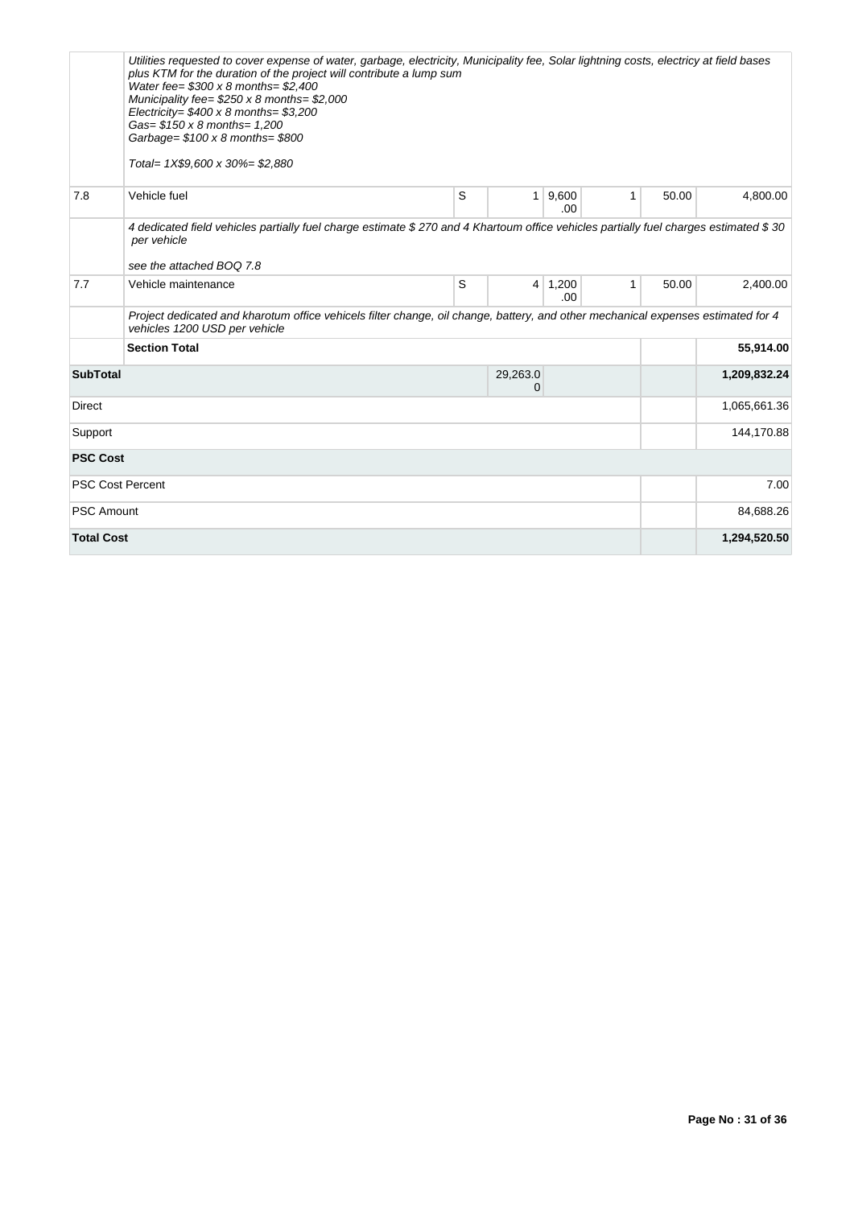|                         | Utilities requested to cover expense of water, garbage, electricity, Municipality fee, Solar lightning costs, electricy at field bases<br>plus KTM for the duration of the project will contribute a lump sum<br>Water fee= $$300 \times 8$ months= \$2,400<br>Municipality fee= $$250 \times 8$ months= \$2,000<br>Electricity= $$400 \times 8$ months= $$3,200$<br>Gas= \$150 x 8 months= 1,200<br>Garbage= $$100 \times 8$ months= $$800$<br>Total= 1X\$9,600 x 30%= \$2,880 |   |                |               |              |       |              |
|-------------------------|---------------------------------------------------------------------------------------------------------------------------------------------------------------------------------------------------------------------------------------------------------------------------------------------------------------------------------------------------------------------------------------------------------------------------------------------------------------------------------|---|----------------|---------------|--------------|-------|--------------|
| 7.8                     | Vehicle fuel                                                                                                                                                                                                                                                                                                                                                                                                                                                                    | S | $\mathbf{1}$   | 9,600<br>.00. | 1            | 50.00 | 4,800.00     |
|                         | 4 dedicated field vehicles partially fuel charge estimate \$270 and 4 Khartoum office vehicles partially fuel charges estimated \$30<br>per vehicle<br>see the attached BOO 7.8                                                                                                                                                                                                                                                                                                 |   |                |               |              |       |              |
| 7.7                     | Vehicle maintenance                                                                                                                                                                                                                                                                                                                                                                                                                                                             | S | $\overline{4}$ | 1,200<br>.00. | $\mathbf{1}$ | 50.00 | 2,400.00     |
|                         | Project dedicated and kharotum office vehicels filter change, oil change, battery, and other mechanical expenses estimated for 4<br>vehicles 1200 USD per vehicle                                                                                                                                                                                                                                                                                                               |   |                |               |              |       |              |
|                         | <b>Section Total</b>                                                                                                                                                                                                                                                                                                                                                                                                                                                            |   |                |               |              |       | 55,914.00    |
| <b>SubTotal</b>         |                                                                                                                                                                                                                                                                                                                                                                                                                                                                                 |   | 29,263.0<br>0  |               |              |       | 1,209,832.24 |
| <b>Direct</b>           |                                                                                                                                                                                                                                                                                                                                                                                                                                                                                 |   |                |               |              |       | 1,065,661.36 |
| Support                 |                                                                                                                                                                                                                                                                                                                                                                                                                                                                                 |   |                |               |              |       | 144,170.88   |
| <b>PSC Cost</b>         |                                                                                                                                                                                                                                                                                                                                                                                                                                                                                 |   |                |               |              |       |              |
| <b>PSC Cost Percent</b> |                                                                                                                                                                                                                                                                                                                                                                                                                                                                                 |   |                |               |              |       | 7.00         |
| <b>PSC Amount</b>       |                                                                                                                                                                                                                                                                                                                                                                                                                                                                                 |   |                |               |              |       | 84,688.26    |
| <b>Total Cost</b>       |                                                                                                                                                                                                                                                                                                                                                                                                                                                                                 |   |                |               |              |       | 1,294,520.50 |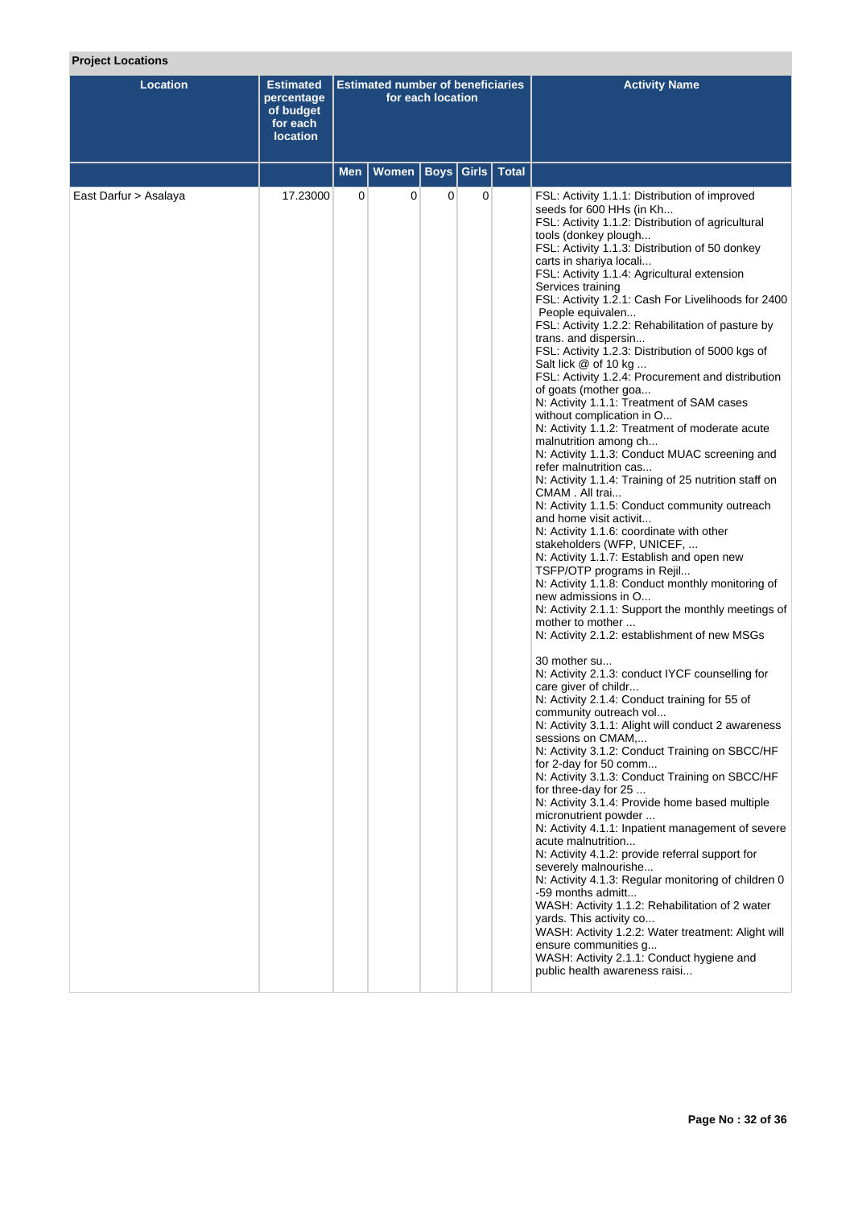|  | <b>Project Locations</b> |
|--|--------------------------|
|  |                          |

| Location              | <b>Estimated</b><br>percentage<br>of budget<br>for each<br><b>location</b> | <b>Estimated number of beneficiaries</b><br>for each location |              |                   |             |              | <b>Activity Name</b>                                                                                                                                                                                                                                                                                                                                                                                                                                                                                                                                                                                                                                                                                                                                                                                                                                                                                                                                                                                                                                                                                                                                                                                                                                                                                                                                                                                                                                                                                                                                                                                                                                                                                                                                                                                                                                                                                                                                                                                                                                                                                                                                                                                                         |
|-----------------------|----------------------------------------------------------------------------|---------------------------------------------------------------|--------------|-------------------|-------------|--------------|------------------------------------------------------------------------------------------------------------------------------------------------------------------------------------------------------------------------------------------------------------------------------------------------------------------------------------------------------------------------------------------------------------------------------------------------------------------------------------------------------------------------------------------------------------------------------------------------------------------------------------------------------------------------------------------------------------------------------------------------------------------------------------------------------------------------------------------------------------------------------------------------------------------------------------------------------------------------------------------------------------------------------------------------------------------------------------------------------------------------------------------------------------------------------------------------------------------------------------------------------------------------------------------------------------------------------------------------------------------------------------------------------------------------------------------------------------------------------------------------------------------------------------------------------------------------------------------------------------------------------------------------------------------------------------------------------------------------------------------------------------------------------------------------------------------------------------------------------------------------------------------------------------------------------------------------------------------------------------------------------------------------------------------------------------------------------------------------------------------------------------------------------------------------------------------------------------------------------|
|                       |                                                                            | Men                                                           | <b>Women</b> | <b>Boys Girls</b> |             | <b>Total</b> |                                                                                                                                                                                                                                                                                                                                                                                                                                                                                                                                                                                                                                                                                                                                                                                                                                                                                                                                                                                                                                                                                                                                                                                                                                                                                                                                                                                                                                                                                                                                                                                                                                                                                                                                                                                                                                                                                                                                                                                                                                                                                                                                                                                                                              |
| East Darfur > Asalaya | 17.23000                                                                   | $\overline{0}$                                                | 0            | $\mathbf 0$       | $\mathbf 0$ |              | FSL: Activity 1.1.1: Distribution of improved<br>seeds for 600 HHs (in Kh<br>FSL: Activity 1.1.2: Distribution of agricultural<br>tools (donkey plough<br>FSL: Activity 1.1.3: Distribution of 50 donkey<br>carts in shariya locali<br>FSL: Activity 1.1.4: Agricultural extension<br>Services training<br>FSL: Activity 1.2.1: Cash For Livelihoods for 2400<br>People equivalen<br>FSL: Activity 1.2.2: Rehabilitation of pasture by<br>trans. and dispersin<br>FSL: Activity 1.2.3: Distribution of 5000 kgs of<br>Salt lick @ of 10 kg<br>FSL: Activity 1.2.4: Procurement and distribution<br>of goats (mother goa<br>N: Activity 1.1.1: Treatment of SAM cases<br>without complication in O<br>N: Activity 1.1.2: Treatment of moderate acute<br>malnutrition among ch<br>N: Activity 1.1.3: Conduct MUAC screening and<br>refer malnutrition cas<br>N: Activity 1.1.4: Training of 25 nutrition staff on<br>CMAM. All trai<br>N: Activity 1.1.5: Conduct community outreach<br>and home visit activit<br>N: Activity 1.1.6: coordinate with other<br>stakeholders (WFP, UNICEF,<br>N: Activity 1.1.7: Establish and open new<br>TSFP/OTP programs in Rejil<br>N: Activity 1.1.8: Conduct monthly monitoring of<br>new admissions in O<br>N: Activity 2.1.1: Support the monthly meetings of<br>mother to mother<br>N: Activity 2.1.2: establishment of new MSGs<br>30 mother su<br>N: Activity 2.1.3: conduct IYCF counselling for<br>care giver of childr<br>N: Activity 2.1.4: Conduct training for 55 of<br>community outreach vol<br>N: Activity 3.1.1: Alight will conduct 2 awareness<br>sessions on CMAM,<br>N: Activity 3.1.2: Conduct Training on SBCC/HF<br>for 2-day for 50 comm<br>N: Activity 3.1.3: Conduct Training on SBCC/HF<br>for three-day for 25<br>N: Activity 3.1.4: Provide home based multiple<br>micronutrient powder<br>N: Activity 4.1.1: Inpatient management of severe<br>acute malnutrition<br>N: Activity 4.1.2: provide referral support for<br>severely malnourishe<br>N: Activity 4.1.3: Regular monitoring of children 0<br>-59 months admitt<br>WASH: Activity 1.1.2: Rehabilitation of 2 water<br>yards. This activity co<br>WASH: Activity 1.2.2: Water treatment: Alight will |
|                       |                                                                            |                                                               |              |                   |             |              | ensure communities g<br>WASH: Activity 2.1.1: Conduct hygiene and<br>public health awareness raisi                                                                                                                                                                                                                                                                                                                                                                                                                                                                                                                                                                                                                                                                                                                                                                                                                                                                                                                                                                                                                                                                                                                                                                                                                                                                                                                                                                                                                                                                                                                                                                                                                                                                                                                                                                                                                                                                                                                                                                                                                                                                                                                           |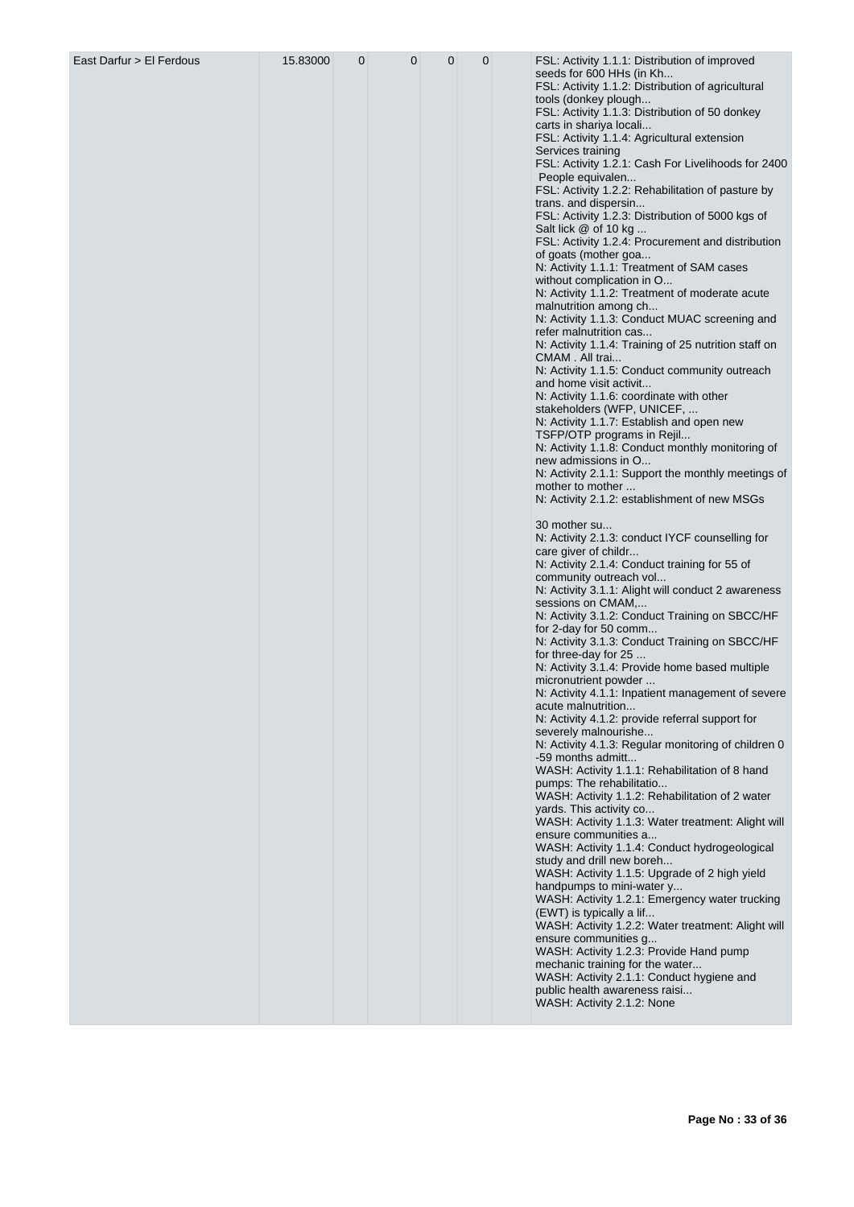| East Darfur > El Ferdous | 15.83000 | $\mathbf{0}$ | $\mathbf 0$ | 0 | 0 | FSL: Activity 1.1.1: Distribution of improved<br>seeds for 600 HHs (in Kh      |
|--------------------------|----------|--------------|-------------|---|---|--------------------------------------------------------------------------------|
|                          |          |              |             |   |   | FSL: Activity 1.1.2: Distribution of agricultural<br>tools (donkey plough      |
|                          |          |              |             |   |   | FSL: Activity 1.1.3: Distribution of 50 donkey<br>carts in shariya locali      |
|                          |          |              |             |   |   | FSL: Activity 1.1.4: Agricultural extension<br>Services training               |
|                          |          |              |             |   |   | FSL: Activity 1.2.1: Cash For Livelihoods for 2400                             |
|                          |          |              |             |   |   | People equivalen<br>FSL: Activity 1.2.2: Rehabilitation of pasture by          |
|                          |          |              |             |   |   | trans. and dispersin<br>FSL: Activity 1.2.3: Distribution of 5000 kgs of       |
|                          |          |              |             |   |   | Salt lick @ of 10 kg                                                           |
|                          |          |              |             |   |   | FSL: Activity 1.2.4: Procurement and distribution<br>of goats (mother goa      |
|                          |          |              |             |   |   | N: Activity 1.1.1: Treatment of SAM cases<br>without complication in O         |
|                          |          |              |             |   |   | N: Activity 1.1.2: Treatment of moderate acute                                 |
|                          |          |              |             |   |   | malnutrition among ch<br>N: Activity 1.1.3: Conduct MUAC screening and         |
|                          |          |              |             |   |   | refer malnutrition cas<br>N: Activity 1.1.4: Training of 25 nutrition staff on |
|                          |          |              |             |   |   | CMAM. All trai                                                                 |
|                          |          |              |             |   |   | N: Activity 1.1.5: Conduct community outreach<br>and home visit activit        |
|                          |          |              |             |   |   | N: Activity 1.1.6: coordinate with other<br>stakeholders (WFP, UNICEF,         |
|                          |          |              |             |   |   | N: Activity 1.1.7: Establish and open new<br>TSFP/OTP programs in Rejil        |
|                          |          |              |             |   |   | N: Activity 1.1.8: Conduct monthly monitoring of                               |
|                          |          |              |             |   |   | new admissions in O<br>N: Activity 2.1.1: Support the monthly meetings of      |
|                          |          |              |             |   |   | mother to mother<br>N: Activity 2.1.2: establishment of new MSGs               |
|                          |          |              |             |   |   | 30 mother su                                                                   |
|                          |          |              |             |   |   | N: Activity 2.1.3: conduct IYCF counselling for<br>care giver of childr        |
|                          |          |              |             |   |   | N: Activity 2.1.4: Conduct training for 55 of<br>community outreach vol        |
|                          |          |              |             |   |   | N: Activity 3.1.1: Alight will conduct 2 awareness                             |
|                          |          |              |             |   |   | sessions on CMAM,<br>N: Activity 3.1.2: Conduct Training on SBCC/HF            |
|                          |          |              |             |   |   | for 2-day for 50 comm<br>N: Activity 3.1.3: Conduct Training on SBCC/HF        |
|                          |          |              |             |   |   | for three-day for 25<br>N: Activity 3.1.4: Provide home based multiple         |
|                          |          |              |             |   |   | micronutrient powder                                                           |
|                          |          |              |             |   |   | N: Activity 4.1.1: Inpatient management of severe<br>acute malnutrition        |
|                          |          |              |             |   |   | N: Activity 4.1.2: provide referral support for<br>severely malnourishe        |
|                          |          |              |             |   |   | N: Activity 4.1.3: Regular monitoring of children 0<br>-59 months admitt       |
|                          |          |              |             |   |   | WASH: Activity 1.1.1: Rehabilitation of 8 hand                                 |
|                          |          |              |             |   |   | pumps: The rehabilitatio<br>WASH: Activity 1.1.2: Rehabilitation of 2 water    |
|                          |          |              |             |   |   | yards. This activity co<br>WASH: Activity 1.1.3: Water treatment: Alight will  |
|                          |          |              |             |   |   | ensure communities a                                                           |
|                          |          |              |             |   |   | WASH: Activity 1.1.4: Conduct hydrogeological<br>study and drill new boreh     |
|                          |          |              |             |   |   | WASH: Activity 1.1.5: Upgrade of 2 high yield<br>handpumps to mini-water y     |
|                          |          |              |             |   |   | WASH: Activity 1.2.1: Emergency water trucking<br>(EWT) is typically a lif     |
|                          |          |              |             |   |   | WASH: Activity 1.2.2: Water treatment: Alight will                             |
|                          |          |              |             |   |   | ensure communities g<br>WASH: Activity 1.2.3: Provide Hand pump                |
|                          |          |              |             |   |   | mechanic training for the water<br>WASH: Activity 2.1.1: Conduct hygiene and   |
|                          |          |              |             |   |   | public health awareness raisi                                                  |
|                          |          |              |             |   |   | WASH: Activity 2.1.2: None                                                     |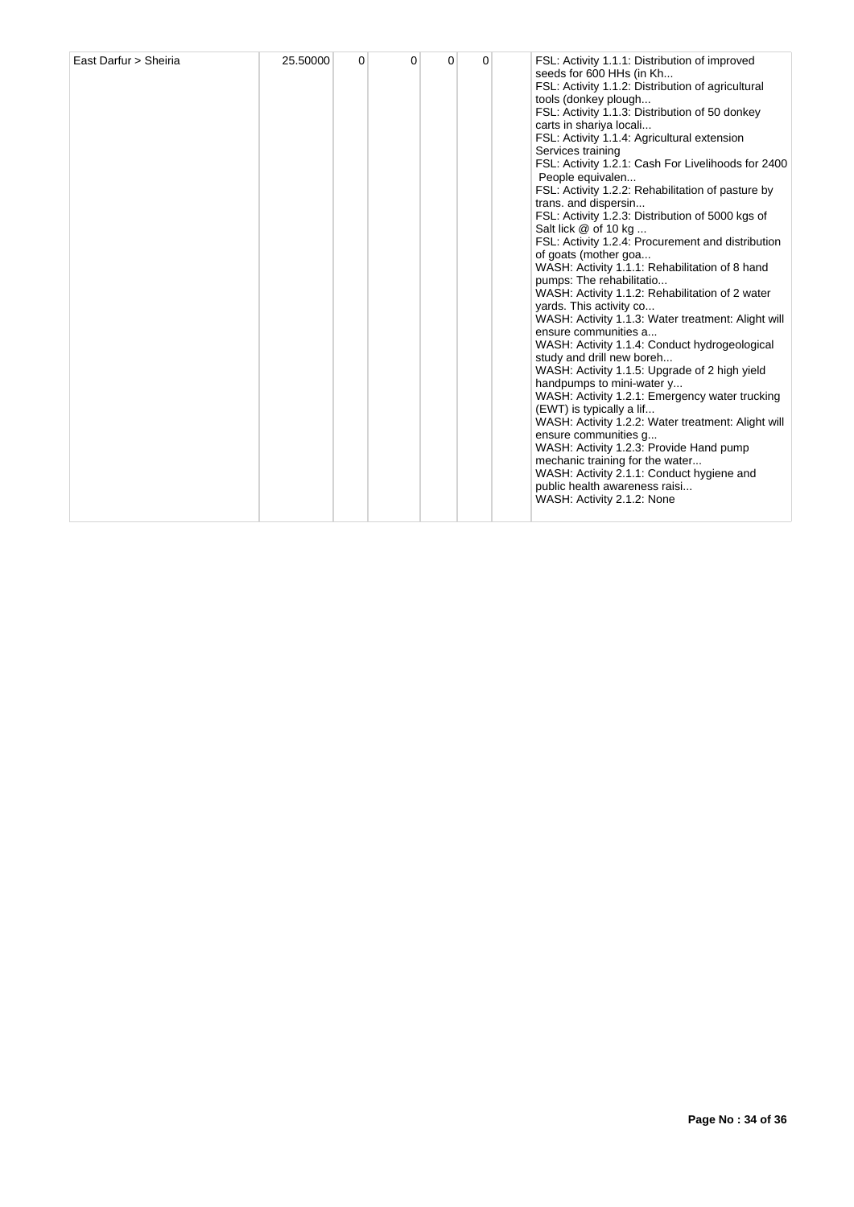| East Darfur > Sheiria | 25.50000 | 0 | 0 | 0 | $\Omega$ |  | FSL: Activity 1.1.1: Distribution of improved<br>seeds for 600 HHs (in Kh<br>FSL: Activity 1.1.2: Distribution of agricultural<br>tools (donkey plough<br>FSL: Activity 1.1.3: Distribution of 50 donkey<br>carts in shariya locali<br>FSL: Activity 1.1.4: Agricultural extension<br>Services training<br>FSL: Activity 1.2.1: Cash For Livelihoods for 2400<br>People equivalen<br>FSL: Activity 1.2.2: Rehabilitation of pasture by<br>trans. and dispersin<br>FSL: Activity 1.2.3: Distribution of 5000 kgs of<br>Salt lick @ of 10 kg<br>FSL: Activity 1.2.4: Procurement and distribution<br>of goats (mother goa<br>WASH: Activity 1.1.1: Rehabilitation of 8 hand<br>pumps: The rehabilitatio<br>WASH: Activity 1.1.2: Rehabilitation of 2 water<br>yards. This activity co<br>WASH: Activity 1.1.3: Water treatment: Alight will<br>ensure communities a<br>WASH: Activity 1.1.4: Conduct hydrogeological<br>study and drill new boreh<br>WASH: Activity 1.1.5: Upgrade of 2 high yield<br>handpumps to mini-water y<br>WASH: Activity 1.2.1: Emergency water trucking<br>(EWT) is typically a lif<br>WASH: Activity 1.2.2: Water treatment: Alight will<br>ensure communities q<br>WASH: Activity 1.2.3: Provide Hand pump<br>mechanic training for the water<br>WASH: Activity 2.1.1: Conduct hygiene and<br>public health awareness raisi<br>WASH: Activity 2.1.2: None |
|-----------------------|----------|---|---|---|----------|--|-------------------------------------------------------------------------------------------------------------------------------------------------------------------------------------------------------------------------------------------------------------------------------------------------------------------------------------------------------------------------------------------------------------------------------------------------------------------------------------------------------------------------------------------------------------------------------------------------------------------------------------------------------------------------------------------------------------------------------------------------------------------------------------------------------------------------------------------------------------------------------------------------------------------------------------------------------------------------------------------------------------------------------------------------------------------------------------------------------------------------------------------------------------------------------------------------------------------------------------------------------------------------------------------------------------------------------------------------------------------------------------|
|-----------------------|----------|---|---|---|----------|--|-------------------------------------------------------------------------------------------------------------------------------------------------------------------------------------------------------------------------------------------------------------------------------------------------------------------------------------------------------------------------------------------------------------------------------------------------------------------------------------------------------------------------------------------------------------------------------------------------------------------------------------------------------------------------------------------------------------------------------------------------------------------------------------------------------------------------------------------------------------------------------------------------------------------------------------------------------------------------------------------------------------------------------------------------------------------------------------------------------------------------------------------------------------------------------------------------------------------------------------------------------------------------------------------------------------------------------------------------------------------------------------|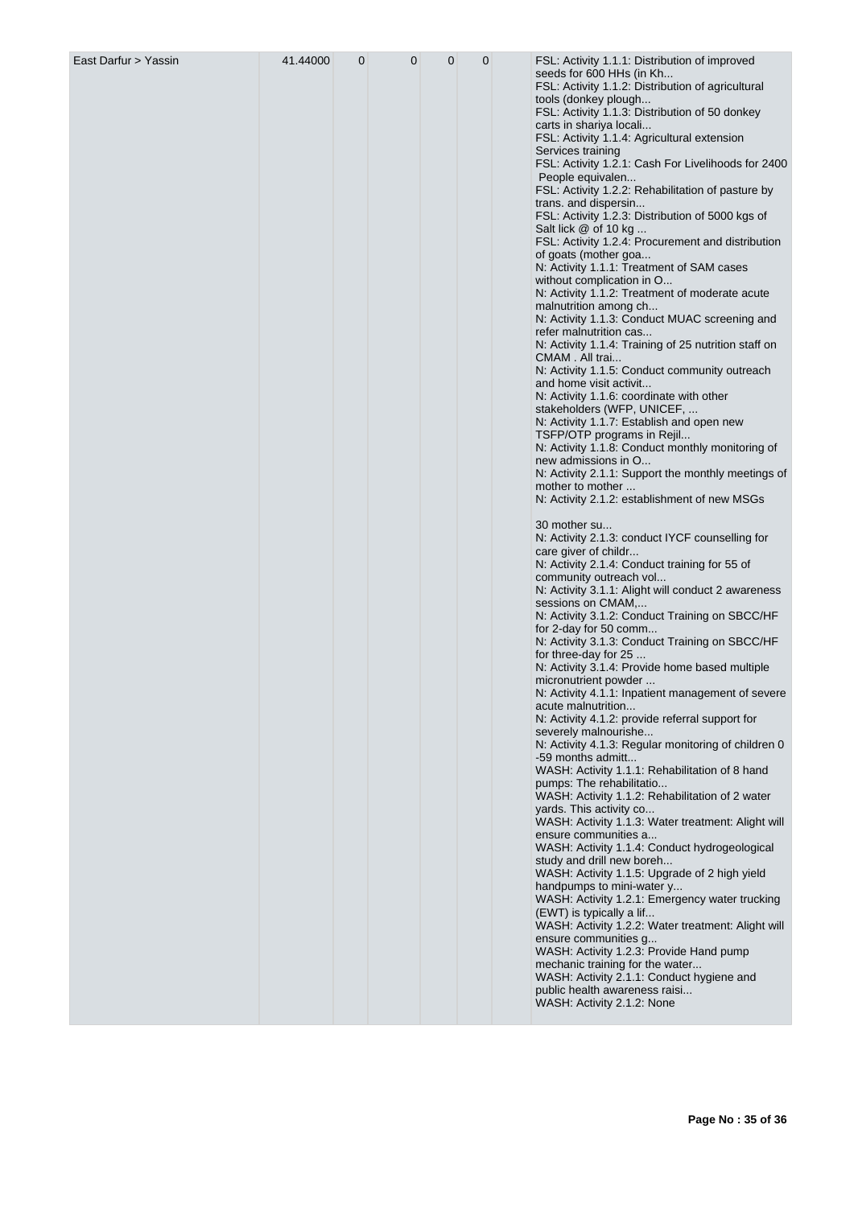| East Darfur > Yassin | 41.44000 | $\overline{0}$ | $\mathbf 0$ | 0 | 0 | FSL: Activity 1.1.1: Distribution of improved<br>seeds for 600 HHs (in Kh      |
|----------------------|----------|----------------|-------------|---|---|--------------------------------------------------------------------------------|
|                      |          |                |             |   |   | FSL: Activity 1.1.2: Distribution of agricultural                              |
|                      |          |                |             |   |   | tools (donkey plough<br>FSL: Activity 1.1.3: Distribution of 50 donkey         |
|                      |          |                |             |   |   | carts in shariya locali<br>FSL: Activity 1.1.4: Agricultural extension         |
|                      |          |                |             |   |   | Services training                                                              |
|                      |          |                |             |   |   | FSL: Activity 1.2.1: Cash For Livelihoods for 2400<br>People equivalen         |
|                      |          |                |             |   |   | FSL: Activity 1.2.2: Rehabilitation of pasture by                              |
|                      |          |                |             |   |   | trans. and dispersin<br>FSL: Activity 1.2.3: Distribution of 5000 kgs of       |
|                      |          |                |             |   |   | Salt lick @ of 10 kg                                                           |
|                      |          |                |             |   |   | FSL: Activity 1.2.4: Procurement and distribution<br>of goats (mother goa      |
|                      |          |                |             |   |   | N: Activity 1.1.1: Treatment of SAM cases                                      |
|                      |          |                |             |   |   | without complication in O<br>N: Activity 1.1.2: Treatment of moderate acute    |
|                      |          |                |             |   |   | malnutrition among ch                                                          |
|                      |          |                |             |   |   | N: Activity 1.1.3: Conduct MUAC screening and<br>refer malnutrition cas        |
|                      |          |                |             |   |   | N: Activity 1.1.4: Training of 25 nutrition staff on                           |
|                      |          |                |             |   |   | CMAM. All trai<br>N: Activity 1.1.5: Conduct community outreach                |
|                      |          |                |             |   |   | and home visit activit                                                         |
|                      |          |                |             |   |   | N: Activity 1.1.6: coordinate with other<br>stakeholders (WFP, UNICEF,         |
|                      |          |                |             |   |   | N: Activity 1.1.7: Establish and open new                                      |
|                      |          |                |             |   |   | TSFP/OTP programs in Rejil<br>N: Activity 1.1.8: Conduct monthly monitoring of |
|                      |          |                |             |   |   | new admissions in O                                                            |
|                      |          |                |             |   |   | N: Activity 2.1.1: Support the monthly meetings of<br>mother to mother         |
|                      |          |                |             |   |   | N: Activity 2.1.2: establishment of new MSGs                                   |
|                      |          |                |             |   |   | 30 mother su                                                                   |
|                      |          |                |             |   |   | N: Activity 2.1.3: conduct IYCF counselling for<br>care giver of childr        |
|                      |          |                |             |   |   | N: Activity 2.1.4: Conduct training for 55 of                                  |
|                      |          |                |             |   |   | community outreach vol<br>N: Activity 3.1.1: Alight will conduct 2 awareness   |
|                      |          |                |             |   |   | sessions on CMAM,                                                              |
|                      |          |                |             |   |   | N: Activity 3.1.2: Conduct Training on SBCC/HF<br>for 2-day for 50 comm        |
|                      |          |                |             |   |   | N: Activity 3.1.3: Conduct Training on SBCC/HF                                 |
|                      |          |                |             |   |   | for three-day for 25<br>N: Activity 3.1.4: Provide home based multiple         |
|                      |          |                |             |   |   | micronutrient powder                                                           |
|                      |          |                |             |   |   | N: Activity 4.1.1: Inpatient management of severe<br>acute malnutrition        |
|                      |          |                |             |   |   | N: Activity 4.1.2: provide referral support for                                |
|                      |          |                |             |   |   | severely malnourishe<br>N: Activity 4.1.3: Regular monitoring of children 0    |
|                      |          |                |             |   |   | -59 months admitt<br>WASH: Activity 1.1.1: Rehabilitation of 8 hand            |
|                      |          |                |             |   |   | pumps: The rehabilitatio                                                       |
|                      |          |                |             |   |   | WASH: Activity 1.1.2: Rehabilitation of 2 water<br>yards. This activity co     |
|                      |          |                |             |   |   | WASH: Activity 1.1.3: Water treatment: Alight will                             |
|                      |          |                |             |   |   | ensure communities a<br>WASH: Activity 1.1.4: Conduct hydrogeological          |
|                      |          |                |             |   |   | study and drill new boreh                                                      |
|                      |          |                |             |   |   | WASH: Activity 1.1.5: Upgrade of 2 high yield<br>handpumps to mini-water y     |
|                      |          |                |             |   |   | WASH: Activity 1.2.1: Emergency water trucking                                 |
|                      |          |                |             |   |   | (EWT) is typically a lif<br>WASH: Activity 1.2.2: Water treatment: Alight will |
|                      |          |                |             |   |   | ensure communities g                                                           |
|                      |          |                |             |   |   | WASH: Activity 1.2.3: Provide Hand pump<br>mechanic training for the water     |
|                      |          |                |             |   |   | WASH: Activity 2.1.1: Conduct hygiene and                                      |
|                      |          |                |             |   |   | public health awareness raisi<br>WASH: Activity 2.1.2: None                    |
|                      |          |                |             |   |   |                                                                                |